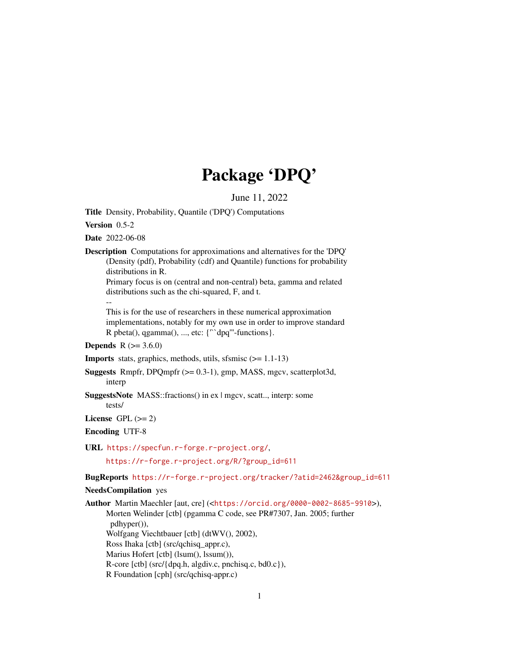# Package 'DPQ'

June 11, 2022

<span id="page-0-0"></span>Title Density, Probability, Quantile ('DPQ') Computations

Version 0.5-2

Date 2022-06-08

Description Computations for approximations and alternatives for the 'DPQ' (Density (pdf), Probability (cdf) and Quantile) functions for probability distributions in R.

Primary focus is on (central and non-central) beta, gamma and related distributions such as the chi-squared, F, and t.

--

This is for the use of researchers in these numerical approximation implementations, notably for my own use in order to improve standard R pbeta(), qgamma(), ..., etc: {'``dpq'''-functions}.

**Depends**  $R (= 3.6.0)$ 

**Imports** stats, graphics, methods, utils, sfsmisc  $(>= 1.1-13)$ 

- Suggests Rmpfr, DPQmpfr (>= 0.3-1), gmp, MASS, mgcv, scatterplot3d, interp
- SuggestsNote MASS::fractions() in ex | mgcv, scatt.., interp: some tests/

License GPL  $(>= 2)$ 

Encoding UTF-8

URL <https://specfun.r-forge.r-project.org/>,

[https://r-forge.r-project.org/R/?group\\_id=611](https://r-forge.r-project.org/R/?group_id=611)

BugReports [https://r-forge.r-project.org/tracker/?atid=2462&group\\_id=611](https://r-forge.r-project.org/tracker/?atid=2462&group_id=611)

# NeedsCompilation yes

Author Martin Maechler [aut, cre] (<<https://orcid.org/0000-0002-8685-9910>>), Morten Welinder [ctb] (pgamma C code, see PR#7307, Jan. 2005; further pdhyper()), Wolfgang Viechtbauer [ctb] (dtWV(), 2002), Ross Ihaka [ctb] (src/qchisq\_appr.c), Marius Hofert [ctb] (lsum(), lssum()), R-core [ctb] (src/{dpq.h, algdiv.c, pnchisq.c, bd0.c}), R Foundation [cph] (src/qchisq-appr.c)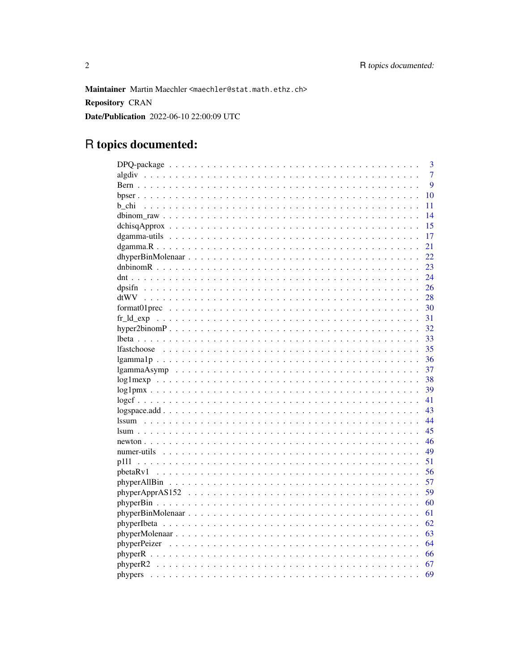Maintainer Martin Maechler <maechler@stat.math.ethz.ch> **Repository CRAN** Date/Publication 2022-06-10 22:00:09 UTC

# R topics documented:

|                                                                                                               | 3              |
|---------------------------------------------------------------------------------------------------------------|----------------|
|                                                                                                               | $\overline{7}$ |
|                                                                                                               | 9              |
|                                                                                                               | 10             |
| b chi                                                                                                         | 11             |
|                                                                                                               | 14             |
|                                                                                                               | 15             |
|                                                                                                               | 17             |
|                                                                                                               | 21             |
|                                                                                                               | 22             |
|                                                                                                               | 23             |
|                                                                                                               | 24             |
|                                                                                                               | 26             |
|                                                                                                               | 28             |
|                                                                                                               | 30             |
|                                                                                                               | 31             |
|                                                                                                               | 32             |
|                                                                                                               | 33             |
|                                                                                                               | 35             |
|                                                                                                               | 36             |
| $lgammaAsymp \dots \dots \dots \dots \dots \dots \dots \dots \dots \dots \dots \dots \dots \dots \dots \dots$ | 37             |
|                                                                                                               | 38             |
|                                                                                                               | 39             |
|                                                                                                               | 41             |
|                                                                                                               | 43             |
| <i>ssum</i>                                                                                                   | 44             |
|                                                                                                               | 45             |
|                                                                                                               | 46             |
|                                                                                                               | 49             |
|                                                                                                               | 51             |
|                                                                                                               | 56             |
|                                                                                                               | 57             |
|                                                                                                               | 59             |
|                                                                                                               | 60             |
|                                                                                                               | 61             |
|                                                                                                               |                |
|                                                                                                               | 62             |
|                                                                                                               | 63             |
|                                                                                                               | 64             |
|                                                                                                               | 66             |
|                                                                                                               | 67             |
|                                                                                                               | 69             |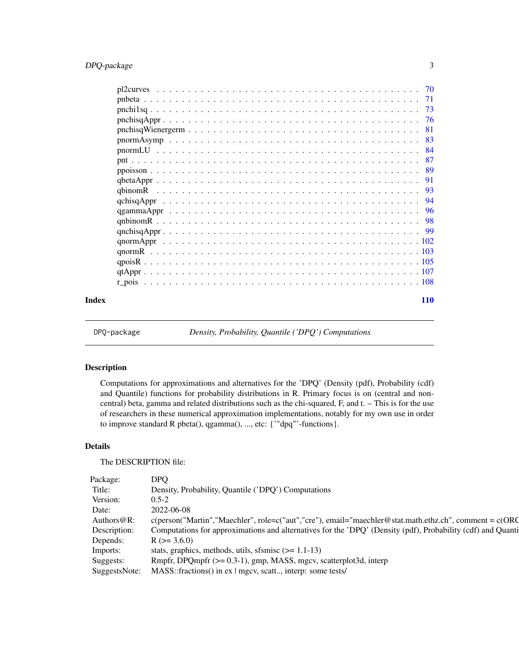# <span id="page-2-0"></span>DPQ-package 3

| Index |  |  |  | <b>110</b> |
|-------|--|--|--|------------|

DPQ-package *Density, Probability, Quantile ('DPQ') Computations*

# Description

Computations for approximations and alternatives for the 'DPQ' (Density (pdf), Probability (cdf) and Quantile) functions for probability distributions in R. Primary focus is on (central and noncentral) beta, gamma and related distributions such as the chi-squared, F, and t. – This is for the use of researchers in these numerical approximation implementations, notably for my own use in order to improve standard R pbeta(), qgamma(), ..., etc: {'"dpq"'-functions}.

# Details

The DESCRIPTION file:

| Package: |                                                                                                                          |
|----------|--------------------------------------------------------------------------------------------------------------------------|
|          | Density, Probability, Quantile ('DPQ') Computations                                                                      |
| Version: |                                                                                                                          |
| Date:    | 2022-06-08                                                                                                               |
|          | Authors@R: c(person("Martin","Maechler", role=c("aut","cre"), email="maechler@stat.math.ethz.ch", comment = c(ORC        |
|          | Description: Computations for approximations and alternatives for the 'DPQ' (Density (pdf), Probability (cdf) and Quanti |
|          | Depends: $R (= 3.6.0)$                                                                                                   |
| Imports: | stats, graphics, methods, utils, sfsmisc $(>= 1.1-13)$                                                                   |
|          | Suggests: Rmpfr, DPQmpfr (>= 0.3-1), gmp, MASS, mgcv, scatterplot3d, interp                                              |
|          | SuggestsNote: MASS::fractions() in ex   mgcv, scatt, interp: some tests/                                                 |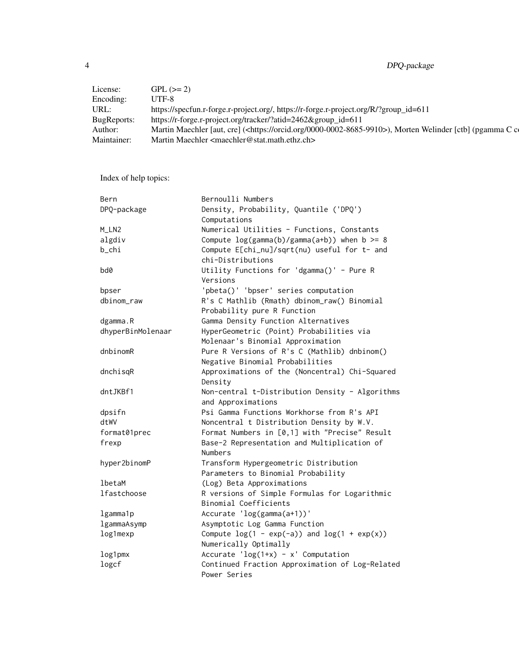4 DPQ-package

| License:           | $GPL (= 2)$                                                                                                            |
|--------------------|------------------------------------------------------------------------------------------------------------------------|
| Encoding:          | UTF-8                                                                                                                  |
| URL:               | https://specfun.r-forge.r-project.org/, https://r-forge.r-project.org/R/?group_id=611                                  |
| <b>BugReports:</b> | https://r-forge.r-project.org/tracker/?atid=2462&group_id=611                                                          |
| Author:            | Martin Maechler [aut, cre] ( <https: 0000-0002-8685-9910="" orcid.org="">), Morten Welinder [ctb] (pgamma C c</https:> |
| Maintainer:        | Martin Maechler <maechler@stat.math.ethz.ch></maechler@stat.math.ethz.ch>                                              |
|                    |                                                                                                                        |

Index of help topics:

| Bern              | Bernoulli Numbers                                 |
|-------------------|---------------------------------------------------|
| DPQ-package       | Density, Probability, Quantile ('DPQ')            |
|                   | Computations                                      |
| M_LN2             | Numerical Utilities - Functions, Constants        |
| algdiv            | Compute $log(gamma(b)/gamma(a+b))$ when $b \ge 8$ |
| b_chi             | Compute E[chi_nu]/sqrt(nu) useful for t- and      |
|                   | chi-Distributions                                 |
| bd0               | Utility Functions for 'dgamma()' - Pure R         |
|                   | Versions                                          |
| bpser             | 'pbeta()' 'bpser' series computation              |
| dbinom_raw        | R's C Mathlib (Rmath) dbinom_raw() Binomial       |
|                   | Probability pure R Function                       |
| dgamma.R          | Gamma Density Function Alternatives               |
| dhyperBinMolenaar | HyperGeometric (Point) Probabilities via          |
|                   | Molenaar's Binomial Approximation                 |
| dnbinomR          | Pure R Versions of R's C (Mathlib) dnbinom()      |
|                   | Negative Binomial Probabilities                   |
| dnchisqR          | Approximations of the (Noncentral) Chi-Squared    |
|                   | Density                                           |
| dntJKBf1          | Non-central t-Distribution Density - Algorithms   |
|                   | and Approximations                                |
| dpsifn            | Psi Gamma Functions Workhorse from R's API        |
| dtWV              | Noncentral t Distribution Density by W.V.         |
| format01prec      | Format Numbers in [0,1] with "Precise" Result     |
| frexp             | Base-2 Representation and Multiplication of       |
|                   | Numbers                                           |
| hyper2binomP      | Transform Hypergeometric Distribution             |
|                   | Parameters to Binomial Probability                |
| lbetaM            | (Log) Beta Approximations                         |
| lfastchoose       | R versions of Simple Formulas for Logarithmic     |
|                   | Binomial Coefficients                             |
| lgamma1p          | Accurate 'log(gamma(a+1))'                        |
| lgammaAsymp       | Asymptotic Log Gamma Function                     |
| log1mexp          | Compute $log(1 - exp(-a))$ and $log(1 + exp(x))$  |
|                   | Numerically Optimally                             |
| log1pmx           | Accurate ' $\log(1+x)$ - x' Computation           |
| logcf             | Continued Fraction Approximation of Log-Related   |
|                   | Power Series                                      |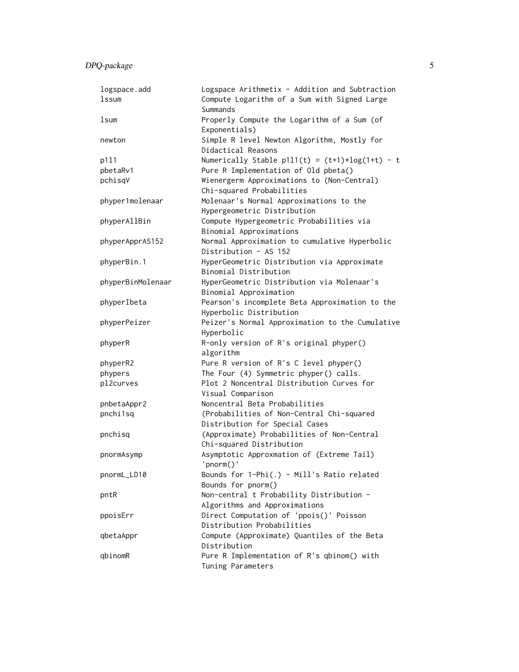| logspace.add      | Logspace Arithmetix - Addition and Subtraction    |
|-------------------|---------------------------------------------------|
| lssum             | Compute Logarithm of a Sum with Signed Large      |
|                   | Summands                                          |
| lsum              | Properly Compute the Logarithm of a Sum (of       |
|                   | Exponentials)                                     |
| newton            | Simple R level Newton Algorithm, Mostly for       |
|                   | Didactical Reasons                                |
| p111              | Numerically Stable p1l1(t) = $(t+1)*log(1+t) - t$ |
| pbetaRv1          | Pure R Implementation of Old pbeta()              |
| pchisqV           | Wienergerm Approximations to (Non-Central)        |
|                   | Chi-squared Probabilities                         |
| phyper1molenaar   | Molenaar's Normal Approximations to the           |
|                   | Hypergeometric Distribution                       |
| phyperAllBin      | Compute Hypergeometric Probabilities via          |
|                   | Binomial Approximations                           |
| phyperApprAS152   | Normal Approximation to cumulative Hyperbolic     |
|                   | Distribution - AS 152                             |
| phyperBin.1       | HyperGeometric Distribution via Approximate       |
|                   | Binomial Distribution                             |
| phyperBinMolenaar | HyperGeometric Distribution via Molenaar's        |
|                   | Binomial Approximation                            |
| phyperIbeta       | Pearson's incomplete Beta Approximation to the    |
|                   | Hyperbolic Distribution                           |
|                   |                                                   |
| phyperPeizer      | Peizer's Normal Approximation to the Cumulative   |
|                   | Hyperbolic                                        |
| phyperR           | R-only version of R's original phyper()           |
|                   | algorithm                                         |
| phyperR2          | Pure R version of R's C level phyper()            |
| phypers           | The Four (4) Symmetric phyper() calls.            |
| pl2curves         | Plot 2 Noncentral Distribution Curves for         |
|                   | Visual Comparison                                 |
| pnbetaAppr2       | Noncentral Beta Probabilities                     |
| pnchi1sq          | (Probabilities of Non-Central Chi-squared         |
|                   | Distribution for Special Cases                    |
| pnchisq           | (Approximate) Probabilities of Non-Central        |
|                   | Chi-squared Distribution                          |
| pnormAsymp        | Asymptotic Approxmation of (Extreme Tail)         |
|                   | 'pnorm()'                                         |
| pnormL_LD10       | Bounds for 1-Phi(.) - Mill's Ratio related        |
|                   | Bounds for pnorm()                                |
| pntR              | Non-central t Probability Distribution -          |
|                   | Algorithms and Approximations                     |
| ppoisErr          | Direct Computation of 'ppois()' Poisson           |
|                   | Distribution Probabilities                        |
| qbetaAppr         | Compute (Approximate) Quantiles of the Beta       |
|                   | Distribution                                      |
| qbinomR           | Pure R Implementation of R's qbinom() with        |
|                   | Tuning Parameters                                 |
|                   |                                                   |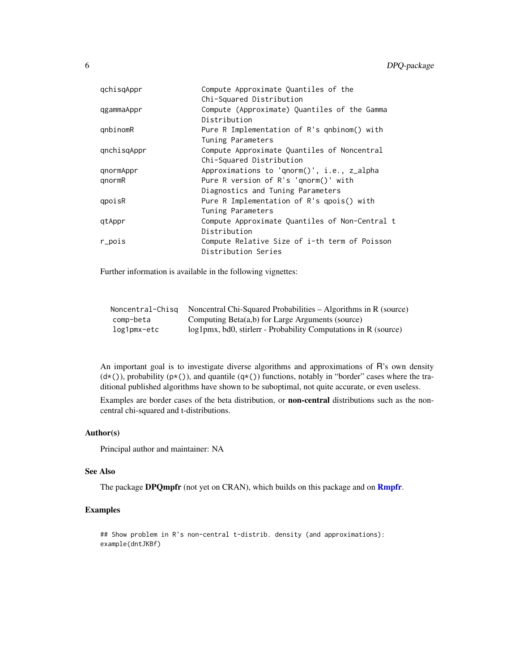| qchisqAppr  | Compute Approximate Quantiles of the           |
|-------------|------------------------------------------------|
|             | Chi-Squared Distribution                       |
| qgammaAppr  | Compute (Approximate) Quantiles of the Gamma   |
|             | Distribution                                   |
| qnbinomR    | Pure R Implementation of R's qnbinom() with    |
|             | Tuning Parameters                              |
| qnchisqAppr | Compute Approximate Quantiles of Noncentral    |
|             | Chi-Squared Distribution                       |
| qnormAppr   | Approximations to 'qnorm()', i.e., z_alpha     |
| qnormR      | Pure R version of R's 'qnorm()' with           |
|             | Diagnostics and Tuning Parameters              |
| qpoisR      | Pure R Implementation of R's qpois() with      |
|             | Tuning Parameters                              |
| gtAppr      | Compute Approximate Quantiles of Non-Central t |
|             | Distribution                                   |
| r_pois      | Compute Relative Size of i-th term of Poisson  |
|             | Distribution Series                            |

Further information is available in the following vignettes:

| Noncentral-Chisg | Noncentral Chi-Squared Probabilities $-$ Algorithms in R (source) |
|------------------|-------------------------------------------------------------------|
| comp-beta        | Computing Beta(a,b) for Large Arguments (source)                  |
| log1pmx-etc      | $log1pmx$ , bd0, stirler - Probability Computations in R (source) |

An important goal is to investigate diverse algorithms and approximations of R's own density  $(d*())$ , probability  $(p*())$ , and quantile  $(q*())$  functions, notably in "border" cases where the traditional published algorithms have shown to be suboptimal, not quite accurate, or even useless.

Examples are border cases of the beta distribution, or non-central distributions such as the noncentral chi-squared and t-distributions.

# Author(s)

Principal author and maintainer: NA

# See Also

The package DPQmpfr (not yet on CRAN), which builds on this package and on **[Rmpfr](#page-0-0).** 

```
## Show problem in R's non-central t-distrib. density (and approximations):
example(dntJKBf)
```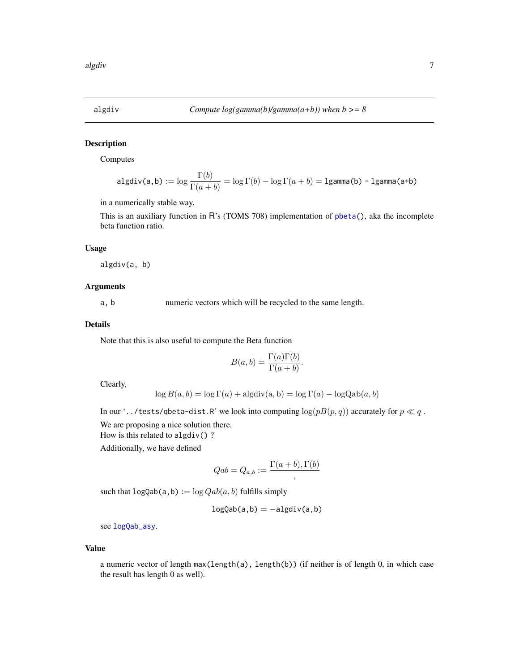<span id="page-6-1"></span><span id="page-6-0"></span>

# Description

Computes

$$
\mathrm{algdiv}(a,b) := \log \frac{\Gamma(b)}{\Gamma(a+b)} = \log \Gamma(b) - \log \Gamma(a+b) = \mathrm{lgamma}(b) - \mathrm{lgamma}(a+b)
$$

in a numerically stable way.

This is an auxiliary function in R's (TOMS 708) implementation of [pbeta\(](#page-0-0)), aka the incomplete beta function ratio.

#### Usage

algdiv(a, b)

# Arguments

a, b numeric vectors which will be recycled to the same length.

#### Details

Note that this is also useful to compute the Beta function

$$
B(a,b) = \frac{\Gamma(a)\Gamma(b)}{\Gamma(a+b)}.
$$

Clearly,

$$
\log B(a, b) = \log \Gamma(a) + \text{algdiv}(a, b) = \log \Gamma(a) - \log \text{Qab}(a, b)
$$

In our '../tests/qbeta-dist.R' we look into computing  $log(pB(p, q))$  accurately for  $p \ll q$ .

We are proposing a nice solution there.

How is this related to algdiv()?

Additionally, we have defined

$$
Qab = Q_{a,b} := \frac{\Gamma(a+b), \Gamma(b)}{2}
$$

such that  $logQab(a, b) := log Qab(a, b)$  fulfills simply

$$
logQab(a,b) = -algdiv(a,b)
$$

see [logQab\\_asy](#page-32-1).

#### Value

a numeric vector of length max(length(a), length(b)) (if neither is of length 0, in which case the result has length 0 as well).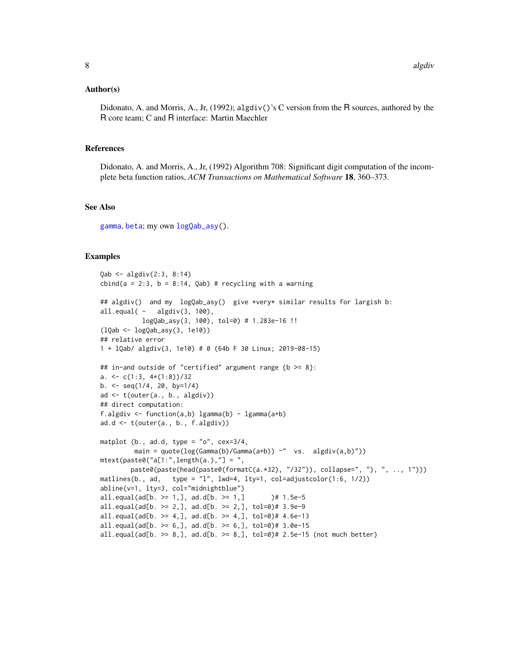#### Author(s)

Didonato, A. and Morris, A., Jr,  $(1992)$ ; algdiv()'s C version from the R sources, authored by the R core team; C and R interface: Martin Maechler

#### References

Didonato, A. and Morris, A., Jr, (1992) Algorithm 708: Significant digit computation of the incomplete beta function ratios, *ACM Transactions on Mathematical Software* 18, 360–373.

# See Also

[gamma](#page-0-0), [beta](#page-0-0); my own [logQab\\_asy\(](#page-32-1)).

```
Qab <- algdiv(2:3, 8:14)
cbind(a = 2:3, b = 8:14, Qab) # recycling with a warning
## algdiv() and my logQab_asy() give *very* similar results for largish b:
all.equal(- algdiv(3, 100),
           logQab_asy(3, 100), tol=0) # 1.283e-16 !!
(lQab <- logQab_asy(3, 1e10))
## relative error
1 + lQab/ algdiv(3, 1e10) # 0 (64b F 30 Linux; 2019-08-15)
## in-and outside of "certified" argument range {b >= 8}:
a. \leftarrow c(1:3, 4*(1:8))/32b. <- seq(1/4, 20, by=1/4)
ad <- t(outer(a., b., algdiv))
## direct computation:
f.algdiv <- function(a,b) lgamma(b) - lgamma(a+b)
ad.d <- t(outer(a., b., f.algdiv))
matplot (b., ad.d, type = "o", cex=3/4,
         main = quote(\log(Gamma(b)/Gamma(a+b)) \sim " vs. algdiv(a,b)"))mtext{text(paste0("a[1:", length(a.), "] = ",paste0(paste(head(paste0(formatC(a.*32), "/32")), collapse=", "), ", .., 1")))
matlines(b., ad, type = "l", lwd=4, lty=1, col=adjustcolor(1:6, 1/2))
abline(v=1, lty=3, col="midnightblue")
all.equal(ad[b. >= 1,], ad.d[b. >= 1,] = 1.5e-5all.equals(d[b. >= 2,], ad.d[b. >= 2,], tol=0)# 3.9e-9
all.equal(ad[b. >= 4,], ad.d[b. >= 4,], tol=0)# 4.6e-13
all.equals(d[b. >= 6,], ad.d[b. >= 6,], tol=2)# 3.0e-15
all.equal(ad[b. > = 8,], ad.d[b. > = 8,], tol=0)# 2.5e-15 (not much better)
```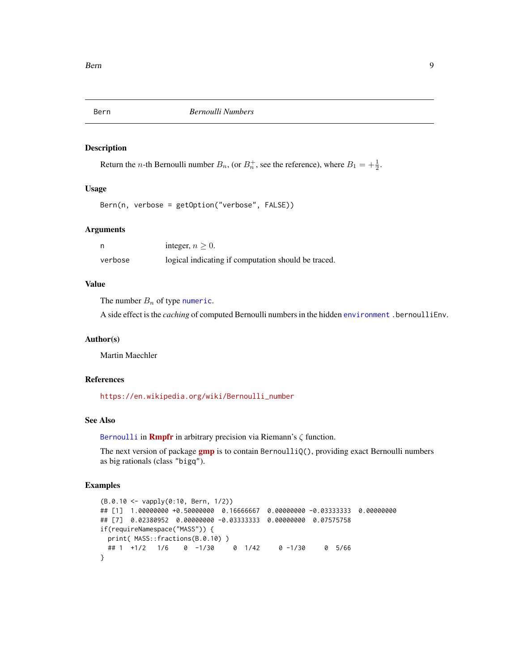<span id="page-8-0"></span>

# Description

Return the *n*-th Bernoulli number  $B_n$ , (or  $B_n^+$ , see the reference), where  $B_1 = +\frac{1}{2}$ .

#### Usage

```
Bern(n, verbose = getOption("verbose", FALSE))
```
#### Arguments

|         | integer, $n > 0$ .                                  |
|---------|-----------------------------------------------------|
| verbose | logical indicating if computation should be traced. |

# Value

The number  $B_n$  of type [numeric](#page-0-0).

A side effect is the *caching* of computed Bernoulli numbers in the hidden [environment](#page-0-0) . bernoulliEnv.

#### Author(s)

Martin Maechler

# References

[https://en.wikipedia.org/wiki/Bernoulli\\_number](https://en.wikipedia.org/wiki/Bernoulli_number)

# See Also

[Bernoulli](#page-0-0) in **[Rmpfr](https://CRAN.R-project.org/package=Rmpfr)** in arbitrary precision via Riemann's  $\zeta$  function.

The next version of package  $gmp$  is to contain Bernoulli $Q($ ), providing exact Bernoulli numbers as big rationals (class "bigq").

```
(B.0.10 <- vapply(0:10, Bern, 1/2))
## [1] 1.00000000 +0.50000000 0.16666667 0.00000000 -0.03333333 0.00000000
## [7] 0.02380952 0.00000000 -0.03333333 0.00000000 0.07575758
if(requireNamespace("MASS")) {
 print( MASS::fractions(B.0.10) )
 ## 1 +1/2 1/6 0 -1/30 0 1/42 0 -1/30 0 5/66
}
```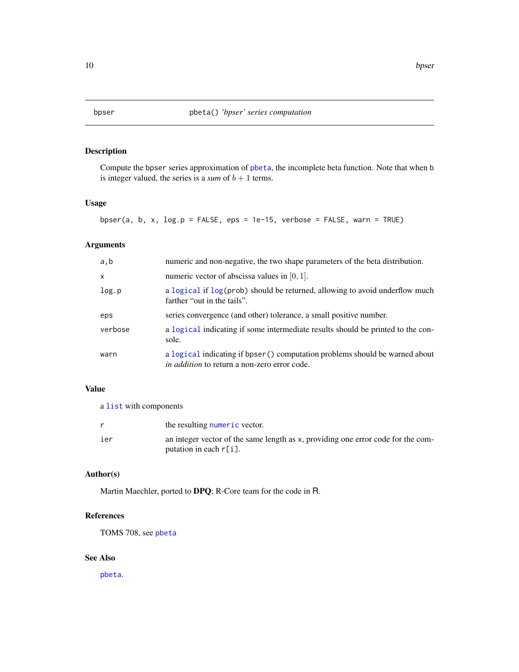# <span id="page-9-0"></span>Description

Compute the bpser series approximation of [pbeta](#page-0-0), the incomplete beta function. Note that when b is integer valued, the series is a *sum* of  $b + 1$  terms.

# Usage

bpser(a, b, x,  $log.p = FALSE$ , eps = 1e-15, verbose = FALSE, warn = TRUE)

# Arguments

| a, b         | numeric and non-negative, the two shape parameters of the beta distribution.                                                        |
|--------------|-------------------------------------------------------------------------------------------------------------------------------------|
| $\mathsf{x}$ | numeric vector of abscissa values in $[0, 1]$ .                                                                                     |
| log.p        | a logical if log(prob) should be returned, allowing to avoid underflow much<br>farther "out in the tails".                          |
| eps          | series convergence (and other) tolerance, a small positive number.                                                                  |
| verbose      | a logical indicating if some intermediate results should be printed to the con-<br>sole.                                            |
| warn         | a logical indicating if bpser () computation problems should be warned about<br><i>in addition</i> to return a non-zero error code. |

# Value

a [list](#page-0-0) with components

|     | the resulting numeric vector.                                                                                 |
|-----|---------------------------------------------------------------------------------------------------------------|
| ier | an integer vector of the same length as x, providing one error code for the com-<br>putation in each $r[i]$ . |
|     |                                                                                                               |

#### Author(s)

Martin Maechler, ported to DPQ; R-Core team for the code in R.

# References

TOMS 708, see [pbeta](#page-0-0)

# See Also

[pbeta](#page-0-0).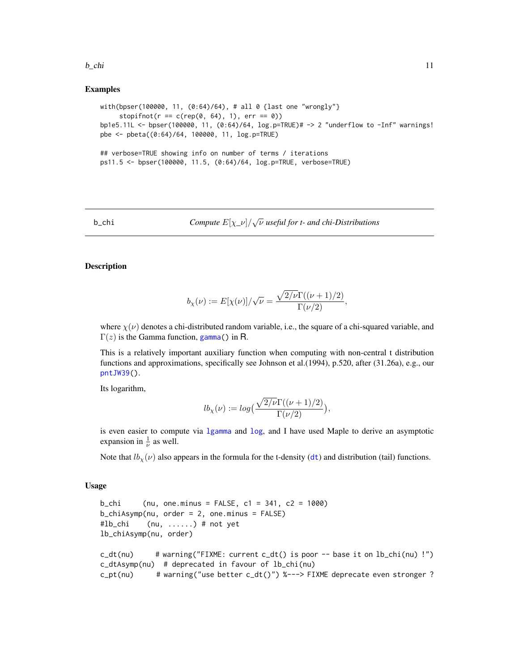#### <span id="page-10-0"></span> $b_{\text{L}}$ chi 11

# Examples

```
with(bpser(100000, 11, (0:64)/64), # all 0 {last one "wrongly"}
     stopifnot(r == c(rep(0, 64), 1), err == 0))bp1e5.11L <- bpser(100000, 11, (0:64)/64, log.p=TRUE)# -> 2 "underflow to -Inf" warnings!
pbe <- pbeta((0:64)/64, 100000, 11, log.p=TRUE)
## verbose=TRUE showing info on number of terms / iterations
ps11.5 <- bpser(100000, 11.5, (0:64)/64, log.p=TRUE, verbose=TRUE)
```
b\_chi *Compute*  $E[\chi_{\perp} \nu]/\sqrt{\nu}$  *useful for t- and chi-Distributions* 

# Description

$$
b_{\chi}(\nu) := E[\chi(\nu)]/\sqrt{\nu} = \frac{\sqrt{2/\nu}\Gamma((\nu+1)/2)}{\Gamma(\nu/2)}
$$

where  $\chi(\nu)$  denotes a chi-distributed random variable, i.e., the square of a chi-squared variable, and  $\Gamma(z)$  is the Gamma function, [gamma\(](#page-0-0)) in R.

This is a relatively important auxiliary function when computing with non-central t distribution functions and approximations, specifically see Johnson et al.(1994), p.520, after (31.26a), e.g., our [pntJW39\(](#page-86-1)).

Its logarithm,

$$
lb_{\chi}(\nu) := log\Big(\frac{\sqrt{2/\nu}\Gamma((\nu+1)/2)}{\Gamma(\nu/2)}\Big),\,
$$

is even easier to compute via [lgamma](#page-0-0) and [log](#page-0-0), and I have used Maple to derive an asymptotic expansion in  $\frac{1}{\nu}$  as well.

Note that  $lb_x(v)$  also appears in the formula for the t-density ([dt](#page-0-0)) and distribution (tail) functions.

# Usage

```
b_{\text{th}} (nu, one.minus = FALSE, c1 = 341, c2 = 1000)
b_chiAsymp(nu, order = 2, one.minus = FALSE)
#lb_chi (nu, ......) # not yet
lb_chiAsymp(nu, order)
c_dt(nu) # warning("FIXME: current c_dt() is poor -- base it on lb_chi(nu) !")
c_dtAsymp(nu) # deprecated in favour of lb_chi(nu)
c_pt(nu) # warning("use better c_dt()") %---> FIXME deprecate even stronger ?
```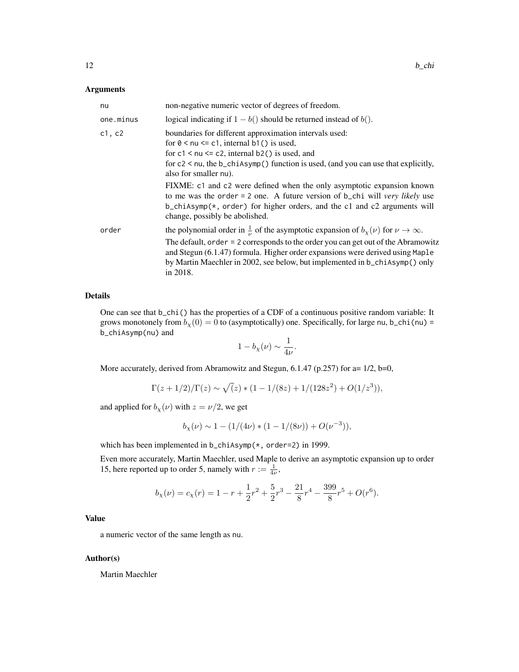#### Arguments

| nu        | non-negative numeric vector of degrees of freedom.                                                                                                                                                                                                                                                                                                                                                                                                                                                                                                                            |
|-----------|-------------------------------------------------------------------------------------------------------------------------------------------------------------------------------------------------------------------------------------------------------------------------------------------------------------------------------------------------------------------------------------------------------------------------------------------------------------------------------------------------------------------------------------------------------------------------------|
| one.minus | logical indicating if $1 - b()$ should be returned instead of $b()$ .                                                                                                                                                                                                                                                                                                                                                                                                                                                                                                         |
| c1, c2    | boundaries for different approximation intervals used:<br>for $0 \leq \mu \leq c1$ , internal b1() is used,<br>for $c1 \leq nu \leq c2$ , internal b2() is used, and<br>for $c2 < \nu$ , the b_chiAsymp() function is used, (and you can use that explicitly,<br>also for smaller nu).<br>FIXME: c1 and c2 were defined when the only asymptotic expansion known<br>to me was the order = 2 one. A future version of $b$ _chi will very likely use<br>$b_{\text{c}}$ chiAsymp(*, order) for higher orders, and the c1 and c2 arguments will<br>change, possibly be abolished. |
| order     | the polynomial order in $\frac{1}{\nu}$ of the asymptotic expansion of $b_{\chi}(\nu)$ for $\nu \to \infty$ .<br>The default, order = 2 corresponds to the order you can get out of the Abramowitz<br>and Stegun (6.1.47) formula. Higher order expansions were derived using Maple<br>by Martin Maechler in 2002, see below, but implemented in b_chiAsymp() only<br>in 2018.                                                                                                                                                                                                |

# Details

One can see that  $b_{\text{c}}$ chi() has the properties of a CDF of a continuous positive random variable: It grows monotonely from  $b_X(0) = 0$  to (asymptotically) one. Specifically, for large nu, b\_chi(nu) = b\_chiAsymp(nu) and

$$
1 - b_{\chi}(\nu) \sim \frac{1}{4\nu}.
$$

More accurately, derived from Abramowitz and Stegun, 6.1.47 (p.257) for a= 1/2, b=0,

$$
\Gamma(z+1/2)/\Gamma(z) \sim \sqrt{(z)*(1-1/(8z)+1/(128z^2)+O(1/z^3))},
$$

and applied for  $b_{\chi}(\nu)$  with  $z = \nu/2$ , we get

$$
b_{\chi}(\nu) \sim 1 - (1/(4\nu) * (1 - 1/(8\nu)) + O(\nu^{-3})),
$$

which has been implemented in b\_chiAsymp( $*$ , order=2) in 1999.

Even more accurately, Martin Maechler, used Maple to derive an asymptotic expansion up to order 15, here reported up to order 5, namely with  $r := \frac{1}{4\nu}$ ,

$$
b_{\chi}(\nu) = c_{\chi}(r) = 1 - r + \frac{1}{2}r^{2} + \frac{5}{2}r^{3} - \frac{21}{8}r^{4} - \frac{399}{8}r^{5} + O(r^{6}).
$$

# Value

a numeric vector of the same length as nu.

# Author(s)

Martin Maechler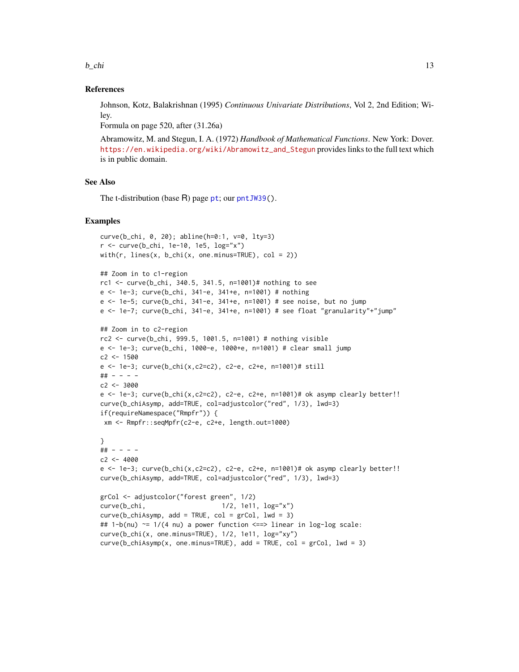$b_{\text{L}}$ chi 13

# References

Johnson, Kotz, Balakrishnan (1995) *Continuous Univariate Distributions*, Vol 2, 2nd Edition; Wiley.

Formula on page 520, after (31.26a)

Abramowitz, M. and Stegun, I. A. (1972) *Handbook of Mathematical Functions*. New York: Dover. [https://en.wikipedia.org/wiki/Abramowitz\\_and\\_Stegun](https://en.wikipedia.org/wiki/Abramowitz_and_Stegun) provides links to the full text which is in public domain.

# See Also

The t-distribution (base R) page [pt](#page-0-0); our [pntJW39\(](#page-86-1)).

```
curve(b_chi, 0, 20); abline(h=0:1, v=0, lty=3)
r <- curve(b_chi, 1e-10, 1e5, log="x")
with(r, lines(x, b_chi(x, one.minus=TRUE), col = 2))
## Zoom in to c1-region
rc1 <- curve(b_chi, 340.5, 341.5, n=1001)# nothing to see
e <- 1e-3; curve(b_chi, 341-e, 341+e, n=1001) # nothing
e <- 1e-5; curve(b_chi, 341-e, 341+e, n=1001) # see noise, but no jump
e <- 1e-7; curve(b_chi, 341-e, 341+e, n=1001) # see float "granularity"+"jump"
## Zoom in to c2-region
rc2 <- curve(b_chi, 999.5, 1001.5, n=1001) # nothing visible
e <- 1e-3; curve(b_chi, 1000-e, 1000+e, n=1001) # clear small jump
c2 < -1500e <- 1e-3; curve(b_chi(x,c2=c2), c2-e, c2+e, n=1001)# still
## - - - -
c2 < -3000e \le 1e-3; curve(b_chi(x,c2=c2), c2-e, c2+e, n=1001)# ok asymp clearly better!!
curve(b_chiAsymp, add=TRUE, col=adjustcolor("red", 1/3), lwd=3)
if(requireNamespace("Rmpfr")) {
xm <- Rmpfr::seqMpfr(c2-e, c2+e, length.out=1000)
}
## - - - -
c2 < -4000e \le -1e-3; curve(b_chi(x,c2=c2), c2-e, c2+e, n=1001)# ok asymp clearly better!!
curve(b_chiAsymp, add=TRUE, col=adjustcolor("red", 1/3), lwd=3)
grCol <- adjustcolor("forest green", 1/2)
curve(b_chi, 1/2, 1e11, log="x")
curve(b{\_}chiAsymp, add = TRUE, col = grCol, lwd = 3)## 1-b(nu) ~= 1/(4 nu) a power function <==> linear in log-log scale:
curve(b_chi(x, one.minus=TRUE), 1/2, 1e11, log="xy")
curve(b{\_}chiAsymp(x, one.minus=TRUE), add = TRUE, col = grCol, lwd = 3)
```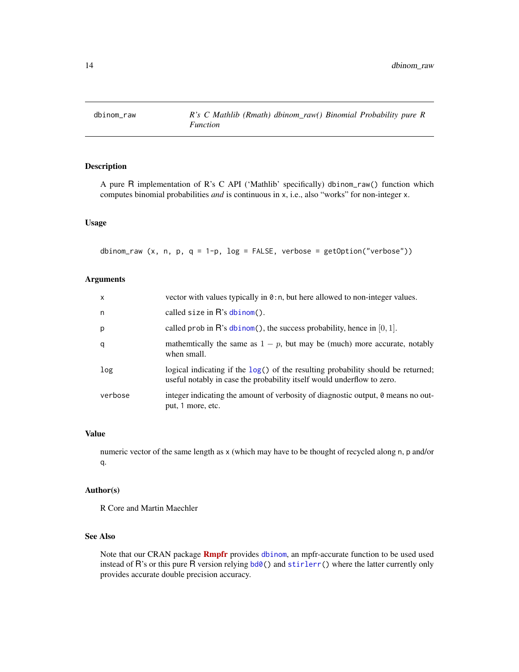<span id="page-13-1"></span><span id="page-13-0"></span>

# Description

A pure R implementation of R's C API ('Mathlib' specifically) dbinom\_raw() function which computes binomial probabilities *and* is continuous in x, i.e., also "works" for non-integer x.

# Usage

dbinom\_raw (x, n, p, q = 1-p, log = FALSE, verbose = getOption("verbose"))

# Arguments

| $\mathsf{x}$ | vector with values typically in 0:n, but here allowed to non-integer values.                                                                                 |
|--------------|--------------------------------------------------------------------------------------------------------------------------------------------------------------|
| n            | called size in $R$ 's dbinom().                                                                                                                              |
| p            | called prob in $\mathbb{R}$ 's dbinom(), the success probability, hence in [0, 1].                                                                           |
| q            | mathemically the same as $1 - p$ , but may be (much) more accurate, notably<br>when small.                                                                   |
| log          | logical indicating if the $log()$ of the resulting probability should be returned;<br>useful notably in case the probability itself would underflow to zero. |
| verbose      | integer indicating the amount of verbosity of diagnostic output, $\theta$ means no out-<br>put, 1 more, etc.                                                 |

# Value

numeric vector of the same length as x (which may have to be thought of recycled along n, p and/or q.

# Author(s)

R Core and Martin Maechler

# See Also

Note that our CRAN package **[Rmpfr](https://CRAN.R-project.org/package=Rmpfr)** provides [dbinom](#page-0-0), an mpfr-accurate function to be used used instead of R's or this pure R version relying  $\text{bd0}()$  and  $\text{stirlerr}()$  where the latter currently only provides accurate double precision accuracy.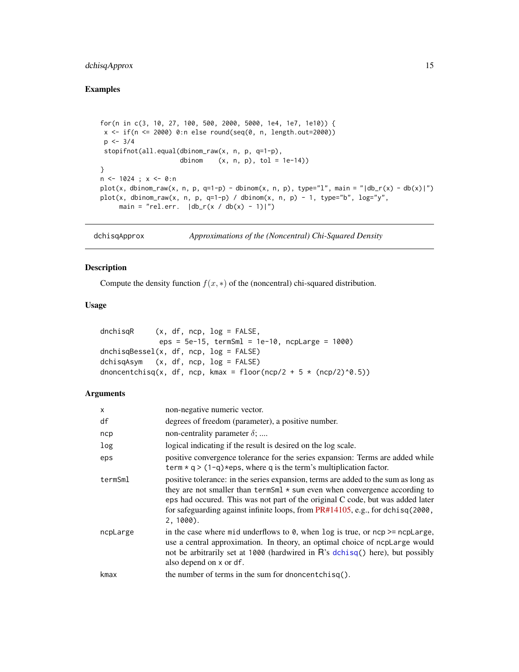# <span id="page-14-0"></span>dchisqApprox 15

# Examples

```
for(n in c(3, 10, 27, 100, 500, 2000, 5000, 1e4, 1e7, 1e10)) {
x \leq if(n \leq 2000) 0:n else round(seq(0, n, length.out=2000))
 p \le -3/4stopifnot(all.equal(dbinom_raw(x, n, p, q=1-p),
                     dbinom (x, n, p), tol = 1e-14))
}
n \le -1024; x \le -0:nplot(x, dbinom_rraw(x, n, p, q=1-p) - dbinom(x, n, p), type="1", main = "|db_r(x) - db(x)|")plot(x, dbinom_{raw}(x, n, p, q=1-p) / dbinom(x, n, p) - 1, type="b", log='y",main = "rel.err. |db_r(x / db(x) - 1)|")
```
dchisqApprox *Approximations of the (Noncentral) Chi-Squared Density*

# Description

Compute the density function  $f(x, *)$  of the (noncentral) chi-squared distribution.

# Usage

| dnchisaR | $(x, df, ncp, log = FALSE,$                                      |  |
|----------|------------------------------------------------------------------|--|
|          | eps = $5e-15$ , termSml = $1e-10$ , ncpLarge = $1000$ )          |  |
|          | dnchisqBessel(x, df, ncp, log = FALSE)                           |  |
|          | dchisqAsym (x, df, ncp, log = FALSE)                             |  |
|          | dnoncentchisq(x, df, ncp, kmax = floor(ncp/2 + 5 * (ncp/2)^0.5)) |  |

#### Arguments

| $\mathsf{x}$ | non-negative numeric vector.                                                                                                                                                                                                                                                                                                                                            |
|--------------|-------------------------------------------------------------------------------------------------------------------------------------------------------------------------------------------------------------------------------------------------------------------------------------------------------------------------------------------------------------------------|
| df           | degrees of freedom (parameter), a positive number.                                                                                                                                                                                                                                                                                                                      |
| ncp          | non-centrality parameter $\delta$ ;                                                                                                                                                                                                                                                                                                                                     |
| log          | logical indicating if the result is desired on the log scale.                                                                                                                                                                                                                                                                                                           |
| eps          | positive convergence tolerance for the series expansion: Terms are added while<br>term $* q$ > (1-q) $*eps$ , where q is the term's multiplication factor.                                                                                                                                                                                                              |
| termSml      | positive tolerance: in the series expansion, terms are added to the sum as long as<br>they are not smaller than $\text{termSm1} * \text{sum}$ even when convergence according to<br>eps had occurred. This was not part of the original C code, but was added later<br>for safeguarding against infinite loops, from $PR#14105$ , e.g., for dchisq(2000,<br>$2, 1000$ . |
| ncpLarge     | in the case where mid underflows to $\theta$ , when log is true, or ncp $\geq$ = ncpLarge,<br>use a central approximation. In theory, an optimal choice of ncplarge would<br>not be arbitrarily set at 1000 (hardwired in R's dchisq() here), but possibly<br>also depend on x or df.                                                                                   |
| kmax         | the number of terms in the sum for dnoncent chisq().                                                                                                                                                                                                                                                                                                                    |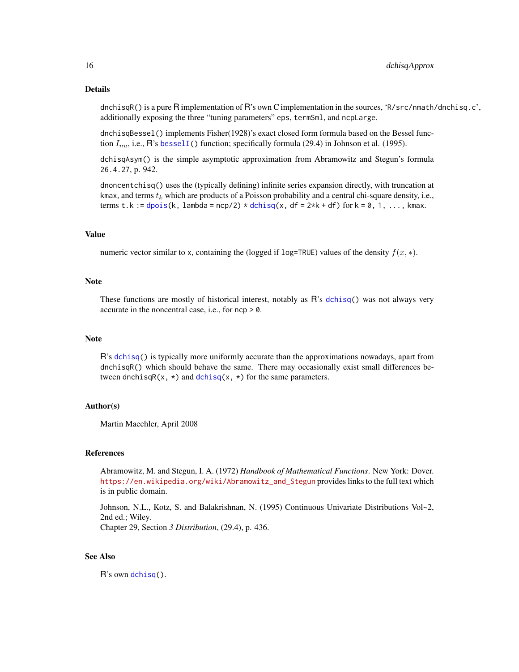#### Details

dnchisqR() is a pure R implementation of R's own C implementation in the sources, 'R/src/nmath/dnchisq.c', additionally exposing the three "tuning parameters" eps, termSml, and ncpLarge.

dnchisqBessel() implements Fisher(1928)'s exact closed form formula based on the Bessel function  $I_{nu}$ , i.e., R's [besselI\(](#page-0-0)) function; specifically formula (29.4) in Johnson et al. (1995).

dchisqAsym() is the simple asymptotic approximation from Abramowitz and Stegun's formula 26.4.27, p. 942.

dnoncentchisq() uses the (typically defining) infinite series expansion directly, with truncation at kmax, and terms  $t_k$  which are products of a Poisson probability and a central chi-square density, i.e., terms t.k := [dpois\(](#page-0-0)k, lambda =  $ncp/2$ ) \* [dchisq\(](#page-0-0)x, df =  $2*k$ + df) for k = 0, 1, ..., kmax.

#### Value

numeric vector similar to x, containing the (logged if log=TRUE) values of the density  $f(x, *)$ .

#### Note

These functions are mostly of historical interest, notably as R's [dchisq\(](#page-0-0)) was not always very accurate in the noncentral case, i.e., for ncp > 0.

#### **Note**

R's [dchisq\(](#page-0-0)) is typically more uniformly accurate than the approximations nowadays, apart from dnchisqR() which should behave the same. There may occasionally exist small differences between dnchisqR(x,  $\star$ ) and [dchisq\(](#page-0-0)x,  $\star$ ) for the same parameters.

#### Author(s)

Martin Maechler, April 2008

# References

Abramowitz, M. and Stegun, I. A. (1972) *Handbook of Mathematical Functions*. New York: Dover. [https://en.wikipedia.org/wiki/Abramowitz\\_and\\_Stegun](https://en.wikipedia.org/wiki/Abramowitz_and_Stegun) provides links to the full text which is in public domain.

Johnson, N.L., Kotz, S. and Balakrishnan, N. (1995) Continuous Univariate Distributions Vol~2, 2nd ed.; Wiley.

Chapter 29, Section *3 Distribution*, (29.4), p. 436.

# See Also

R's own [dchisq\(](#page-0-0)).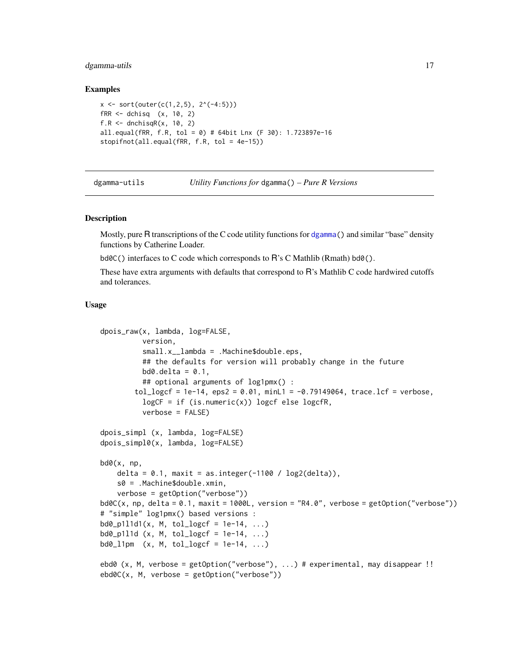# <span id="page-16-0"></span>dgamma-utils 17

#### Examples

```
x \leftarrow sort(out(c(1, 2, 5), 2^(-4:5)))fRR \leq - dchisq (x, 10, 2)f.R \leq dnchisqR(x, 10, 2)all.equal(fRR, f.R, tol = 0) # 64bit Lnx (F 30): 1.723897e-16
stopifnot(all.equal(fRR, f.R, tol = 4e-15))
```
dgamma-utils *Utility Functions for* dgamma() *– Pure R Versions*

#### <span id="page-16-1"></span>Description

Mostly, pure R transcriptions of the C code utility functions for [dgamma\(](#page-0-0)) and similar "base" density functions by Catherine Loader.

bd0C() interfaces to C code which corresponds to R's C Mathlib (Rmath) bd0().

These have extra arguments with defaults that correspond to R's Mathlib C code hardwired cutoffs and tolerances.

#### Usage

```
dpois_raw(x, lambda, log=FALSE,
          version,
          small.x__lambda = .Machine$double.eps,
          ## the defaults for version will probably change in the future
          \text{bd0.delta} = 0.1,
          ## optional arguments of log1pmx() :
        tol_logcf = 1e-14, eps2 = 0.01, minL1 = -0.79149064, trace.lcf = verbose,
          log CF = if (is.numeric(x)) logcf else logcFR,verbose = FALSE)
dpois_simpl (x, lambda, log=FALSE)
dpois_simpl0(x, lambda, log=FALSE)
bd0(x, np,
    delta = 0.1, maxit = as.integer(-1100 / log2(delta)),
    s0 = .Machine$double.xmin,
    verbose = getOption("verbose"))
bd0C(x, np, delta = 0.1, maxit = 1000L, version = "R4.0", verbose = getOption("verbose"))
# "simple" log1pmx() based versions :
bd0_p111d1(x, M, tol_logcf = 1e-14, ...)bd0_p111d (x, M, tol_logcf = 1e-14, ...)
\text{bd}\varphi_1\text{1pm} (x, M, tol_logcf = 1e-14, ...)
ebd0 (x, M, verbose = getOption("verbose"), ...) # experimental, may disappear !!
ebd0C(x, M, verbose = getOption("verbose"))
```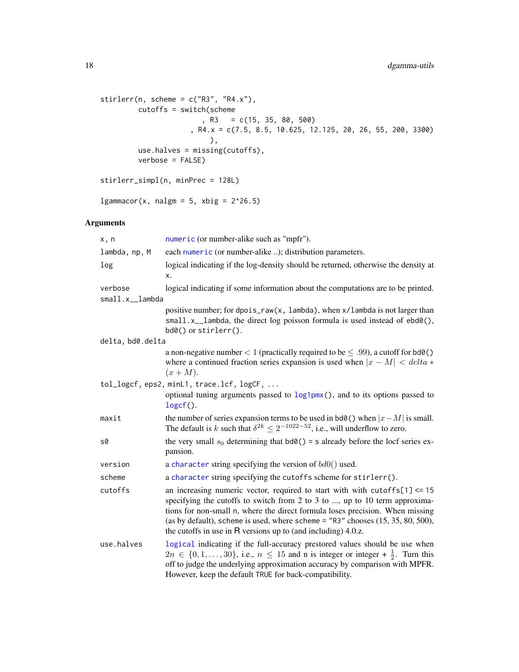```
stirlerr(n, scheme = c("R3", "R4.x"),cutoffs = switch(scheme
                       , R3 = c(15, 35, 80, 500), R4.x = c(7.5, 8.5, 10.625, 12.125, 20, 26, 55, 200, 3300)
                        ),
        use.halves = missing(cutoffs),
        verbose = FALSE)
stirlerr_simpl(n, minPrec = 128L)
```
 $lgammacor(x, nalgm = 5, xbig = 2^26.5)$ 

# Arguments

| x, n             | numeric (or number-alike such as "mpfr").                                                                                                                                                                                                                                                                                                                                                                |
|------------------|----------------------------------------------------------------------------------------------------------------------------------------------------------------------------------------------------------------------------------------------------------------------------------------------------------------------------------------------------------------------------------------------------------|
| lambda, np, M    | each numeric (or number-alike ); distribution parameters.                                                                                                                                                                                                                                                                                                                                                |
| log              | logical indicating if the log-density should be returned, otherwise the density at<br>x.                                                                                                                                                                                                                                                                                                                 |
| verbose          | logical indicating if some information about the computations are to be printed.                                                                                                                                                                                                                                                                                                                         |
| small.x__lambda  |                                                                                                                                                                                                                                                                                                                                                                                                          |
|                  | positive number; for dpois_raw(x, lambda), when x/lambda is not larger than<br>small.x_lambda, the direct log poisson formula is used instead of ebd0(),<br>$\text{bd0}()$ or stirlerr().                                                                                                                                                                                                                |
| delta, bd0.delta |                                                                                                                                                                                                                                                                                                                                                                                                          |
|                  | a non-negative number $< 1$ (practically required to be $\leq .99$ ), a cutoff for bd $\theta$ ()<br>where a continued fraction series expansion is used when $ x - M  < delta *$<br>$(x+M).$                                                                                                                                                                                                            |
|                  | tol_logcf, eps2, minL1, trace.lcf, logCF,                                                                                                                                                                                                                                                                                                                                                                |
|                  | optional tuning arguments passed to $\log 1pm(x)$ , and to its options passed to<br>$logcf()$ .                                                                                                                                                                                                                                                                                                          |
| maxit            | the number of series expansion terms to be used in bd $\Theta$ () when $ x-M $ is small.<br>The default is k such that $\delta^{2k} \leq 2^{-1022-52}$ , i.e., will underflow to zero.                                                                                                                                                                                                                   |
| s0               | the very small $s_0$ determining that $\text{bd}\theta() = \text{s}$ already before the locf series ex-<br>pansion.                                                                                                                                                                                                                                                                                      |
| version          | a character string specifying the version of $bd0()$ used.                                                                                                                                                                                                                                                                                                                                               |
| scheme           | a character string specifying the cutoffs scheme for stirlerr().                                                                                                                                                                                                                                                                                                                                         |
| cutoffs          | an increasing numeric vector, required to start with with cutoffs $[1] \le 15$<br>specifying the cutoffs to switch from 2 to 3 to , up to 10 term approxima-<br>tions for non-small n, where the direct formula loses precision. When missing<br>(as by default), scheme is used, where scheme = $"R3"$ chooses $(15, 35, 80, 500)$ ,<br>the cutoffs in use in $R$ versions up to (and including) 4.0.z. |
| use.halves       | logical indicating if the full-accuracy prestored values should be use when<br>$2n \in \{0, 1, \ldots, 30\}$ , i.e., $n \leq 15$ and n is integer or integer + $\frac{1}{2}$ . Turn this<br>off to judge the underlying approximation accuracy by comparison with MPFR.<br>However, keep the default TRUE for back-compatibility.                                                                        |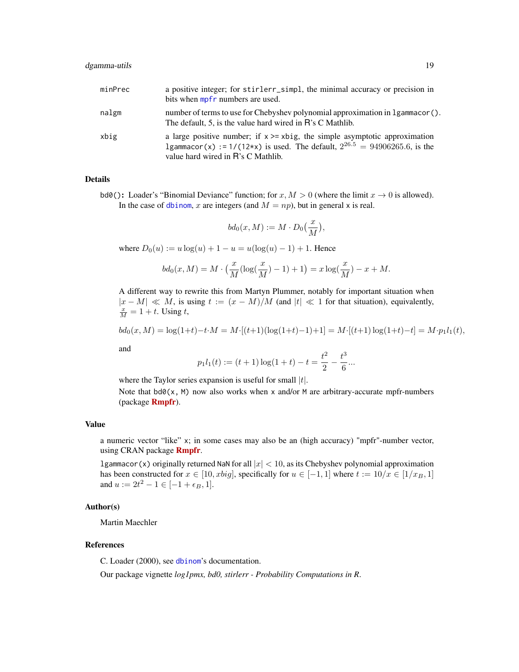# dgamma-utils 19

| minPrec | a positive integer; for stirlerr_simpl, the minimal accuracy or precision in<br>bits when mpfr numbers are used.                                                                                            |
|---------|-------------------------------------------------------------------------------------------------------------------------------------------------------------------------------------------------------------|
| nalgm   | number of terms to use for Chebyshev polynomial approximation in 1 gammacor().<br>The default, 5, is the value hard wired in R's C Mathlib.                                                                 |
| xbig    | a large positive number; if $x \ge -x \le y$ , the simple asymptotic approximation<br>1gammacor(x) := 1/(12*x) is used. The default, $2^{26.5} = 94906265.6$ , is the<br>value hard wired in R's C Mathlib. |

#### Details

bd0(): Loader's "Binomial Deviance" function; for  $x, M > 0$  (where the limit  $x \to 0$  is allowed). In the case of [dbinom](#page-0-0), x are integers (and  $M = np$ ), but in general x is real.

$$
bd_0(x,M) := M \cdot D_0\left(\frac{x}{M}\right),
$$

where  $D_0(u) := u \log(u) + 1 - u = u(\log(u) - 1) + 1$ . Hence

$$
bd_0(x, M) = M \cdot \left(\frac{x}{M} (\log(\frac{x}{M}) - 1) + 1\right) = x \log(\frac{x}{M}) - x + M.
$$

A different way to rewrite this from Martyn Plummer, notably for important situation when  $|x - M| \ll M$ , is using  $t := (x - M)/M$  (and  $|t| \ll 1$  for that situation), equivalently,  $\frac{x}{M} = 1 + t$ . Using  $t$ ,

$$
bd_0(x,M) = \log(1+t) - t \cdot M = M \cdot [(t+1)(\log(1+t)-1)+1] = M \cdot [(t+1)\log(1+t)-t] = M \cdot p_1 l_1(t),
$$

and

$$
p_1 l_1(t) := (t+1)\log(1+t) - t = \frac{t^2}{2} - \frac{t^3}{6}...
$$

where the Taylor series expansion is useful for small  $|t|$ .

Note that  $bd0(x, M)$  now also works when x and/or M are arbitrary-accurate mpfr-numbers (package [Rmpfr](https://CRAN.R-project.org/package=Rmpfr)).

#### Value

a numeric vector "like" x; in some cases may also be an (high accuracy) "mpfr"-number vector, using CRAN package **[Rmpfr](https://CRAN.R-project.org/package=Rmpfr).** 

lgammacor(x) originally returned NaN for all  $|x| < 10$ , as its Chebyshev polynomial approximation has been constructed for  $x \in [10, xbig]$ , specifically for  $u \in [-1, 1]$  where  $t := 10/x \in [1/x_B, 1]$ and  $u := 2t^2 - 1 \in [-1 + \epsilon_B, 1].$ 

# Author(s)

Martin Maechler

# References

C. Loader (2000), see [dbinom](#page-0-0)'s documentation.

Our package vignette *log1pmx, bd0, stirlerr - Probability Computations in R*.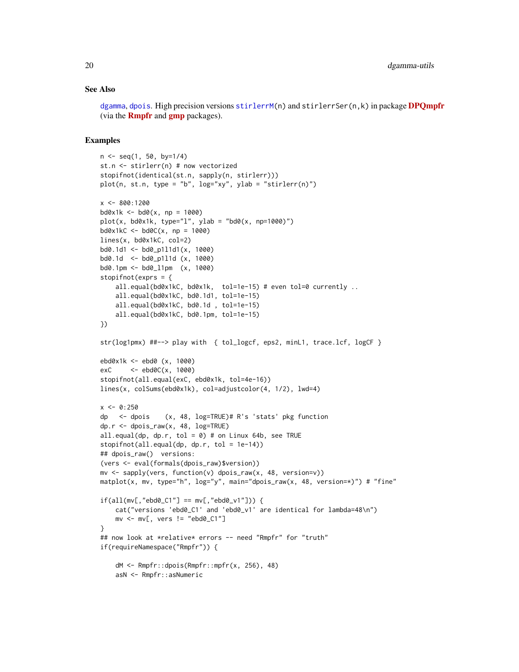#### See Also

[dgamma](#page-0-0), [dpois](#page-0-0). High precision versions [stirlerrM\(](#page-0-0)n) and stirlerrSer(n,k) in package [DPQmpfr](https://CRAN.R-project.org/package=DPQmpfr) (via the **[Rmpfr](https://CRAN.R-project.org/package=Rmpfr)** and  $\text{gmp}$  $\text{gmp}$  $\text{gmp}$  packages).

```
n <- seq(1, 50, by=1/4)
st.n <- stirlerr(n) # now vectorized
stopifnot(identical(st.n, sapply(n, stirlerr)))
plot(n, st.n, type = "b", log="xy", ylab = "stirlerr(n)")
x <- 800:1200
bd0x1k < - bd0(x, np = 1000)plot(x, bd0x1k, type="1", ylab = "bd0(x, np=1000)")bd0x1kC < - bd0C(x, np = 1000)lines(x, bd0x1kC, col=2)
bd0.1d1 <- bd0_p1l1d1(x, 1000)
bd0.1d <- bd0_p1l1d (x, 1000)
bd0.1pm <- bd0_l1pm (x, 1000)
stopifnot(exprs = {
    all.equal(bd0x1kC, bd0x1k, tol=1e-15) # even tol=0 currently ..
    all.equal(bd0x1kC, bd0.1d1, tol=1e-15)
    all.equal(bd0x1kC, bd0.1d , tol=1e-15)
    all.equal(bd0x1kC, bd0.1pm, tol=1e-15)
})
str(log1pmx) ##--> play with { tol_logcf, eps2, minL1, trace.lcf, logCF }
ebd0x1k <- ebd0 (x, 1000)
exC <- ebd0C(x, 1000)
stopifnot(all.equal(exC, ebd0x1k, tol=4e-16))
lines(x, colSums(ebd0x1k), col=adjustcolor(4, 1/2), lwd=4)
x < -0:250dp <- dpois (x, 48, log=TRUE)# R's 'stats' pkg function
dp.r <- dpois_raw(x, 48, log=TRUE)
all.equal(dp, dp.r, tol = 0) # on Linux 64b, see TRUE
stopifnot(all.equal(dp, dp.r, tol = 1e-14))
## dpois_raw() versions:
(vers <- eval(formals(dpois_raw)$version))
mv <- sapply(vers, function(v) dpois_raw(x, 48, version=v))
matplot(x, mv, type="h", log="y", main="dpois_raw(x, 48, version=*)") # "fine"
if(all(mv[, "ebd0_C1"] == mv[, "ebd0_v1"]) {
    cat("versions 'ebd0_C1' and 'ebd0_v1' are identical for lambda=48\n")
    mv \leq -mv[, vers != "ebd0_C1"]
}
## now look at *relative* errors -- need "Rmpfr" for "truth"
if(requireNamespace("Rmpfr")) {
    dM <- Rmpfr::dpois(Rmpfr::mpfr(x, 256), 48)
    asN <- Rmpfr::asNumeric
```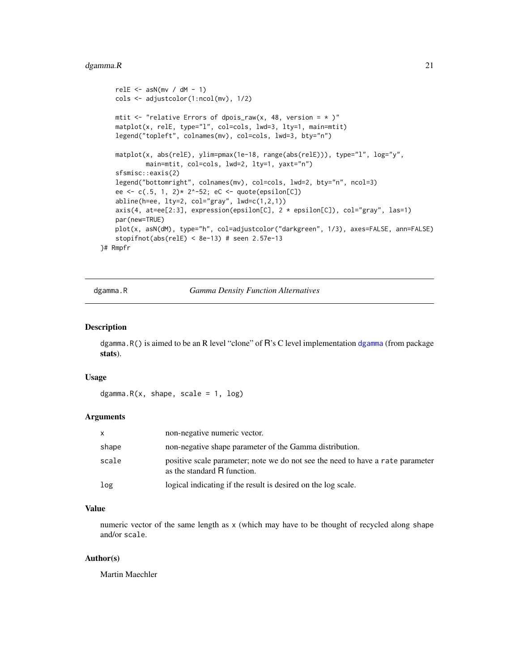#### <span id="page-20-0"></span>dgamma. $R$  21

```
relE \leq asN(mv / dM - 1)
   cols <- adjustcolor(1:ncol(mv), 1/2)
   mtit \leq "relative Errors of dpois_raw(x, 48, version = \star )"
   matplot(x, relE, type="l", col=cols, lwd=3, lty=1, main=mtit)
    legend("topleft", colnames(mv), col=cols, lwd=3, bty="n")
   matplot(x, abs(relE), ylim=pmax(1e-18, range(abs(relE))), type="l", log="y",
            main=mtit, col=cols, lwd=2, lty=1, yaxt="n")
    sfsmisc::eaxis(2)
    legend("bottomright", colnames(mv), col=cols, lwd=2, bty="n", ncol=3)
    ee <- c(.5, 1, 2)* 2^-52; eC <- quote(epsilon[C])
    abline(h=ee, 1ty=2, col="gray", 1wd=c(1,2,1))axis(4, at=ee[2:3], expression(epsilon[C], 2 * epsilon[C]), col="gray", las=1)
   par(new=TRUE)
   plot(x, asN(dM), type="h", col=adjustcolor("darkgreen", 1/3), axes=FALSE, ann=FALSE)
    stopifnot(abs(relE) < 8e-13) # seen 2.57e-13
}# Rmpfr
```
dgamma.R *Gamma Density Function Alternatives*

### Description

dgamma.R() is aimed to be an R level "clone" of R's C level implementation [dgamma](#page-0-0) (from package stats).

#### Usage

```
dgamma.R(x, shape, scale = 1, log)
```
#### Arguments

| X     | non-negative numeric vector.                                                                                  |
|-------|---------------------------------------------------------------------------------------------------------------|
| shape | non-negative shape parameter of the Gamma distribution.                                                       |
| scale | positive scale parameter; note we do not see the need to have a rate parameter<br>as the standard R function. |
| log   | logical indicating if the result is desired on the log scale.                                                 |

# Value

numeric vector of the same length as x (which may have to be thought of recycled along shape and/or scale.

#### Author(s)

Martin Maechler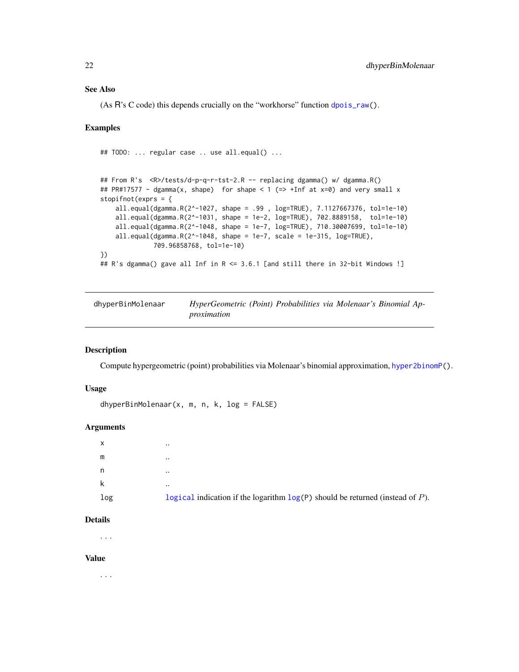# <span id="page-21-0"></span>See Also

(As  $\overline{R}$ 's C code) this depends crucially on the "workhorse" function [dpois\\_raw\(](#page-16-1)).

#### Examples

```
## TODO: ... regular case .. use all.equal() ...
## From R's <R>/tests/d-p-q-r-tst-2.R -- replacing dgamma() w/ dgamma.R()
## PR#17577 - dgamma(x, shape) for shape < 1 (=> +Inf at x=0) and very small x
stopifnot(exprs = {
   all.equal(dgamma.R(2^-1027, shape = .99 , log=TRUE), 7.1127667376, tol=1e-10)
   all.equal(dgamma.R(2^-1031, shape = 1e-2, log=TRUE), 702.8889158, tol=1e-10)
   all.equal(dgamma.R(2^-1048, shape = 1e-7, log=TRUE), 710.30007699, tol=1e-10)
   all.equal(dgamma.R(2^-1048, shape = 1e-7, scale = 1e-315, log=TRUE),
             709.96858768, tol=1e-10)
})
## R's dgamma() gave all Inf in R <= 3.6.1 [and still there in 32-bit Windows !]
```
<span id="page-21-1"></span>

| dhyperBinMolenaar | HyperGeometric (Point) Probabilities via Molenaar's Binomial Ap- |  |
|-------------------|------------------------------------------------------------------|--|
|                   | proximation                                                      |  |

# Description

Compute hypergeometric (point) probabilities via Molenaar's binomial approximation, [hyper2binomP\(](#page-31-1)).

#### Usage

dhyperBinMolenaar(x, m, n, k, log = FALSE)

#### **Arguments**

| x<br>$\ddotsc$                                                                            |  |
|-------------------------------------------------------------------------------------------|--|
| m<br>$\ddotsc$                                                                            |  |
| n<br>$\ddotsc$                                                                            |  |
| k<br>$\ddotsc$                                                                            |  |
| log<br>logical indication if the logarithm $log(P)$ should be returned (instead of $P$ ). |  |

#### Details

. . .

#### Value

. . .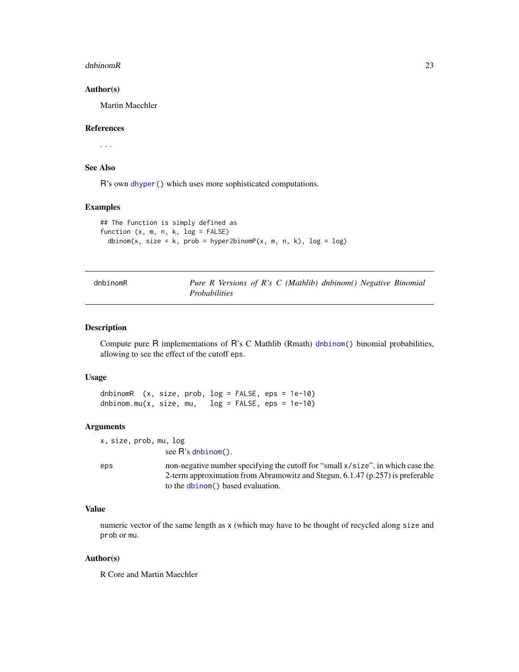#### <span id="page-22-0"></span>dnbinomR 23

#### Author(s)

Martin Maechler

# References

. . .

# See Also

R's own [dhyper\(](#page-0-0)) which uses more sophisticated computations.

# Examples

```
## The function is simply defined as
function (x, m, n, k, log = FALSE)
 dbinom(x, size = k, prob = hyper2binomP(x, m, n, k), log = log)
```

| dnbinomR |                      |  |  | Pure R Versions of R's C (Mathlib) dnbinom() Negative Binomial |  |
|----------|----------------------|--|--|----------------------------------------------------------------|--|
|          | <i>Probabilities</i> |  |  |                                                                |  |

# Description

Compute pure R implementations of R's C Mathlib (Rmath) [dnbinom\(](#page-0-0)) binomial probabilities, allowing to see the effect of the cutoff eps.

# Usage

dnbinomR (x, size, prob, log = FALSE, eps = 1e-10) dnbinom.mu(x, size, mu,  $log = FALSE$ , eps = 1e-10)

#### Arguments

x, size, prob, mu, log see R's [dnbinom\(](#page-0-0)).

eps non-negative number specifying the cutoff for "small x/size", in which case the 2-term approximation from Abramowitz and Stegun, 6.1.47 (p.257) is preferable to the [dbinom\(](#page-0-0)) based evaluation.

# Value

numeric vector of the same length as x (which may have to be thought of recycled along size and prob or mu.

#### Author(s)

R Core and Martin Maechler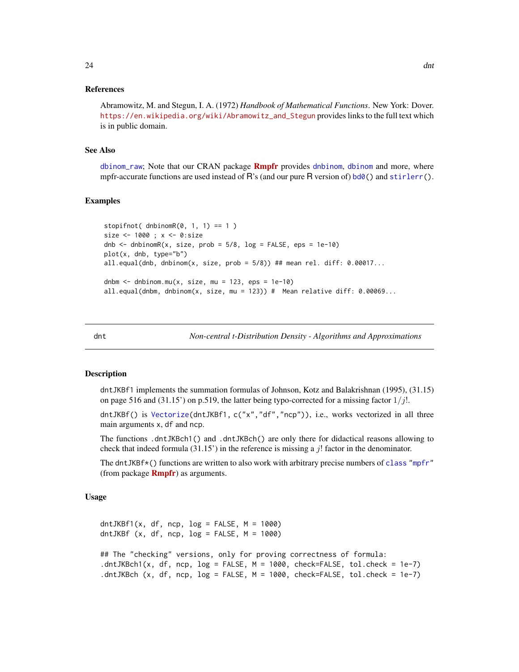#### <span id="page-23-0"></span>References

Abramowitz, M. and Stegun, I. A. (1972) *Handbook of Mathematical Functions*. New York: Dover. [https://en.wikipedia.org/wiki/Abramowitz\\_and\\_Stegun](https://en.wikipedia.org/wiki/Abramowitz_and_Stegun) provides links to the full text which is in public domain.

#### See Also

[dbinom\\_raw](#page-13-1); Note that our CRAN package **[Rmpfr](https://CRAN.R-project.org/package=Rmpfr)** provides [dnbinom](#page-0-0), [dbinom](#page-0-0) and more, where mpfr-accurate functions are used instead of R's (and our pure R version of)  $bd0()$  $bd0()$  and  $stirlerr()$  $stirlerr()$ .

# Examples

```
stopifnot( dhbinomR(\emptyset, 1, 1) == 1 )
size <- 1000 ; x <- 0:size
dnb \le dnbinomR(x, size, prob = 5/8, log = FALSE, eps = 1e-10)
plot(x, dnb, type="b")
all.equal(dnb, dnbinom(x, size, prob = 5/8)) ## mean rel. diff: 0.00017...
dnbm \le dnbinom.mu(x, size, mu = 123, eps = 1e-10)
all.equal(dnbm, dnbinom(x, size, mu = 123)) # Mean relative diff: 0.00069...
```
dnt *Non-central t-Distribution Density - Algorithms and Approximations*

#### <span id="page-23-1"></span>Description

dntJKBf1 implements the summation formulas of Johnson, Kotz and Balakrishnan (1995), (31.15) on page 516 and (31.15') on p.519, the latter being typo-corrected for a missing factor  $1/j!$ .

dntJKBf() is [Vectorize\(](#page-0-0)dntJKBf1, c("x","df","ncp")), i.e., works vectorized in all three main arguments x, df and ncp.

The functions .dntJKBch1() and .dntJKBch() are only there for didactical reasons allowing to check that indeed formula  $(31.15)$  in the reference is missing a j! factor in the denominator.

The dntJKB $f^*()$  functions are written to also work with arbitrary precise numbers of [class](#page-0-0) ["mpfr"](#page-0-0) (from package **[Rmpfr](https://CRAN.R-project.org/package=Rmpfr)**) as arguments.

#### Usage

```
dntJKBf1(x, df, ncp, log = FALSE, M = 1000)
dntJKBf (x, df, ncp, log = FALSE, M = 1000)## The "checking" versions, only for proving correctness of formula:
.dntJKBch1(x, df, ncp, log = FALSE, M = 1000, check=FALSE, tol.check = 1e-7)
.dntJKBch (x, df, ncp, log = FALSE, M = 1000, check=FALSE, tol.check = 1e-7)
```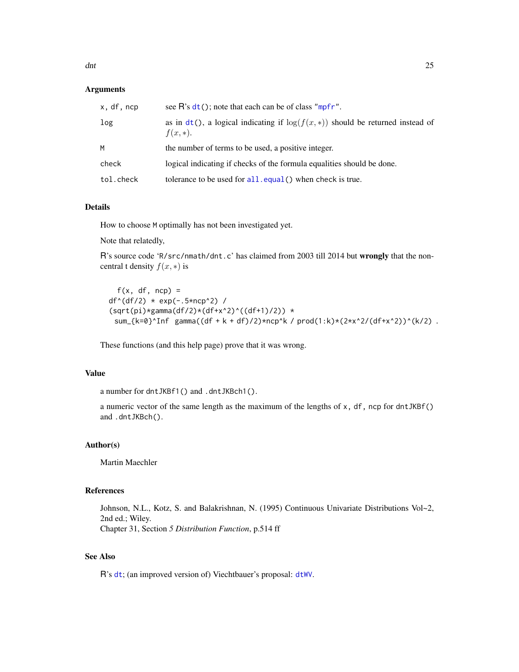# Arguments

| x, df, ncp | see $\mathsf{R}$ 's $\mathsf{dt}(\cdot)$ ; note that each can be of class "mpfr".                 |
|------------|---------------------------------------------------------------------------------------------------|
| log        | as in $dt()$ , a logical indicating if $log(f(x, k))$ should be returned instead of<br>$f(x, *).$ |
| м          | the number of terms to be used, a positive integer.                                               |
| check      | logical indicating if checks of the formula equalities should be done.                            |
| tol.check  | tolerance to be used for $all$ . equal() when check is true.                                      |

# Details

How to choose M optimally has not been investigated yet.

Note that relatedly,

R's source code 'R/src/nmath/dnt.c' has claimed from 2003 till 2014 but wrongly that the noncentral t density  $f(x, *)$  is

```
f(x, df, ncp) =df'(df/2) * exp(-.5*ncp^2) /(sqrt(pi)*gamma(df/2)*(df+x^2)^*((df+1)/2)) *sum_{k=0}^Inf gamma((df + k + df)/2)*ncp^k / prod(1:k)*(2*x^2/(df+x^2))^(k/2) .
```
These functions (and this help page) prove that it was wrong.

# Value

a number for dntJKBf1() and .dntJKBch1().

a numeric vector of the same length as the maximum of the lengths of x, df, ncp for dntJKBf() and .dntJKBch().

# Author(s)

Martin Maechler

# References

Johnson, N.L., Kotz, S. and Balakrishnan, N. (1995) Continuous Univariate Distributions Vol~2, 2nd ed.; Wiley. Chapter 31, Section *5 Distribution Function*, p.514 ff

# See Also

R's [dt](#page-0-0); (an improved version of) Viechtbauer's proposal: [dtWV](#page-27-1).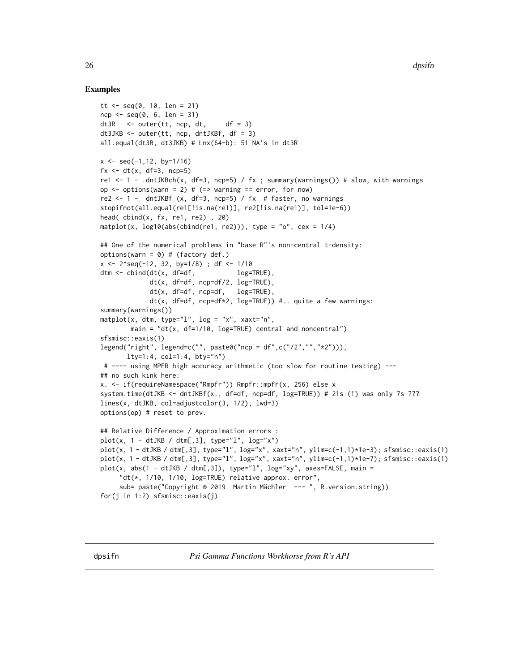```
tt <- seq(0, 10, len = 21)ncp <- seq(0, 6, len = 31)
dt3R <- outer(tt, ncp, dt, df = 3)
dt3JKB \leq outer(tt, ncp, dntJKBf, df = 3)
all.equal(dt3R, dt3JKB) # Lnx(64-b): 51 NA's in dt3R
x \le - seq(-1,12, by=1/16)
fx < - dt(x, df=3, ncp=5)re1 <- 1 - .dntJKBch(x, df=3, ncp=5) / fx ; summary(warnings()) # slow, with warnings
op \le - options(warn = 2) # (=> warning == error, for now)
re2 \le 1 - dntJKBf (x, df=3, ncp=5) / fx # faster, no warnings
stopifnot(all.equal(re1[!is.na(re1)], re2[!is.na(re1)], tol=1e-6))
head(cbind(x, fx, rel, rel), 20)
matplot(x, log10(abs(cbind(re1, re2))), type = "o", cex = 1/4)
## One of the numerical problems in "base R"'s non-central t-density:
options(warn = \theta) # (factory def.)
x <- 2^seq(-12, 32, by=1/8) ; df <- 1/10
dtm \le cbind(dt(x, df=df, log=True),
             dt(x, df=df, ncp=df/2, log=TRUE),
             dt(x, df=df, ncp=df, log=TRUE),
             dt(x, df=df, ncp=df*2, log=TRUE)) #.. quite a few warnings:
summary(warnings())
matplot(x, dtm, type="l", log = "x", xaxt="n",
        main = "dt(x, df=1/10, log=TRUE) central and noncentral")
sfsmisc::eaxis(1)
legend("right", legend=c("", paste0("ncp = df",c("/2","","*2"))),
       lty=1:4, col=1:4, bty="n")
 # ---- using MPFR high accuracy arithmetic (too slow for routine testing) ---
## no such kink here:
x. <- if(requireNamespace("Rmpfr")) Rmpfr::mpfr(x, 256) else x
system.time(dtJKB <- dntJKBf(x., df=df, ncp=df, log=TRUE)) # 21s (!) was only 7s ???
lines(x, dtJKB, col=adjustcolor(3, 1/2), lwd=3)
options(op) # reset to prev.
## Relative Difference / Approximation errors :
plot(x, 1 - dtJKB / dtm[, 3], type="1", log="x")plot(x, 1 - dtJKB / dtm[,3], type="l", log="x", xaxt="n", ylim=c(-1,1)*1e-3); sfsmisc::eaxis(1)
plot(x, 1 - \text{d}tJKB / \text{d}tm[, 3], type="1", log='x", xaxt="n", ylim=c(-1,1)*1e-7); sfsmisc::eaxis(1)plot(x, abs(1 - dtJKB / dtm[, 3]), type="1", log="xy", axes=FALSE, main ="dt(*, 1/10, 1/10, log=TRUE) relative approx. error",
     sub= paste("Copyright © 2019 Martin Mächler --- ", R.version.string))
for(j in 1:2) sfsmisc::eaxis(j)
```
<span id="page-25-0"></span>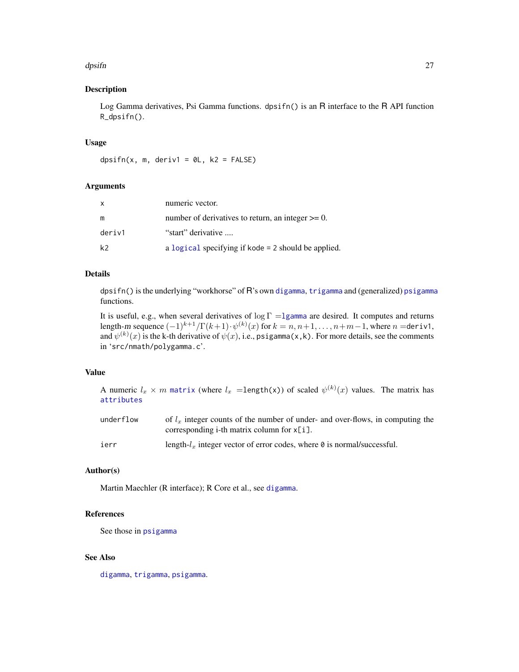#### dpsifn 27

# Description

Log Gamma derivatives, Psi Gamma functions. dpsifn() is an R interface to the R API function R\_dpsifn().

#### Usage

dpsifn(x, m, deriv1 =  $\theta$ L, k2 = FALSE)

# Arguments

| $\mathsf{x}$ | numeric vector.                                        |
|--------------|--------------------------------------------------------|
| m            | number of derivatives to return, an integer $\geq 0$ . |
| deriv1       | "start" derivative                                     |
| k2           | a logical specifying if kode = 2 should be applied.    |

# Details

dpsifn() is the underlying "workhorse" of R's own [digamma](#page-0-0), [trigamma](#page-0-0) and (generalized) [psigamma](#page-0-0) functions.

It is useful, e.g., when several derivatives of  $\log \Gamma = 1$ gamma are desired. It computes and returns length-m sequence  $(-1)^{k+1}/\Gamma(k+1)\cdot \psi^{(k)}(x)$  for  $k=n,n+1,\ldots,n+m-1,$  where  $n=$ deriv1, and  $\psi^{(k)}(x)$  is the k-th derivative of  $\psi(x)$ , i.e., psigamma(x,k). For more details, see the comments in 'src/nmath/polygamma.c'.

# Value

| A numeric $l_x \times m$ matrix (where $l_x$ =length(x)) of scaled $\psi^{(k)}(x)$ values. The matrix has |  |  |
|-----------------------------------------------------------------------------------------------------------|--|--|
| attributes                                                                                                |  |  |

| underflow | of $lx$ integer counts of the number of under- and over-flows, in computing the   |
|-----------|-----------------------------------------------------------------------------------|
|           | corresponding i-th matrix column for $x[i]$ .                                     |
| ierr      | length- $l_x$ integer vector of error codes, where $\theta$ is normal/successful. |

# Author(s)

Martin Maechler (R interface); R Core et al., see [digamma](#page-0-0).

# References

See those in [psigamma](#page-0-0)

# See Also

[digamma](#page-0-0), [trigamma](#page-0-0), [psigamma](#page-0-0).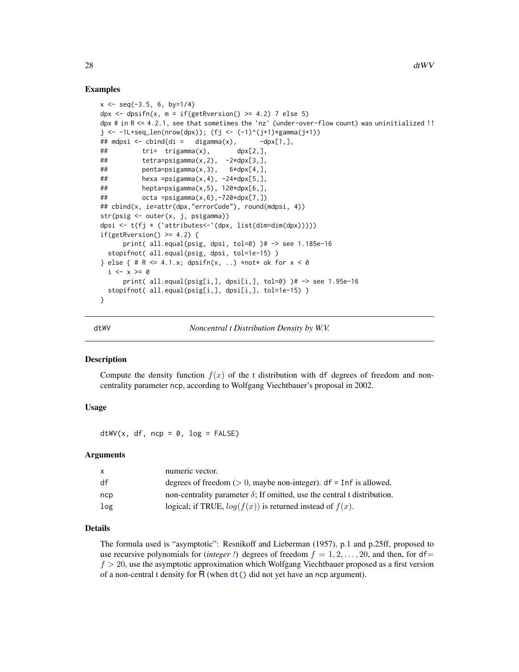#### Examples

```
x \le - seq(-3.5, 6, by=1/4)
dpx \le dpsifn(x, m = if(getRversion() >= 4.2) 7 else 5)
dpx # in R <= 4.2.1, see that sometimes the 'nz' (under-over-flow count) was uninitialized !!
j \leftarrow -11+seq_len(nrow(dpx)); (fj <- (-1)^(j+1)*gamma(j+1))
## mdpsi <- cbind(di = digamma(x), -dpx[1,],## tri= trigamma(x), dpx[2,],
## tetra=psigamma(x,2), -2*dpx[3,],
## penta=psigamma(x,3), 6*dpx[4,],
\# hexa =psigamma(x,4), -24*dpx[5,],
## hepta=psigamma(x,5), 120*dpx[6,],
## octa =psigamma(x,6),-720*dpx[7,])
## cbind(x, ie=attr(dpx,"errorCode"), round(mdpsi, 4))
str(psig <- outer(x, j, psigamma))
dpsi <- t(fj * (`attributes<-`(dpx, list(dim=dim(dpx)))))
if(getRversion() \geq 4.2) {
     print( all.equal(psig, dpsi, tol=0) )# -> see 1.185e-16
 stopifnot( all.equal(psig, dpsi, tol=1e-15) )
} else { # R \le 4.1.x; dpsifn(x, ..) *not* ok for x < 0i \le x \ge 0print( all.equal(psig[i,], dpsi[i,], tol=0) )# -> see 1.95e-16
 stopifnot( all.equal(psig[i,], dpsi[i,], tol=1e-15) )
}
```
<span id="page-27-1"></span>

dtWV *Noncentral t Distribution Density by W.V.*

#### **Description**

Compute the density function  $f(x)$  of the t distribution with df degrees of freedom and noncentrality parameter ncp, according to Wolfgang Viechtbauer's proposal in 2002.

#### Usage

 $dtWV(x, df, ncp = 0, log = FALSE)$ 

#### Arguments

| X   | numeric vector.                                                                 |
|-----|---------------------------------------------------------------------------------|
| df  | degrees of freedom ( $> 0$ , maybe non-integer). df = Inf is allowed.           |
| ncp | non-centrality parameter $\delta$ ; If omitted, use the central t distribution. |
| log | logical; if TRUE, $log(f(x))$ is returned instead of $f(x)$ .                   |

# Details

The formula used is "asymptotic": Resnikoff and Lieberman (1957), p.1 and p.25ff, proposed to use recursive polynomials for (*integer !*) degrees of freedom  $f = 1, 2, \ldots, 20$ , and then, for df=  $f > 20$ , use the asymptotic approximation which Wolfgang Viechtbauer proposed as a first version of a non-central t density for  $R$  (when  $dt$  ) did not yet have an ncp argument).

<span id="page-27-0"></span>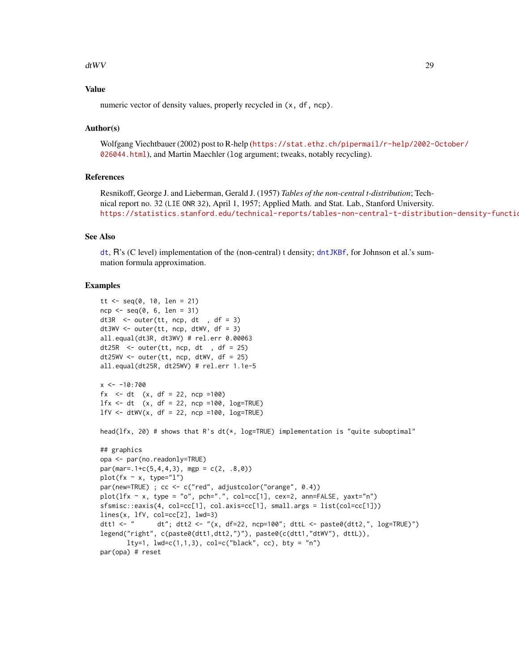#### dtWV 29

# Value

numeric vector of density values, properly recycled in  $(x, df, ncp)$ .

# Author(s)

Wolfgang Viechtbauer (2002) post to R-help ([https://stat.ethz.ch/pipermail/r-help/2002-](https://stat.ethz.ch/pipermail/r-help/2002-October/026044.html)October/ [026044.html](https://stat.ethz.ch/pipermail/r-help/2002-October/026044.html)), and Martin Maechler (log argument; tweaks, notably recycling).

#### References

Resnikoff, George J. and Lieberman, Gerald J. (1957) *Tables of the non-central t-distribution*; Technical report no. 32 (LIE ONR 32), April 1, 1957; Applied Math. and Stat. Lab., Stanford University. https://statistics.stanford.edu/technical-reports/tables-non-central-t-distribution-density-functio

# See Also

[dt](#page-0-0), R's (C level) implementation of the (non-central) t density; [dntJKBf](#page-23-1), for Johnson et al.'s summation formula approximation.

```
tt <- seq(0, 10, len = 21)ncp \leq -seq(0, 6, len = 31)dt3R \le outer(tt, ncp, dt, df = 3)
dt3WV \leq outer(tt, ncp, dtWV, df = 3)
all.equal(dt3R, dt3WV) # rel.err 0.00063
dt25R \le outer(tt, ncp, dt, df = 25)
dt25WV <- outer(tt, ncp, dtWV, df = 25)
all.equal(dt25R, dt25WV) # rel.err 1.1e-5
x \le -10:700fx \leq -dt (x, df = 22, ncp =100)1fx \leq dt (x, df = 22, ncp =100, log=TRUE)
1fV \leq dtWV(x, df = 22, ncp =100, log=TRUE)head(lfx, 20) # shows that R's dt(*, log=TRUE) implementation is "quite suboptimal"
## graphics
opa <- par(no.readonly=TRUE)
par(mar=.1+c(5,4,4,3), mgp = c(2, .8, 0))
plot(fx \sim x, type="1")
par(new=TRUE) ; cc <- c("red", adjustcolor("orange", 0.4))
plot(1fx \sim x, type = "o", pole=".", col=cc[1], cex=2, ann=FALSE, yaxt="n")sfsmisc::eaxis(4, col=cc[1], col.axis=cc[1], small.args = list(col=cc[1]))
lines(x, lfV, col=cc[2], lwd=3)
dtt1 <- " dt"; dtt2 <- "(x, df=22, ncp=100"; dttL <- paste0(dtt2,", log=TRUE)")
legend("right", c(paste0(dtt1,dtt2,")"), paste0(c(dtt1,"dtWV"), dttL)),
       lty=1, lwd=c(1,1,3), col=c("black", cc), bty = "n")par(opa) # reset
```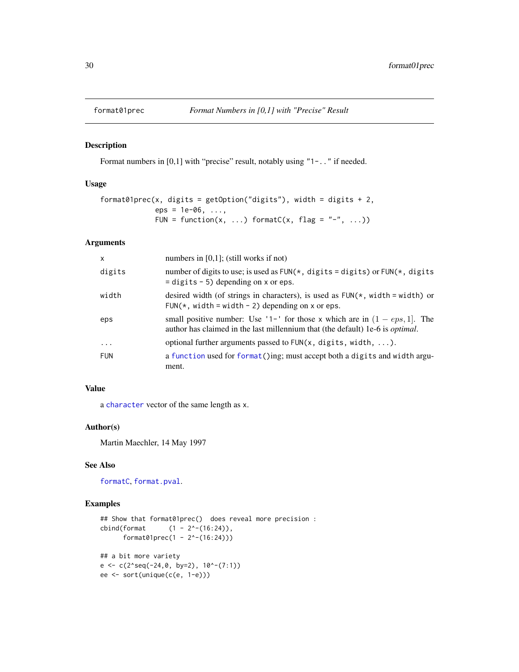<span id="page-29-0"></span>

# Description

Format numbers in [0,1] with "precise" result, notably using "1-.." if needed.

#### Usage

```
format01prec(x, digits = get0ption("digits"), width = digits + 2,
            eps = 1e-06, ...,FUN = function(x, ...) formatC(x, flag = "-", ...))
```
# Arguments

| $\mathsf{x}$ | numbers in $[0,1]$ ; (still works if not)                                                                                                                              |
|--------------|------------------------------------------------------------------------------------------------------------------------------------------------------------------------|
| digits       | number of digits to use; is used as $FUN(*, digits = digits)$ or $FUN(*, digits)$<br>$=$ digits $-5$ ) depending on x or eps.                                          |
| width        | desired width (of strings in characters), is used as $FUN(*, width = width)$ or<br>FUN( $*$ , width = width - 2) depending on x or eps.                                |
| eps          | small positive number: Use '1-' for those x which are in $(1 - eps, 1]$ . The<br>author has claimed in the last millennium that (the default) 1e-6 is <i>optimal</i> . |
| $\cdots$     | optional further arguments passed to $FUN(x, digits, width, )$ .                                                                                                       |
| <b>FUN</b>   | a function used for format()ing; must accept both a digits and width argu-<br>ment.                                                                                    |

# Value

a [character](#page-0-0) vector of the same length as x.

# Author(s)

Martin Maechler, 14 May 1997

#### See Also

[formatC](#page-0-0), [format.pval](#page-0-0).

```
## Show that format01prec() does reveal more precision :
cbind(format (1 - 2^x - (16:24)),format01prec(1 - 2^-(16:24)))
## a bit more variety
e \leftarrow c(2 \text{seq}(-24, \emptyset, \text{ by=2}), 10 \text{°-(7:1)})ee <- sort(unique(c(e, 1-e)))
```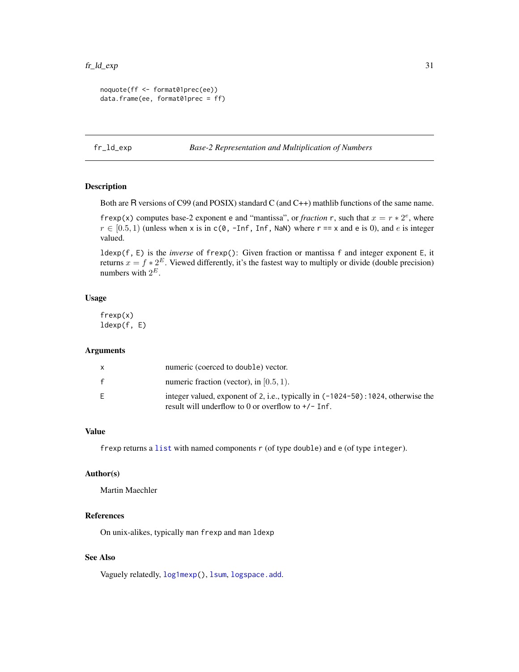```
noquote(ff <- format01prec(ee))
data.frame(ee, format01prec = ff)
```
fr\_ld\_exp *Base-2 Representation and Multiplication of Numbers*

# Description

Both are R versions of C99 (and POSIX) standard C (and C++) mathlib functions of the same name.

frexp(x) computes base-2 exponent e and "mantissa", or *fraction* r, such that  $x = r * 2^e$ , where  $r \in [0.5, 1)$  (unless when x is in c(0, -Inf, Inf, NaN) where r == x and e is 0), and e is integer valued.

ldexp(f, E) is the *inverse* of frexp(): Given fraction or mantissa f and integer exponent E, it returns  $x = f * 2^E$ . Viewed differently, it's the fastest way to multiply or divide (double precision) numbers with  $2^E$ .

# Usage

frexp(x) ldexp(f, E)

# Arguments

|    | numeric (coerced to double) vector.                                                                                                       |
|----|-------------------------------------------------------------------------------------------------------------------------------------------|
| f  | numeric fraction (vector), in $[0.5, 1)$ .                                                                                                |
| F. | integer valued, exponent of 2, i.e., typically in (-1024-50): 1024, otherwise the<br>result will underflow to 0 or overflow to $+/-$ Inf. |

#### Value

frexp returns a [list](#page-0-0) with named components r (of type double) and e (of type integer).

# Author(s)

Martin Maechler

# References

On unix-alikes, typically man frexp and man ldexp

# See Also

Vaguely relatedly, [log1mexp\(](#page-37-1)), [lsum](#page-44-1), [logspace.add](#page-42-1).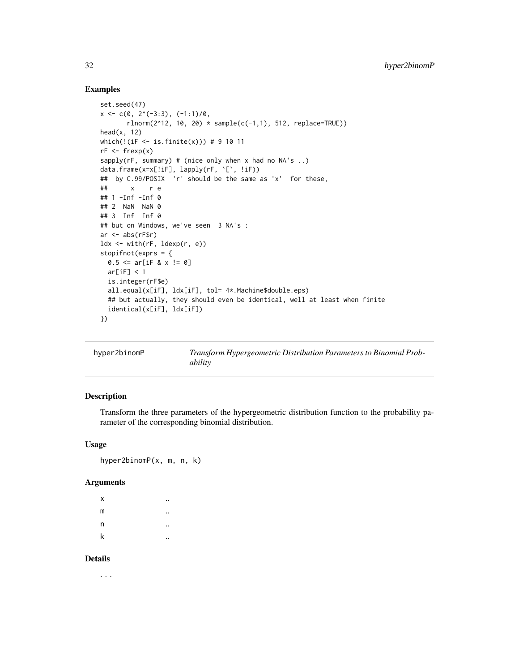# Examples

```
set.seed(47)
x \leftarrow c(0, 2^(-3:3), (-1:1)/0,rlnorm(2^12, 10, 20) * sample(c(-1,1), 512, replace=TRUE))head(x, 12)which(!(iF <- is.finite(x))) # 9 10 11
rf \leftarrow frexp(x)sapply(rF, summary) # (nice only when x had no NA's ..)
data.frame(x=x[!iF], lapply(rF, `[`, !iF))
## by C.99/POSIX 'r' should be the same as 'x' for these,
## x r e
## 1 -Inf -Inf 0
## 2 NaN NaN 0
## 3 Inf Inf 0
## but on Windows, we've seen 3 NA's :
ar \leq abs(rF$r)
ldx \leftarrow \text{with}(rF, \text{ldexp}(r, e))stopifnot(exprs = {
  0.5 \leq ar[iF 8 x != 0]ar[iF] < 1is.integer(rF$e)
  all.equal(x[iF], ldx[iF], tol= 4*.Machine$double.eps)
  ## but actually, they should even be identical, well at least when finite
  identical(x[iF], ldx[iF])
})
```
<span id="page-31-1"></span>

| hyper2binomP | Transform Hypergeometric Distribution Parameters to Binomial Prob- |
|--------------|--------------------------------------------------------------------|
|              | ability                                                            |

# Description

Transform the three parameters of the hypergeometric distribution function to the probability parameter of the corresponding binomial distribution.

#### Usage

hyper2binomP(x, m, n, k)

#### Arguments

| X |  |
|---|--|
| m |  |
| n |  |
| k |  |

#### Details

. . .

<span id="page-31-0"></span>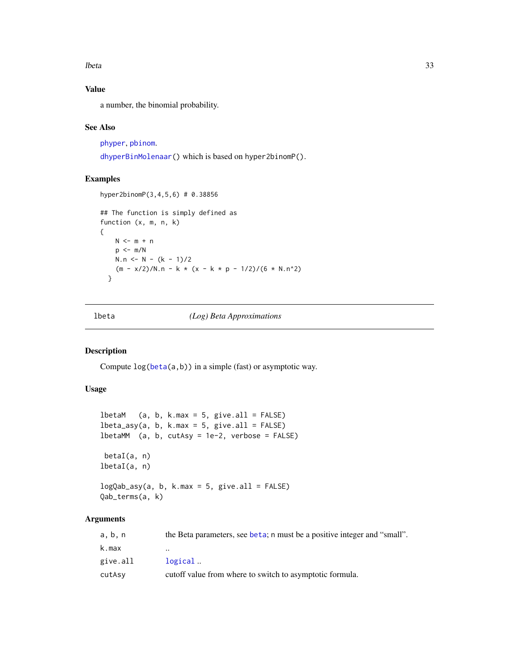<span id="page-32-0"></span>lbeta 33

# Value

a number, the binomial probability.

### See Also

[phyper](#page-0-0), [pbinom](#page-0-0).

[dhyperBinMolenaar\(](#page-21-1)) which is based on hyper2binomP().

# Examples

```
hyper2binomP(3,4,5,6) # 0.38856
## The function is simply defined as
function (x, m, n, k)
{
   N \leq -m + np \le -m/NN.n \le N - (k - 1)/2(m - x/2)/N.n - k * (x - k * p - 1/2)/(6 * N.n^2)}
```
<span id="page-32-2"></span>

lbeta *(Log) Beta Approximations*

# <span id="page-32-1"></span>Description

Compute log[\(beta\(](#page-0-0)a,b)) in a simple (fast) or asymptotic way.

#### Usage

```
lbetaM (a, b, k.max = 5, give.all = FALSE)
lbeta_asy(a, b, k.max = 5, give. all = FALSE)lbetaMM (a, b, cutAsy = 1e-2, verbose = FALSE)
betaI(a, n)
lbetaI(a, n)
logQab_asy(a, b, k.max = 5, give.all = FALSE)
Qab_terms(a, k)
```
# Arguments

| a, b, n  | the Beta parameters, see beta; n must be a positive integer and "small". |
|----------|--------------------------------------------------------------------------|
| k.max    | $\ddot{\phantom{0}}$                                                     |
| give.all | logical                                                                  |
| cutAsy   | cutoff value from where to switch to asymptotic formula.                 |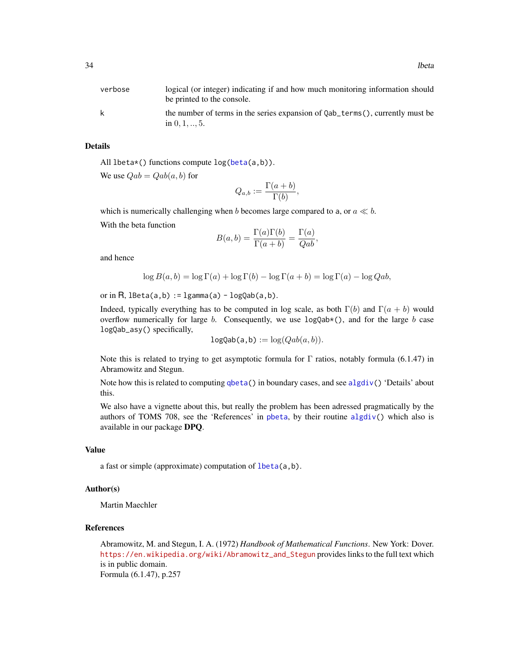| verbose | logical (or integer) indicating if and how much monitoring information should<br>be printed to the console. |
|---------|-------------------------------------------------------------------------------------------------------------|
| k       | the number of terms in the series expansion of Qab_terms(), currently must be<br>in $0, 1, , 5$ .           |

# Details

All lbeta\*() functions compute log[\(beta\(](#page-0-0)a,b)).

We use  $Qab = Qab(a, b)$  for

$$
Q_{a,b} := \frac{\Gamma(a+b)}{\Gamma(b)},
$$

which is numerically challenging when b becomes large compared to a, or  $a \ll b$ .

With the beta function

$$
B(a,b) = \frac{\Gamma(a)\Gamma(b)}{\Gamma(a+b)} = \frac{\Gamma(a)}{Qab},
$$

and hence

$$
\log B(a, b) = \log \Gamma(a) + \log \Gamma(b) - \log \Gamma(a + b) = \log \Gamma(a) - \log Qab,
$$

or in R,  $lBeta(a,b) := lgamma(a) - logQab(a,b)$ .

Indeed, typically everything has to be computed in log scale, as both  $\Gamma(b)$  and  $\Gamma(a + b)$  would overflow numerically for large b. Consequently, we use  $logQab*($ ), and for the large b case logQab\_asy() specifically,

$$
logQab(a, b) := log(Qab(a, b)).
$$

Note this is related to trying to get asymptotic formula for Γ ratios, notably formula (6.1.47) in Abramowitz and Stegun.

Note how this is related to computing  $qbeta()$  $qbeta()$  in boundary cases, and see [algdiv\(](#page-6-1)) 'Details' about this.

We also have a vignette about this, but really the problem has been adressed pragmatically by the authors of TOMS 708, see the 'References' in [pbeta](#page-0-0), by their routine [algdiv\(](#page-6-1)) which also is available in our package DPQ.

#### Value

a fast or simple (approximate) computation of [lbeta\(](#page-32-2)a,b).

# Author(s)

Martin Maechler

#### References

Abramowitz, M. and Stegun, I. A. (1972) *Handbook of Mathematical Functions*. New York: Dover. [https://en.wikipedia.org/wiki/Abramowitz\\_and\\_Stegun](https://en.wikipedia.org/wiki/Abramowitz_and_Stegun) provides links to the full text which is in public domain. Formula (6.1.47), p.257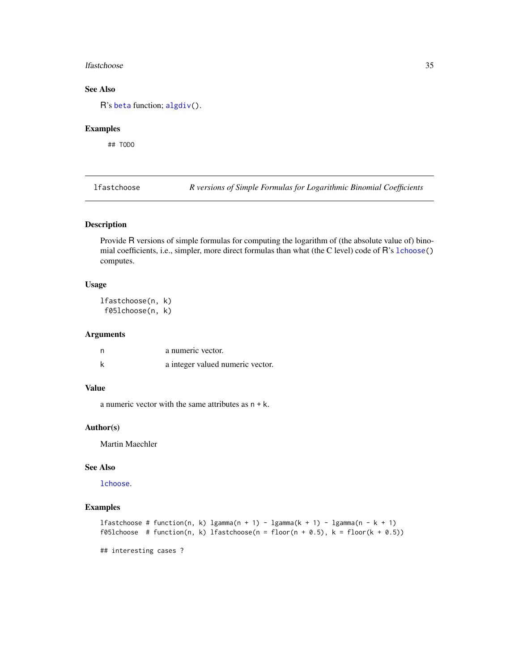#### <span id="page-34-0"></span>lfastchoose 35

# See Also

R's [beta](#page-0-0) function; [algdiv\(](#page-6-1)).

#### Examples

## TODO

lfastchoose *R versions of Simple Formulas for Logarithmic Binomial Coefficients*

# Description

Provide R versions of simple formulas for computing the logarithm of (the absolute value of) binomial coefficients, i.e., simpler, more direct formulas than what (the C level) code of R's [lchoose\(](#page-0-0)) computes.

# Usage

lfastchoose(n, k) f05lchoose(n, k)

#### Arguments

| n | a numeric vector.                |
|---|----------------------------------|
|   | a integer valued numeric vector. |

# Value

a numeric vector with the same attributes as  $n + k$ .

#### Author(s)

Martin Maechler

# See Also

[lchoose](#page-0-0).

# Examples

```
lfastchoose # function(n, k) lgamma(n + 1) - lgamma(k + 1) - lgamma(n - k + 1)
f05lchoose # function(n, k) lfastchoose(n = floor(n + 0.5), k = floor(k + 0.5))
```
## interesting cases ?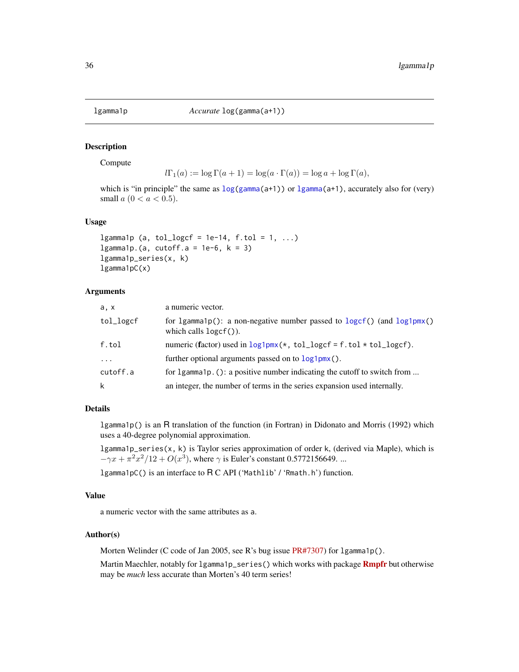<span id="page-35-0"></span>

#### Description

Compute

```
l\Gamma_1(a) := \log \Gamma(a+1) = \log(a \cdot \Gamma(a)) = \log a + \log \Gamma(a),
```
which is "in principle" the same as  $\log(\text{gamma}(a+1))$  or  $\text{lgamma}(a+1)$ , accurately also for (very) small  $a (0 < a < 0.5)$ .

#### Usage

lgamma1p (a, tol\_logcf = 1e-14,  $f.tol = 1, ...$ ) lgamma1p.(a, cutoff.a = 1e-6,  $k = 3$ ) lgamma1p\_series(x, k) lgamma1pC(x)

#### Arguments

| a, x      | a numeric vector.                                                                                        |
|-----------|----------------------------------------------------------------------------------------------------------|
| tol_logcf | for 1gamma1p(): a non-negative number passed to $logcf()$ (and $log1pmx()$ )<br>which calls $logcf()$ ). |
| f.tol     | numeric (factor) used in $log1pmx(*, tol\_logcf = f. tol * tol\_logcf)$ .                                |
| $\cdot$   | further optional arguments passed on to $log1pm(x)$ .                                                    |
| cutoff.a  | for 1gamma1p. (): a positive number indicating the cutoff to switch from                                 |
| k         | an integer, the number of terms in the series expansion used internally.                                 |

# Details

lgamma1p() is an R translation of the function (in Fortran) in Didonato and Morris (1992) which uses a 40-degree polynomial approximation.

lgamma1p\_series(x, k) is Taylor series approximation of order k, (derived via Maple), which is  $-\gamma x + \pi^2 x^2/12 + O(x^3)$ , where  $\gamma$  is Euler's constant 0.5772156649. ...

lgamma1pC() is an interface to R C API ('Mathlib' / 'Rmath.h') function.

# Value

a numeric vector with the same attributes as a.

# Author(s)

Morten Welinder (C code of Jan 2005, see R's bug issue [PR#7307\)](https://bugs.R-project.org/show_bug.cgi?id=7307) for 1gamma1p().

Martin Maechler, notably for 1 gamma1p\_series() which works with package **[Rmpfr](https://CRAN.R-project.org/package=Rmpfr)** but otherwise may be *much* less accurate than Morten's 40 term series!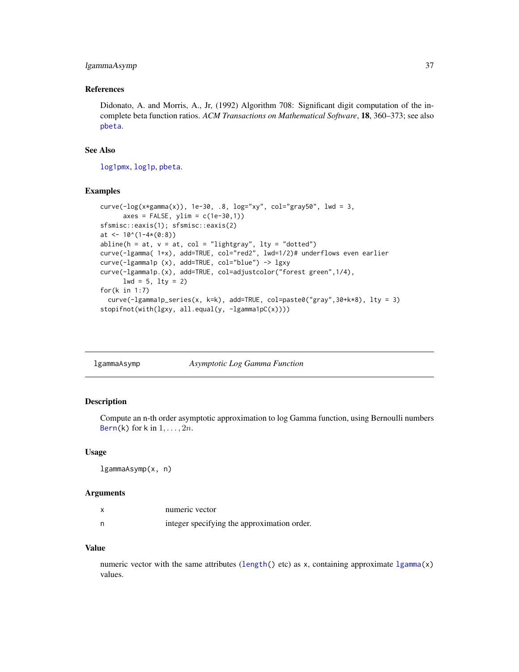## lgammaAsymp 37

#### References

Didonato, A. and Morris, A., Jr, (1992) Algorithm 708: Significant digit computation of the incomplete beta function ratios. *ACM Transactions on Mathematical Software*, 18, 360–373; see also [pbeta](#page-0-0).

## See Also

[log1pmx](#page-38-0), [log1p](#page-0-0), [pbeta](#page-0-0).

## Examples

```
curve(-log(x*gamma(x)), 1e-30, .8, log="xy", col="gray50", lwd = 3,axes = FALSE, ylim = c(1e-30,1)sfsmisc::eaxis(1); sfsmisc::eaxis(2)
at <- 10^(1-4*(0:8))abline(h = at, v = at, col = "lightgray", lty = "dotted")
curve(-lgamma( 1+x), add=TRUE, col="red2", lwd=1/2)# underflows even earlier
curve(-lgamma1p (x), add=TRUE, col="blue") -> lgxy
curve(-lgamma1p.(x), add=TRUE, col=adjustcolor("forest green",1/4),
      1wd = 5, 1ty = 2for(k in 1:7)
  curve(-lgamma1p_series(x, k=k), add=TRUE, col=paste0("gray",30+k*8), lty = 3)
stopifnot(with(lgxy, all.equal(y, -lgamma1pC(x))))
```

| lgammaAsymp |  | Asymptotic Log Gamma Function |
|-------------|--|-------------------------------|
|-------------|--|-------------------------------|

## Description

Compute an n-th order asymptotic approximation to log Gamma function, using Bernoulli numbers [Bern\(](#page-8-0)k) for k in  $1, \ldots, 2n$ .

#### Usage

lgammaAsymp(x, n)

#### Arguments

|   | numeric vector                              |
|---|---------------------------------------------|
| n | integer specifying the approximation order. |

## Value

numeric vector with the same attributes ([length\(](#page-0-0)) etc) as x, containing approximate  $lgamma(x)$  $lgamma(x)$ values.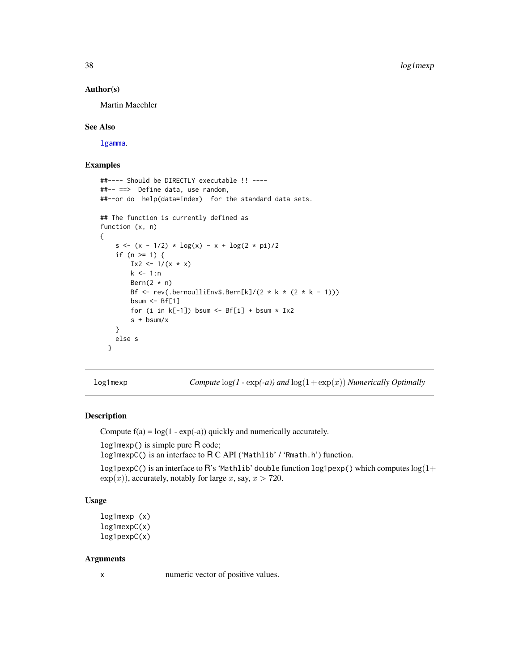### Author(s)

Martin Maechler

#### See Also

[lgamma](#page-0-0).

## Examples

```
##---- Should be DIRECTLY executable !! ----
##-- ==> Define data, use random,
##--or do help(data=index) for the standard data sets.
## The function is currently defined as
function (x, n)
{
    s <- (x - 1/2) * log(x) - x + log(2 * pi)/2if (n \geq 1) {
       Ix2 <- 1/(x * x)k < -1:nBern(2 * n)Bf \le rev(.bernoulliEnv$.Bern[k]/(2 * k * (2 * k - 1)))
       bsum \leq Bf[1]
       for (i in k[-1]) bsum <- Bf[i] + bsum * Ix2
       s + bsum/x
   }
   else s
 }
```
<span id="page-37-0"></span>log1mexp *Compute* log*(1 -* exp*(-a)) and* log(1+ exp(x)) *Numerically Optimally*

## Description

Compute  $f(a) = log(1 - exp(-a))$  quickly and numerically accurately.

log1mexp() is simple pure R code;

log1mexpC() is an interface to R C API ('Mathlib' / 'Rmath.h') function.

log1pexpC() is an interface to R's 'Mathlib' double function log1pexp() which computes  $log(1+$  $\exp(x)$ ), accurately, notably for large x, say,  $x > 720$ .

# Usage

```
log1mexp (x)
log1mexpC(x)
log1pexpC(x)
```
### Arguments

x numeric vector of positive values.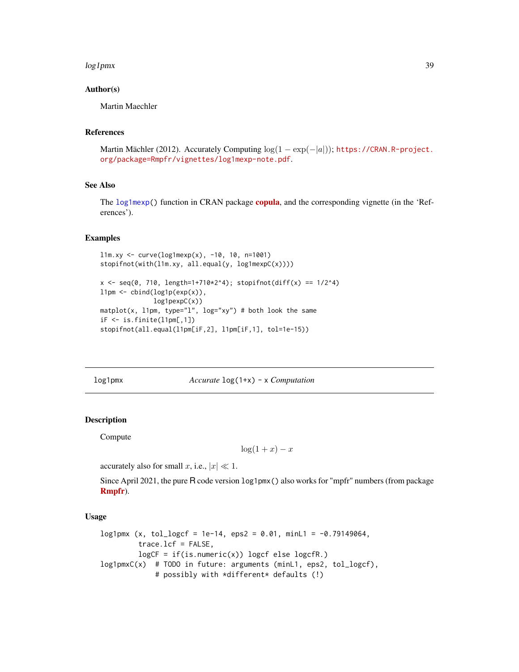#### log1pmx 39

## Author(s)

Martin Maechler

### References

Martin Mächler (2012). Accurately Computing  $log(1 - exp(-|a|))$ ; [https://CRAN.R-project.](https://CRAN.R-project.org/package=Rmpfr/vignettes/log1mexp-note.pdf) [org/package=Rmpfr/vignettes/log1mexp-note.pdf](https://CRAN.R-project.org/package=Rmpfr/vignettes/log1mexp-note.pdf).

# See Also

The [log1mexp\(](#page-37-0)) function in CRAN package [copula](https://CRAN.R-project.org/package=copula), and the corresponding vignette (in the 'References').

## Examples

```
11m.xy <- curve(log1mexp(x), -10, 10, n=1001)
stopifnot(with(l1m.xy, all.equal(y, log1mexpC(x))))
x \leq - seq(0, 710, length=1+710*2^4); stopifnot(diff(x) == 1/2^4)
11pm \leftarrow \text{cbind}(\text{log1p}(\exp(x)),log1pexpC(x))
matplot(x, l1pm, type="l", log="xy") # both look the same
iF \leftarrow is.finite(11pm[,1])stopifnot(all.equal(l1pm[iF,2], l1pm[iF,1], tol=1e-15))
```
<span id="page-38-0"></span>log1pmx *Accurate* log(1+x) - x *Computation*

# Description

Compute

 $\log(1+x)-x$ 

accurately also for small x, i.e.,  $|x| \ll 1$ .

Since April 2021, the pure R code version  $\log 1pm(x)$  also works for "mpfr" numbers (from package [Rmpfr](https://CRAN.R-project.org/package=Rmpfr)).

### Usage

```
log1pmx (x, tol_logcf = 1e-14, eps2 = 0.01, minL1 = -0.79149064,
        trace.lcf = FALSE,
        logCF = if(is.numeric(x)) logcf else logcfr.)log1pmxC(x) # TODO in future: arguments (minL1, eps2, tol_logcf),
             # possibly with *different* defaults (!)
```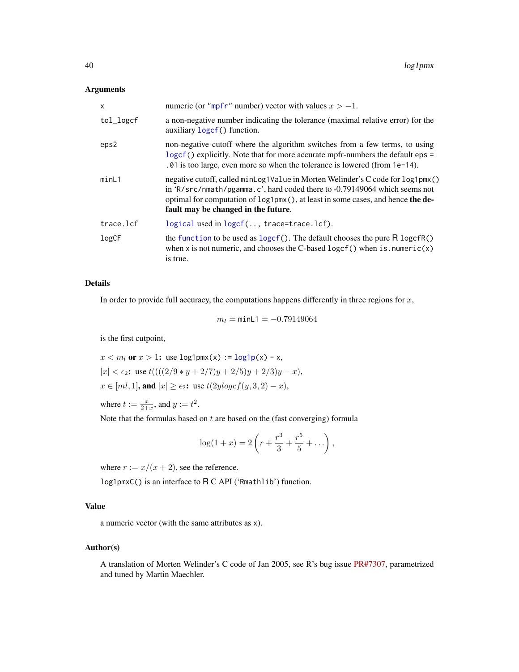## Arguments

| x         | numeric (or "mpfr" number) vector with values $x > -1$ .                                                                                                                                                                                                                                      |
|-----------|-----------------------------------------------------------------------------------------------------------------------------------------------------------------------------------------------------------------------------------------------------------------------------------------------|
| tol_logcf | a non-negative number indicating the tolerance (maximal relative error) for the<br>auxiliary loger <sup>()</sup> function.                                                                                                                                                                    |
| eps2      | non-negative cutoff where the algorithm switches from a few terms, to using<br>logcf () explicitly. Note that for more accurate mpfr-numbers the default eps =<br>$.01$ is too large, even more so when the tolerance is lowered (from 1e-14).                                                |
| minL1     | negative cutoff, called minLog1Value in Morten Welinder's C code for log1pmx()<br>in 'R/src/nmath/pgamma.c', hard coded there to $-0.79149064$ which seems not<br>optimal for computation of $\log 1pm(x)$ , at least in some cases, and hence the de-<br>fault may be changed in the future. |
| trace.lcf | logical used in logcf(, trace=trace.lcf).                                                                                                                                                                                                                                                     |
| log CF    | the function to be used as $logcf()$ . The default chooses the pure $R logcfR()$<br>when x is not numeric, and chooses the C-based logcf() when is . numeric(x)<br>is true.                                                                                                                   |

## Details

In order to provide full accuracy, the computations happens differently in three regions for  $x$ ,

 $m_l = \text{minL1} = -0.79149064$ 

is the first cutpoint,

$$
x < m_l
$$
 or  $x > 1$ : use  $\log 1 \text{pmx}(x) := \log 1 \text{p}(x) - x$ ,  $|x| < \epsilon_2$ : use  $t(((2/9 * y + 2/7)y + 2/5)y + 2/3)y - x)$ ,  $x \in [ml, 1]$ , and  $|x| \geq \epsilon_2$ : use  $t(2y \log c f(y, 3, 2) - x)$ ,

where  $t := \frac{x}{2+x}$ , and  $y := t^2$ .

Note that the formulas based on  $t$  are based on the (fast converging) formula

$$
\log(1+x) = 2\left(r + \frac{r^3}{3} + \frac{r^5}{5} + \dots\right),\,
$$

where  $r := x/(x + 2)$ , see the reference.

log1pmxC() is an interface to R C API ('Rmathlib') function.

# Value

a numeric vector (with the same attributes as x).

## Author(s)

A translation of Morten Welinder's C code of Jan 2005, see R's bug issue [PR#7307,](https://bugs.R-project.org/show_bug.cgi?id=7307) parametrized and tuned by Martin Maechler.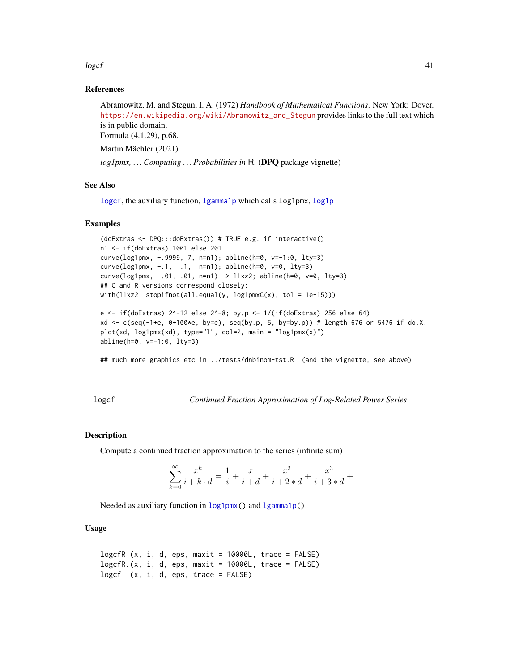$\log$ cf  $\frac{41}{2}$ 

## References

Abramowitz, M. and Stegun, I. A. (1972) *Handbook of Mathematical Functions*. New York: Dover. [https://en.wikipedia.org/wiki/Abramowitz\\_and\\_Stegun](https://en.wikipedia.org/wiki/Abramowitz_and_Stegun) provides links to the full text which is in public domain. Formula (4.1.29), p.68.

Martin Mächler (2021).

*log1pmx, . . . Computing . . . Probabilities in* R. (DPQ package vignette)

## See Also

[logcf](#page-40-0), the auxiliary function, [lgamma1p](#page-35-0) which calls log1pmx, [log1p](#page-0-0)

### Examples

```
(doExtras <- DPQ:::doExtras()) # TRUE e.g. if interactive()
n1 <- if(doExtras) 1001 else 201
curve(log1pmx, -.9999, 7, n=n1); abline(h=0, v=-1:0, lty=3)
curve(log1pmx, -.1, .1, n=n1); abline(h=0, v=0, lty=3)
curve(log1pmx, -.01, .01, n=n1) -> l1xz2; abline(h=0, v=0, lty=3)
## C and R versions correspond closely:
with(l1xz2, stopifnot(all.equal(y, log1pmxC(x), tol = 1e-15)))
e <- if(doExtras) 2^-12 else 2^-8; by.p <- 1/(if(doExtras) 256 else 64)
xd <- c(seq(-1+e, 0+100*e, by=e), seq(by.p, 5, by=by.p)) # length 676 or 5476 if do.X.
plot(xd, log1pmx(xd), type="l", col=2, main = "log1pmx(x)")
abline(h=0, v=-1:0, lty=3)
## much more graphics etc in ../tests/dnbinom-tst.R (and the vignette, see above)
```
<span id="page-40-0"></span>

logcf *Continued Fraction Approximation of Log-Related Power Series*

### **Description**

Compute a continued fraction approximation to the series (infinite sum)

$$
\sum_{k=0}^{\infty} \frac{x^k}{i+k \cdot d} = \frac{1}{i} + \frac{x}{i+d} + \frac{x^2}{i+2*d} + \frac{x^3}{i+3*d} + \dots
$$

Needed as auxiliary function in  $log1pm(x)$  and  $lgammalp()$ .

## Usage

```
logcfr (x, i, d, eps, maxit = 10000L, trace = FALSE)
logcfR.(x, i, d,eps, maxit = 10000L, trace = FALSE)logcf (x, i, d, eps, trace = FALSE)
```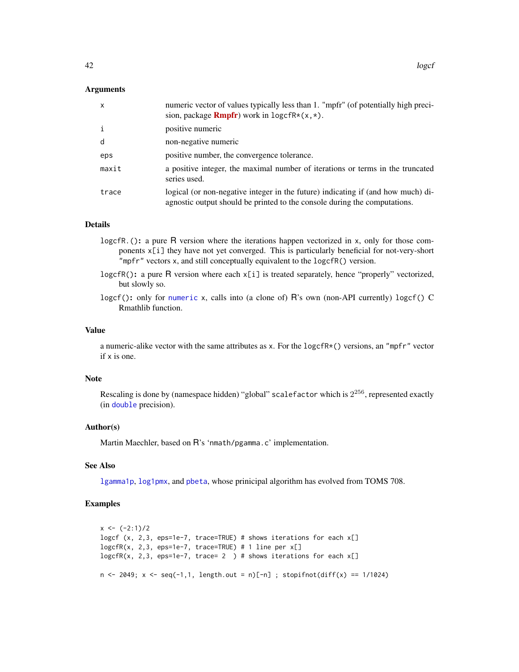### **Arguments**

| x     | numeric vector of values typically less than 1. "mpfr" (of potentially high preci-<br>sion, package <b>Rmpfr</b> ) work in $\text{logcfr*}(x,*)$ .            |
|-------|---------------------------------------------------------------------------------------------------------------------------------------------------------------|
| i     | positive numeric                                                                                                                                              |
| d     | non-negative numeric                                                                                                                                          |
| eps   | positive number, the convergence tolerance.                                                                                                                   |
| maxit | a positive integer, the maximal number of iterations or terms in the truncated<br>series used.                                                                |
| trace | logical (or non-negative integer in the future) indicating if (and how much) di-<br>agnostic output should be printed to the console during the computations. |

## Details

- logcfR.(): a pure R version where the iterations happen vectorized in x, only for those components x[i] they have not yet converged. This is particularly beneficial for not-very-short "mpfr" vectors x, and still conceptually equivalent to the logcfR() version.
- logcfR(): a pure R version where each  $x[i]$  is treated separately, hence "properly" vectorized, but slowly so.
- logcf(): only for [numeric](#page-0-0) x, calls into (a clone of) R's own (non-API currently) logcf() C Rmathlib function.

### Value

a numeric-alike vector with the same attributes as x. For the logcfR\*() versions, an "mpfr" vector if x is one.

#### **Note**

Rescaling is done by (namespace hidden) "global" scalefactor which is  $2^{256}$ , represented exactly (in [double](#page-0-0) precision).

#### Author(s)

Martin Maechler, based on R's 'nmath/pgamma.c' implementation.

### See Also

[lgamma1p](#page-35-0), [log1pmx](#page-38-0), and [pbeta](#page-0-0), whose prinicipal algorithm has evolved from TOMS 708.

## Examples

```
x \leftarrow (-2:1)/2logcf (x, 2,3, eps=1e-7, trace=TRUE) # shows iterations for each x[]
logcfr(x, 2, 3, eps=1e-7, trace=TRUE) # 1 line per x[]logcfR(x, 2,3, eps=1e-7, trace= 2 ) # shows iterations for each x[]n \le 2049; x \le -\text{seq}(-1,1, \text{length.out} = n)[-n]; stopifnot(diff(x) == 1/1024)
```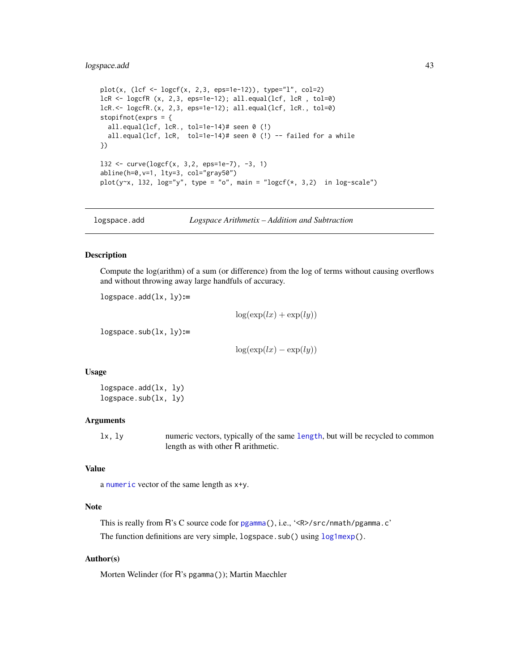## logspace.add 43

```
plot(x, (lcf <- logcf(x, 2, 3,eps=1e-12)), type="1", col=2)lcR <- logcfR (x, 2,3, eps=1e-12); all.equal(lcf, lcR , tol=0)
lcR.<- logcfR.(x, 2,3, eps=1e-12); all.equal(lcf, lcR., tol=0)
stopifnot(exprs = {
  all.equal(lcf, lcR., tol=1e-14)# seen 0 (!)
  all.equal(lcf, lcR, tol=1e-14)# seen 0 (!) -- failed for a while
})
132 \le curve(logcf(x, 3, 2, eps=1e-7), -3, 1)
abline(h=0,v=1, lty=3, col="gray50")
plot(y~x, 132, log="y", type = "o", main = "logcf(\star, 3,2) in log-scale")
```
logspace.add *Logspace Arithmetix – Addition and Subtraction*

#### Description

Compute the log(arithm) of a sum (or difference) from the log of terms without causing overflows and without throwing away large handfuls of accuracy.

 $logspace.add(lx, ly):=$ 

 $\log(\exp(lx) + \exp(ly))$ 

 $logspace.sub(lx, ly):=$ 

 $\log(\exp(lx) - \exp(ly))$ 

#### Usage

logspace.add(lx, ly) logspace.sub(lx, ly)

### Arguments

lx, ly numeric vectors, typically of the same [length](#page-0-0), but will be recycled to common length as with other R arithmetic.

## Value

a [numeric](#page-0-0) vector of the same length as x+y.

### Note

This is really from R's C source code for [pgamma\(](#page-0-0)), i.e., '<R>/src/nmath/pgamma.c' The function definitions are very simple, logspace.sub() using [log1mexp\(](#page-37-0)).

## Author(s)

Morten Welinder (for R's pgamma()); Martin Maechler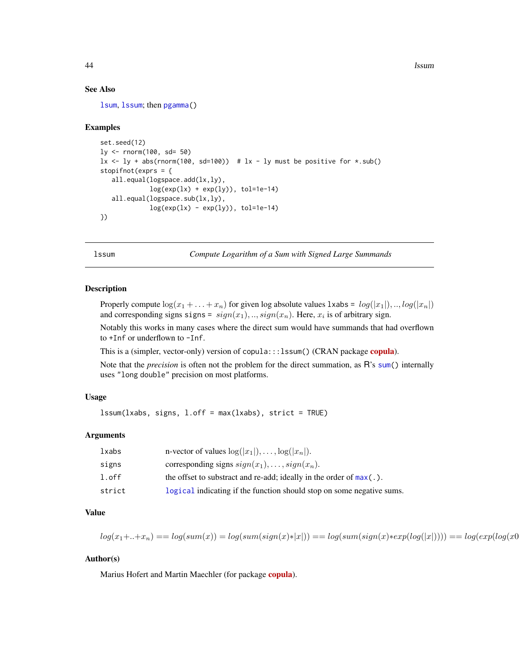44 lssum

## See Also

[lsum](#page-44-0), [lssum](#page-43-0); then [pgamma\(](#page-0-0))

### Examples

```
set.seed(12)
ly < - rnorm(100, sd = 50)lx \leftarrow ly + abs(rnorm(100, sd=100)) # lx - ly must be positive for *.sub()stopifnot(exprs = {
  all.equal(logspace.add(lx,ly),
             log(exp(lx) + exp(ly)), tol=1e-14)
  all.equal(logspace.sub(lx,ly),
             log(exp(lx) - exp(ly)), tol=1e-14)
})
```
<span id="page-43-0"></span>lssum *Compute Logarithm of a Sum with Signed Large Summands*

#### Description

Properly compute  $\log(x_1 + \ldots + x_n)$  for given log absolute values 1xabs =  $log(|x_1|), ..., log(|x_n|)$ and corresponding signs signs =  $sign(x_1), ..., sign(x_n)$ . Here,  $x_i$  is of arbitrary sign.

Notably this works in many cases where the direct sum would have summands that had overflown to +Inf or underflown to -Inf.

This is a (simpler, vector-only) version of [copula](https://CRAN.R-project.org/package=copula):::lssum() (CRAN package copula).

Note that the *precision* is often not the problem for the direct summation, as R's [sum\(](#page-0-0)) internally uses "long double" precision on most platforms.

## Usage

lssum(lxabs, signs, l.off = max(lxabs), strict = TRUE)

## Arguments

| lxabs  | n-vector of values $\log( x_1 ), \ldots, \log( x_n ).$                 |
|--------|------------------------------------------------------------------------|
| signs  | corresponding signs $sign(x_1), \ldots, sign(x_n)$ .                   |
| l.off  | the offset to substract and re-add; ideally in the order of $max(.)$ . |
| strict | logical indicating if the function should stop on some negative sums.  |

#### Value

$$
log(x_1 + ... + x_n) == log(sum(x)) = log(sum(sign(x)*|x|)) == log(sum(sign(x)*exp(log(|x|)))) == log(exp(log(x0)*|x|)) == log(exp(log(x0)*|x|)) == log(exp(log(x0)*|x|)) == log(exp(log(x0)*|x|)) == log(exp(log(x0)*|x|)) == log(exp((log(x0)*|x|)) == log(exp((log(x0)*|x|)) == log(exp((log(x0)*|x|)) == log(exp((log(x0)*|x|)) == log(exp((log(x0)*|x|)) == log(exp((log(x0)*|x|)) == log(exp((log(x0)*|x|)) == log(exp((log(x0)*|x|)) == log(exp((log(x0)*|x|)) == log(exp((log(x0)*|x|)) == log(exp((log(x0)*|x|)) == log(exp((log(x0)*|x|)) == log(exp((log(x0)*|x|)) == log(exp((log(x0)*|x|)) == log(exp((log(x0)*|x|)) == log(exp((log(x0)*|x|)) == log(exp((log(x0)*|x|)) == log(exp((log(x0)*|x|)) == log(exp((log(x0)*|x|)) == log(exp((log(x0)*|x|)) == log(exp((log(x0)*|x|)) == log(exp((log(x0)*|x|)) == log(exp((log(x0)*|x|)) == log(exp((log(x0)*|x|)) == log(exp((log(x0)*|x|)) == log(exp((log(x0)*|x|)) == log(exp((log(x0)*|x|)) == log(exp((log(x0)*|x|)) == log(exp((log(x0)*|x|)) == log(exp((log(x0)*|x|)) == log(exp((log(x0)*|x|)) == log(exp((log(x0)*|x|)) == log(exp((log(x0)*|x|)) == log(exp((log(x0)*|x|)) == log(exp((log(x0)*|x|)) == log(exp((log(x0)*|x|)) == log(exp((log(x0)*|x|)) == log(exp((log(x0)*|x|)) == log(exp((log(x0)*|x|)) == log(exp((log(x0)*|x|)) == log(exp((log(x0)*|x|)) == log(exp((log(x0)*|x|)) == log(exp((log(x0)*|x|)) == log(exp((log(x0)*|x|)) == log(exp((log(x0)*|x|)) == log(exp((log(x0)*|x|)) == log(exp((log(x0)*|x|)) == log(exp((log(x0)*|x|)) == log(exp((log(x0)*|x|)) == log(exp((log(x0)*|x|)) == log(exp((log(x0)*|x|)) == log(exp((log(x0)*|x|)) == log(exp((log(x0)*|x|)) == log(exp((log(x0)*|x|)) == log(exp((log(x0)*|x|)) == log(exp((log(x0
$$

# Author(s)

Marius Hofert and Martin Maechler (for package [copula](https://CRAN.R-project.org/package=copula)).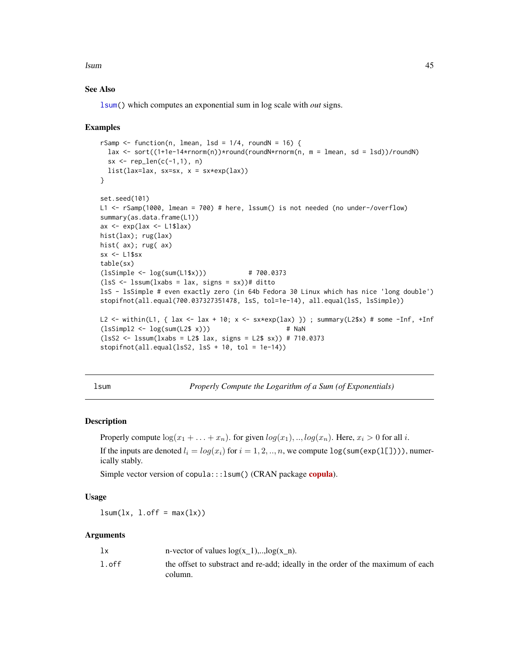lsum 45

# See Also

[lsum\(](#page-44-0)) which computes an exponential sum in log scale with *out* signs.

#### Examples

```
rSamp \le function(n, lmean, lsd = 1/4, roundN = 16) {
 lax \le sort((1+1e-14*rnorm(n))*round(roundN*rnorm(n, m = lmean, sd = lsd))/roundN)
 sx \leq -rep\_len(c(-1,1), n)list(lax=law, sx=sx, x = sx*exp(lax))}
set.seed(101)
L1 <- rSamp(1000, lmean = 700) # here, lssum() is not needed (no under-/overflow)
summary(as.data.frame(L1))
ax \leq exp(lax \leq L1$lax)
hist(lax); rug(lax)
hist( ax); rug( ax)
sx <- L1$sx
table(sx)
(lsSimple < - log(sum(L1$x))) # 700.0373
(1sS \leq -1ssum(1xabs = 1ax, signs = sx))# ditto
lsS - lsSimple # even exactly zero (in 64b Fedora 30 Linux which has nice 'long double')
stopifnot(all.equal(700.037327351478, lsS, tol=1e-14), all.equal(lsS, lsSimple))
L2 <- within(L1, { lax <- lax + 10; x <- sx*exp(lax) }) ; summary(L2$x) # some -Inf, +Inf
(lsSimpl2 < -log(sum(L2$ x))) # NaN
(lsS2 <- lssum(lxabs = L2$ lax, signs = L2$ sx)) # 710.0373
stopifnot(all.equal(lsS2, lsS + 10, tol = 1e-14))
```
<span id="page-44-0"></span>lsum *Properly Compute the Logarithm of a Sum (of Exponentials)*

#### **Description**

Properly compute  $\log(x_1 + \ldots + x_n)$ . for given  $\log(x_1), \ldots, \log(x_n)$ . Here,  $x_i > 0$  for all i. If the inputs are denoted  $l_i = log(x_i)$  for  $i = 1, 2, ..., n$ , we compute  $log(sum(exp(1[\;]))$ , numerically stably.

Simple vector version of [copula](https://CRAN.R-project.org/package=copula):::lsum() (CRAN package copula).

#### Usage

 $lsum(lx, l.off = max(lx))$ 

| lx    | n-vector of values $log(x_1)$ ,, $log(x_n)$ .                                              |
|-------|--------------------------------------------------------------------------------------------|
| l.off | the offset to substract and re-add; ideally in the order of the maximum of each<br>column. |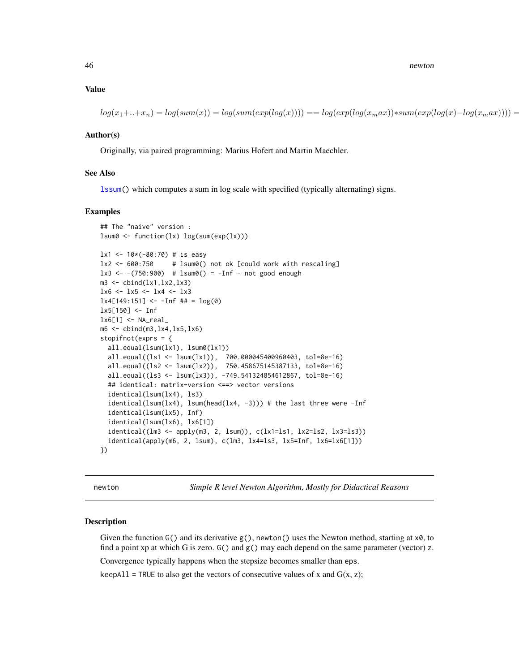46 newton and the set of the set of the set of the set of the set of the set of the set of the set of the set of the set of the set of the set of the set of the set of the set of the set of the set of the set of the set of

#### Value

 $log(x_1+...+x_n) = log(sum(x)) = log(sum(exp(log(x))) = log(exp(log(x_max))*sum(exp(log(x)-log(x_max))))$ 

# Author(s)

Originally, via paired programming: Marius Hofert and Martin Maechler.

### See Also

[lssum\(](#page-43-0)) which computes a sum in log scale with specified (typically alternating) signs.

#### Examples

```
## The "naive" version :
lsum0 <- function(lx) log(sum(exp(lx)))
lx1 < -10*(-80:70) # is easy
lx2 < -600:750 # lsum0() not ok [could work with rescaling]
lx3 < --(750:900) # lsum0() = -Inf - not good enoughm3 \le- cbind(lx1,lx2,lx3)
lx6 <- lx5 <- lx4 <- lx3
lx4[149:151] < -1nf # # = log(0)1x5[150] < - Inf
lx6[1] < - NA_real_
m6 \le cbind(m3, lx4, lx5, lx6)
stopifnot(exprs = {
  all.equal(lsum(lx1), lsum0(lx1))
  all.equal((ls1 <- lsum(lx1)), 700.000045400960403, tol=8e-16)
  all.equal((ls2 <- lsum(lx2)), 750.458675145387133, tol=8e-16)
  all.equal((ls3 <- lsum(lx3)), -749.541324854612867, tol=8e-16)
  ## identical: matrix-version <==> vector versions
  identical(lsum(lx4), ls3)
  identical(lsum(lx4), lsum(head(lx4, -3))) # the last three were -Inf
  identical(lsum(lx5), Inf)
  identical(lsum(lx6), lx6[1])
  identical((lm3 <- apply(m3, 2, lsum)), c(lx1=ls1, lx2=ls2, lx3=ls3))
  identical(apply(m6, 2, 1sum), c(lm3, 1x4=1s3, 1x5=Inf, 1x6=1x6[1]))})
```
newton *Simple R level Newton Algorithm, Mostly for Didactical Reasons*

#### Description

Given the function  $G()$  and its derivative  $g()$ , newton() uses the Newton method, starting at  $x\theta$ , to find a point xp at which G is zero.  $G()$  and  $g()$  may each depend on the same parameter (vector) z.

Convergence typically happens when the stepsize becomes smaller than eps.

keepAll = TRUE to also get the vectors of consecutive values of x and  $G(x, z)$ ;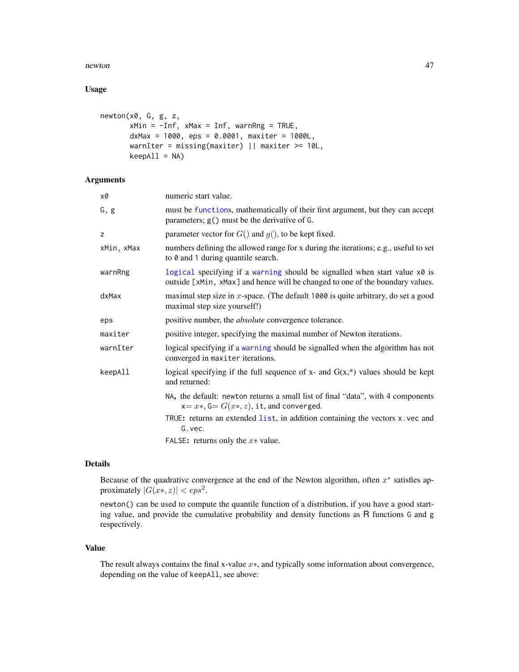#### newton and the contract of the contract of the contract of the contract of the contract of the contract of the contract of the contract of the contract of the contract of the contract of the contract of the contract of the

# Usage

```
newton(x0, G, g, z,
       xMin = -Inf, xMax = Inf, warnRng = TRUE,
       dxMax = 1000, eps = 0.0001, maxiter = 1000L,
      warnIter = missing(maxiter) || maxiter >= 10L,
      keepAll = NA)
```
# Arguments

| x0         | numeric start value.                                                                                                                                        |
|------------|-------------------------------------------------------------------------------------------------------------------------------------------------------------|
| G, g       | must be functions, mathematically of their first argument, but they can accept<br>parameters; g() must be the derivative of G.                              |
| z          | parameter vector for $G()$ and $g()$ , to be kept fixed.                                                                                                    |
| xMin, xMax | numbers defining the allowed range for x during the iterations; e.g., useful to set<br>to 0 and 1 during quantile search.                                   |
| warnRng    | logical specifying if a warning should be signalled when start value x0 is<br>outside [xMin, xMax] and hence will be changed to one of the boundary values. |
| dxMax      | maximal step size in $x$ -space. (The default 1000 is quite arbitrary, do set a good<br>maximal step size yourself!)                                        |
| eps        | positive number, the <i>absolute</i> convergence tolerance.                                                                                                 |
| maxiter    | positive integer, specifying the maximal number of Newton iterations.                                                                                       |
| warnIter   | logical specifying if a warning should be signalled when the algorithm has not<br>converged in maxiter iterations.                                          |
| keepAll    | logical specifying if the full sequence of $x$ - and $G(x,*)$ values should be kept<br>and returned:                                                        |
|            | NA, the default: newton returns a small list of final "data", with 4 components<br>$x=x*, G=G(x*, z)$ , it, and converged.                                  |
|            | TRUE: returns an extended list, in addition containing the vectors x. vec and<br>G. vec.                                                                    |
|            | FALSE: returns only the $x*$ value.                                                                                                                         |

## Details

Because of the quadrative convergence at the end of the Newton algorithm, often  $x^*$  satisfies approximately  $|G(x*, z)| < eps^2$ .

newton() can be used to compute the quantile function of a distribution, if you have a good starting value, and provide the cumulative probability and density functions as R functions G and g respectively.

### Value

The result always contains the final x-value x∗, and typically some information about convergence, depending on the value of keepAll, see above: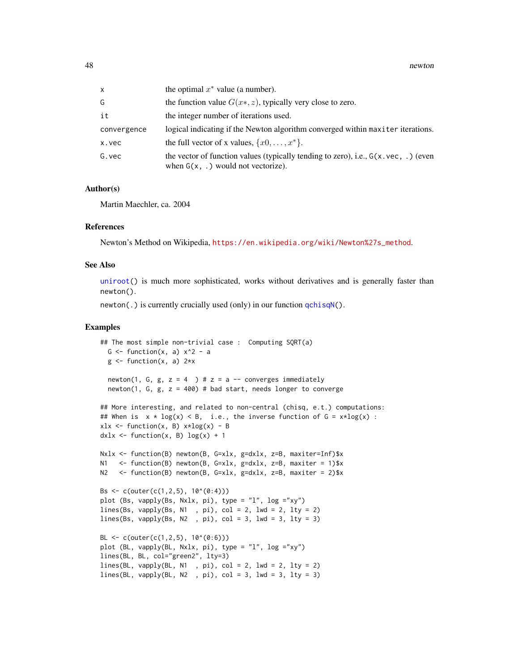| x           | the optimal $x^*$ value (a number).                                                                                                    |
|-------------|----------------------------------------------------------------------------------------------------------------------------------------|
| G           | the function value $G(x*, z)$ , typically very close to zero.                                                                          |
| it          | the integer number of iterations used.                                                                                                 |
| convergence | logical indicating if the Newton algorithm converged within maxiter iterations.                                                        |
| x.vec       | the full vector of x values, $\{x0, \ldots, x^*\}$ .                                                                                   |
| G.vec       | the vector of function values (typically tending to zero), i.e., $G(x \cdot vec, \cdot)$ (even<br>when $G(x, .)$ would not vectorize). |

#### Author(s)

Martin Maechler, ca. 2004

#### References

Newton's Method on Wikipedia, [https://en.wikipedia.org/wiki/Newton%27s\\_method](https://en.wikipedia.org/wiki/Newton%27s_method).

## See Also

[uniroot\(](#page-0-0)) is much more sophisticated, works without derivatives and is generally faster than newton().

newton(.) is currently crucially used (only) in our function  $qchisqN($ ).

### Examples

```
## The most simple non-trivial case : Computing SQRT(a)
  G \leftarrow function(x, a) x^2 - ag \leftarrow function(x, a) 2*xnewton(1, G, g, z = 4 ) # z = a -- converges immediately
  newton(1, G, g, z = 400) # bad start, needs longer to converge
## More interesting, and related to non-central (chisq, e.t.) computations:
## When is x * log(x) < B, i.e., the inverse function of G = x * log(x):
xlx \leftarrow function(x, B) x * log(x) - Bdx1x \leftarrow function(x, B) log(x) + 1Nxlx <- function(B) newton(B, G=xlx, g=dxlx, z=B, maxiter=Inf)$x
N1 \le function(B) newton(B, G=xlx, g=dxlx, z=B, maxiter = 1)$x
N2 <- function(B) newton(B, G=xlx, g=dxlx, z=B, maxiter = 2)$x
Bs <- c(outer(c(1,2,5), 10^(0:4)))
plot (Bs, vapply(Bs, Nxlx, pi), type = "l", log ="xy")
lines(Bs, vapply(Bs, N1, pi), col = 2, lwd = 2, lty = 2)
lines(Bs, vapply(Bs, N2, pi), col = 3, lwd = 3, lty = 3)
BL \leq c(outer(c(1,2,5), 10^(0:6)))
plot (BL, vapply(BL, Nxlx, pi), type = "l", log ="xy")
lines(BL, BL, col="green2", lty=3)
lines(BL, vapply(BL, N1 , pi), col = 2, lwd = 2, lty = 2)lines(BL, vapply(BL, N2, pi), col = 3, lwd = 3, lty = 3)
```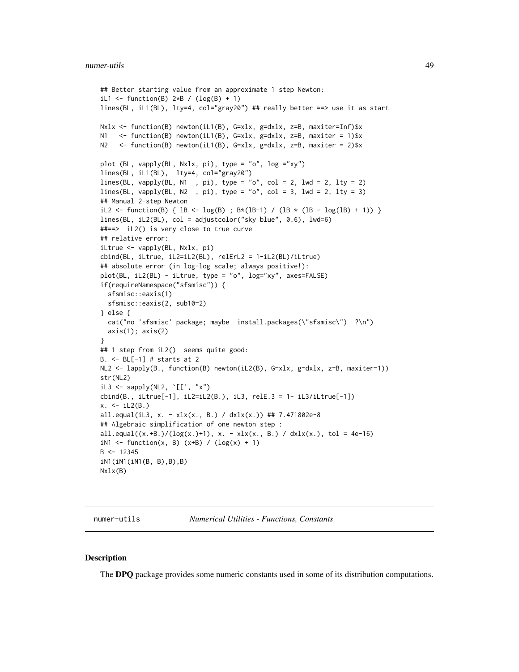```
## Better starting value from an approximate 1 step Newton:
iL1 <- function(B) 2*B / (log(B) + 1)lines(BL, iL1(BL), lty=4, col="gray20") ## really better ==> use it as start
Nxlx <- function(B) newton(iL1(B), G=xlx, g=dxlx, z=B, maxiter=Inf)$x
N1 <- function(B) newton(iL1(B), G=xlx, g=dxlx, z=B, maxiter = 1)$x
N2 <- function(B) newton(iL1(B), G=xlx, g=dxlx, z=B, maxiter = 2)$x
plot (BL, vapply(BL, Nxlx, pi), type = "o", log ="xy")
lines(BL, iL1(BL), lty=4, col="gray20")
lines(BL, vapply(BL, N1, pi), type = "o", col = 2, lwd = 2, lty = 2)
lines(BL, vapply(BL, N2, pi), type = "o", col = 3, lwd = 2, lty = 3)
## Manual 2-step Newton
iL2 <- function(B) { 1B \leq log(B) ; B*(1B+1) / (1B * (1B - log(1B) + 1)) }
lines(BL, iL2(BL), col = adjustcolor("sky blue", 0.6), lwd=6)
##==> iL2() is very close to true curve
## relative error:
iLtrue <- vapply(BL, Nxlx, pi)
cbind(BL, iLtrue, iL2=iL2(BL), relErL2 = 1-iL2(BL)/iLtrue)
## absolute error (in log-log scale; always positive!):
plot(BL, iL2(BL) - iLtrue, type = "o", log="xy", axes=FALSE)
if(requireNamespace("sfsmisc")) {
  sfsmisc::eaxis(1)
  sfsmisc::eaxis(2, sub10=2)
} else {
  cat("no 'sfsmisc' package; maybe install.packages(\"sfsmisc\") ?\n")
  axis(1); axis(2)}
## 1 step from iL2() seems quite good:
B. <- BL[-1] # starts at 2
NL2 <- lapply(B., function(B) newton(iL2(B), G=xlx, g=dxlx, z=B, maxiter=1))
str(NL2)
iL3 <- sapply(NL2, '[['', 'x'')cbind(B., iLtrue[-1], iL2=iL2(B.), iL3, relE.3 = 1- iL3/iLtrue[-1])
x. < -iL2(B.)all.equal(iL3, x. - xlx(x., B.) / dxlx(x.)) ## 7.471802e-8
## Algebraic simplification of one newton step :
all.equal((x.+B.)/(log(x.)+1), x. - xlx(x., B.) / dxlx(x.), tol = 4e-16)
iN1 <- function(x, B) (x+B) / (\log(x) + 1)B < - 12345iN1(iN1(iN1(B, B),B),B)
Nxlx(B)
```
numer-utils *Numerical Utilities - Functions, Constants*

### Description

The DPQ package provides some numeric constants used in some of its distribution computations.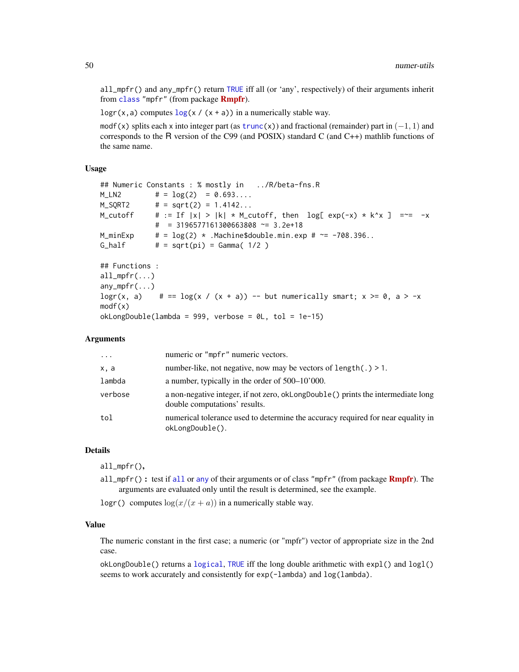all\_mpfr() and any\_mpfr() return [TRUE](#page-0-0) iff all (or 'any', respectively) of their arguments inherit from [class](#page-0-0) "mpfr" (from package **[Rmpfr](https://CRAN.R-project.org/package=Rmpfr)**).

logr(x, a) computes  $log(x / (x + a))$  $log(x / (x + a))$  in a numerically stable way.

modf(x) splits each x into integer part (as [trunc\(](#page-0-0)x)) and fractional (remainder) part in  $(-1, 1)$  and corresponds to the R version of the C99 (and POSIX) standard C (and C++) mathlib functions of the same name.

# Usage

```
## Numeric Constants : % mostly in ../R/beta-fns.R
M_LN2 \# = \log(2) = 0.693...M_SQRT2 # = sqrt(2) = 1.4142...
M_cutoff # := If |x| > |k| * M_cutoff, then log[ exp(-x) * k^x ] = -x - x\# = 3196577161300663808 ~= 3.2e+18
M_minExp \# = \log(2) \times \text{Machine}\$ \text{double.min}.\text{exp } # \approx -708.396\ldotsG_half # = sqrt(pi) = Gamma( 1/2 )## Functions :
all_mpr(...)any_mpfr(...)
logr(x, a) # == \log(x / (x + a)) -- but numerically smart; x >= 0, a > -x
modf(x)
okLongDouble(lambda = 999, verbose = 0L, tol = 1e-15)
```
### Arguments

| $\cdot \cdot \cdot$ | numeric or "mpfr" numeric vectors.                                                                                |
|---------------------|-------------------------------------------------------------------------------------------------------------------|
| x, a                | number-like, not negative, now may be vectors of length(.) $> 1$ .                                                |
| lambda              | a number, typically in the order of $500-10'000$ .                                                                |
| verbose             | a non-negative integer, if not zero, oklongDouble() prints the intermediate long<br>double computations' results. |
| tol                 | numerical tolerance used to determine the accuracy required for near equality in<br>okLongDouble().               |

#### Details

all\_mpfr(),

[all](#page-0-0)\_mpfr() : test if all or [any](#page-0-0) of their arguments or of class "mpfr" (from package  $Rmpfr$ ). The arguments are evaluated only until the result is determined, see the example.

logr() computes  $\log(x/(x + a))$  in a numerically stable way.

## Value

The numeric constant in the first case; a numeric (or "mpfr") vector of appropriate size in the 2nd case.

okLongDouble() returns a [logical](#page-0-0), [TRUE](#page-0-0) iff the long double arithmetic with expl() and logl() seems to work accurately and consistently for exp(-lambda) and log(lambda).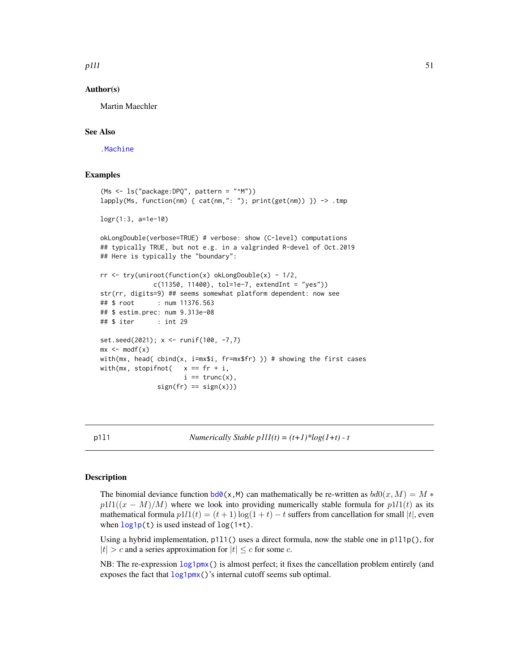p111 51

## Author(s)

Martin Maechler

## See Also

[.Machine](#page-0-0)

### Examples

```
(Ms <- ls("package:DPQ", pattern = "^M"))
lapply(Ms, function(nm) { cat(nm,": "); print(get(nm)) }) -> .tmp
logr(1:3, a=1e-10)
okLongDouble(verbose=TRUE) # verbose: show (C-level) computations
## typically TRUE, but not e.g. in a valgrinded R-devel of Oct.2019
## Here is typically the "boundary":
rr <- try(uniroot(function(x) okLongDouble(x) - 1/2,
             c(11350, 11400), tol=1e-7, extendInt = "yes"))
str(rr, digits=9) ## seems somewhat platform dependent: now see
## $ root : num 11376.563
## $ estim.prec: num 9.313e-08
## $ iter : int 29
set.seed(2021); x <- runif(100, -7,7)
mx \leq -modf(x)with(mx, head( cbind(x, i=mx$i, fr=mx$fr) )) # showing the first cases
with(mx, stopifnot( x == fr + i,
                     i == true(x),
               sign(fr) == sign(x)))
```
p1l1 *Numerically Stable p1l1(t) = (t+1)\*log(1+t) - t*

### **Description**

The binomial deviance function  $bd0(x,M)$  $bd0(x,M)$  can mathematically be re-written as  $bd0(x, M) = M *$  $p1l1((x - M)/M)$  where we look into providing numerically stable formula for  $p1l1(t)$  as its mathematical formula  $p111(t) = (t + 1) \log(1 + t) - t$  suffers from cancellation for small |t|, even when  $\log 1p(t)$  is used instead of  $\log(1+t)$ .

Using a hybrid implementation, p1l1() uses a direct formula, now the stable one in p1l1p(), for  $|t| > c$  and a series approximation for  $|t| \leq c$  for some c.

NB: The re-expression [log1pmx\(](#page-38-0)) is almost perfect; it fixes the cancellation problem entirely (and exposes the fact that  $\log 1pm$  ()'s internal cutoff seems sub optimal.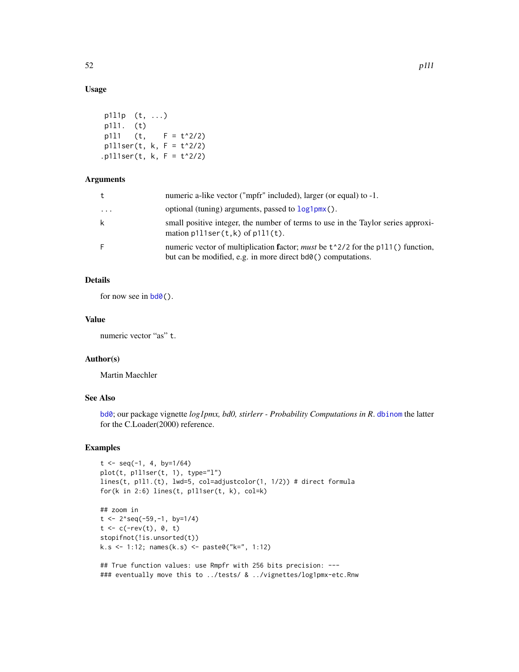# Usage

```
p1l1p (t, ...)
p1l1. (t)
p111 (t, F = t^2/2)
p111ser(t, k, F = t^2/2)p111ser(t, k, F = t^2/2)
```
## Arguments

| t       | numeric a-like vector ("mpfr" included), larger (or equal) to -1.                                                                                        |
|---------|----------------------------------------------------------------------------------------------------------------------------------------------------------|
| $\cdot$ | optional (tuning) arguments, passed to $log1pm(x)$ .                                                                                                     |
| k       | small positive integer, the number of terms to use in the Taylor series approxi-<br>mation $p111ser(t,k)$ of $p111(t)$ .                                 |
| F.      | numeric vector of multiplication factor; <i>must</i> be $t^2/2$ for the p111() function,<br>but can be modified, e.g. in more direct bd0() computations. |

# Details

for now see in  $\text{bd}\theta$  ().

## Value

numeric vector "as" t.

## Author(s)

Martin Maechler

# See Also

[bd0](#page-16-0); our package vignette *log1pmx, bd0, stirlerr - Probability Computations in R*. [dbinom](#page-0-0) the latter for the C.Loader(2000) reference.

## Examples

```
t < - seq(-1, 4, by=1/64)
plot(t, p1l1ser(t, 1), type="l")
lines(t, p1l1.(t), lwd=5, col=adjustcolor(1, 1/2)) # direct formula
for(k in 2:6) lines(t, p1l1ser(t, k), col=k)
```

```
## zoom in
t \leq -2^seq(-59,-1, by=1/4)
t < -c(-rev(t), 0, t)stopifnot(!is.unsorted(t))
k.s <- 1:12; names(k.s) <- paste0("k=", 1:12)
```

```
## True function values: use Rmpfr with 256 bits precision: ---
### eventually move this to ../tests/ & ../vignettes/log1pmx-etc.Rnw
```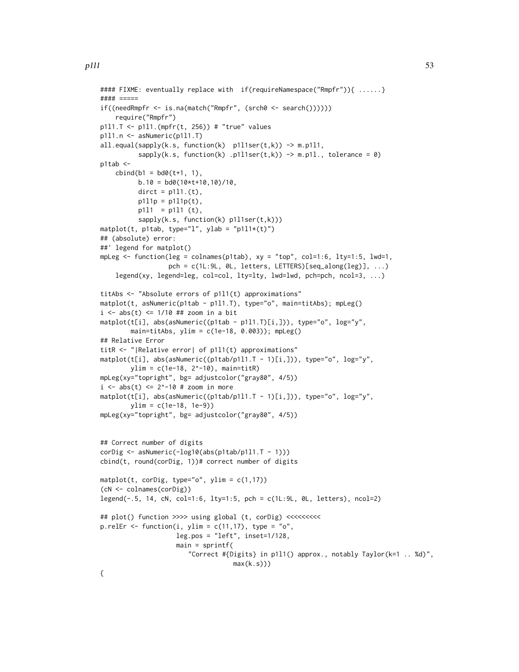```
#### FIXME: eventually replace with if(requireNamespace("Rmpfr")){ ......}
#### =====
if((needRmpfr <- is.na(match("Rmpfr", (srch0 <- search())))))
    require("Rmpfr")
p1l1.T <- p1l1.(mpfr(t, 256)) # "true" values
p1l1.n <- asNumeric(p1l1.T)
all.equal(sapply(k.s, function(k) p111ser(t,k)) -> m.p111,
          sapply(k.s, function(k) .p1l1ser(t,k)) \rightarrow m.p1l., tolerance = 0)
p1tab <-
    cbind(b1 = bd0(t+1, 1),b.10 = bd0(10*t+10,10)/10,\text{dict} = p111.(t),p111p = p111p(t),
          p1l1 = p1l1 (t),
          sapply(k.s, function(k) p1l1ser(t,k)))
matplot(t, p1tab, type="l", ylab = "p1l1*(t)")
## (absolute) error:
##' legend for matplot()
mpLeg <- function(leg = colnames(p1tab), xy = "top", col=1:6, lty=1:5, lwd=1,
                  pch = c(1L:9L, 0L, letters, LETTERS)[seq\_along(leg)], ...)legend(xy, legend=leg, col=col, lty=lty, lwd=lwd, pch=pch, ncol=3, ...)
titAbs <- "Absolute errors of p1l1(t) approximations"
matplot(t, asNumeric(p1tab - p1l1.T), type="o", main=titAbs); mpLeg()
i \leq abs(t) \leq 1/10 ## zoom in a bit
matplot(t[i], abs(asNumeric((p1tab - p1l1.T)[i,])), type="o", log="y",
        main=titAbs, ylim = c(1e-18, 0.003); mpLeg()
## Relative Error
titR <- "|Relative error| of p1l1(t) approximations"
matplot(t[i], abs(asNumeric((p1tab/p1l1.T - 1)[i,])), type="o", log="y",
        ylim = c(1e-18, 2^-10), main=titR)
mpLeg(xy="topright", bg= adjustcolor("gray80", 4/5))
i \leq -abs(t) \leq 2^{\lambda} - 10 # zoom in more
matplot(t[i], abs(asNumeric((p1tab/p1l1.T - 1)[i,])), type="o", log="y",
        ylim = c(1e-18, 1e-9))
mpLeg(xy="topright", bg= adjustcolor("gray80", 4/5))
## Correct number of digits
corDig <- asNumeric(-log10(abs(p1tab/p1l1.T - 1)))
cbind(t, round(corDig, 1))# correct number of digits
matplot(t, corDig, type="o", ylim = c(1,17))
(cN <- colnames(corDig))
legend(-.5, 14, cN, col=1:6, lty=1:5, pch = c(1L:9L, 0L, letters), ncol=2)
## plot() function >>>> using global (t, corDig) <<<<<<<<<<<<<<<<<<<<<<<<<<<<<<<<
p.relEr \le function(i, ylim = c(11,17), type = "o",
                    leg.pos = "left", insect=1/128,main = sprintf(
                        "Correct #{Digits} in p1l1() approx., notably Taylor(k=1 .. %d)",
                                    max(k.s))
```
{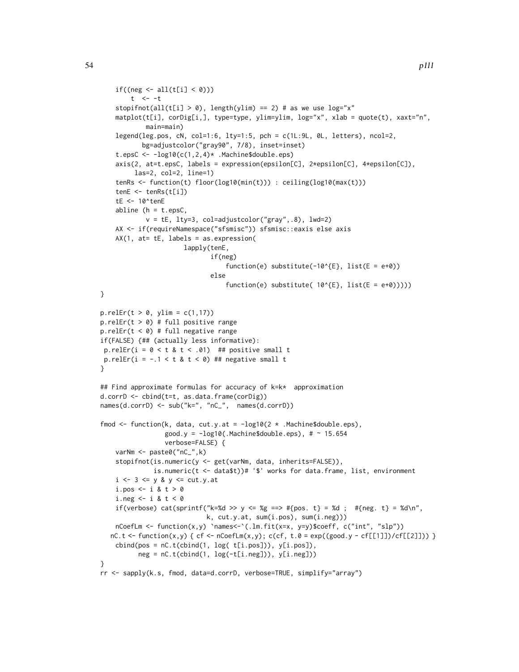```
if((neg \leftarrow all(t[i] \leftarrow 0)))t <- -tstopifnot(all(t[i] > 0), length(ylim) == 2) # as we use log="x"
    matplot(t[i], corDig[i,], type=type, ylim=ylim, log="x", xlab = quote(t), xaxt="n",
            main=main)
    legend(leg.pos, cN, col=1:6, lty=1:5, pch = c(1L:9L, 0L, letters), ncol=2,
           bg=adjustcolor("gray90", 7/8), inset=inset)
    t.epsC <- -log10(c(1,2,4)* .Machine$double.eps)
    axis(2, at=t.epsC, labels = expression(epsilon[C], 2*epsilon[C], 4*epsilon[C]),
         las=2, col=2, line=1)
    tenRs <- function(t) floor(log10(min(t))) : ceiling(log10(max(t)))
    tenE \leq -tenRs(t[i])tE <- 10^tenE
    abline (h = t.\text{epsC},
            v = tE, lty=3, col=adjustcolor("gray",.8), lwd=2)
    AX <- if(requireNamespace("sfsmisc")) sfsmisc::eaxis else axis
    AX(1, at= tE, labels = as.expression(
                      lapply(tenE,
                             if(neg)
                                  function(e) substitute(-10^{E}, list(E = e+0))
                             else
                                  function(e) substitute( 10^{e}[E}, list(E = e+0)))))
}
p.relEr(t > 0, ylim = c(1,17))
p.relEr(t > 0) # full positive range
p.relEr(t < 0) # full negative range
if(FALSE) {## (actually less informative):
p.relEr(i = 0 < t & t < .01) ## positive small t
p.relEr(i = -.1 < t & t < 0) ## negative small t
}
## Find approximate formulas for accuracy of k=k* approximation
d.corrD <- cbind(t=t, as.data.frame(corDig))
names(d.corrD) <- sub("k=", "nC_", names(d.corrD))
fmod \le function(k, data, cut.y.at = -log10(2 * .Machine$double.eps),
                 good.y = -log10(.Machine$double.eps), # \sim 15.654
                 verbose=FALSE) {
    varNm <- paste0("nC_",k)
    stopifnot(is.numeric(y <- get(varNm, data, inherits=FALSE)),
              is.numeric(t <- data$t))# '$' works for data.frame, list, environment
    i \leq 3 \leq y \& y \leq cut.y.ati.pos \leq - i & t > 0
    i.neg \leq -i & t < 0if(verbose) cat(sprintf("k=%d >> y <= %g ==> #{pos. t} = %d ; #{neg. t} = %d\n",
                            k, cut.y.at, sum(i.pos), sum(i.neg)))
   nCoefLm <- function(x,y) `names<-`(.lm.fit(x=x, y=y)$coeff, c("int", "slp"))
  nC.t < - function(x,y) { cf < - nCoefLm(x,y); c(cf, t.\theta = exp((good.y - cf[[1]])/cf[[2]])) }
   cbind(pos = nC.t(cbind(1, log( t[i.pos])), y[i.pos]),neg = nC.t(cbind(1, log(-t[i.neg])), y[i.neg]))}
rr <- sapply(k.s, fmod, data=d.corrD, verbose=TRUE, simplify="array")
```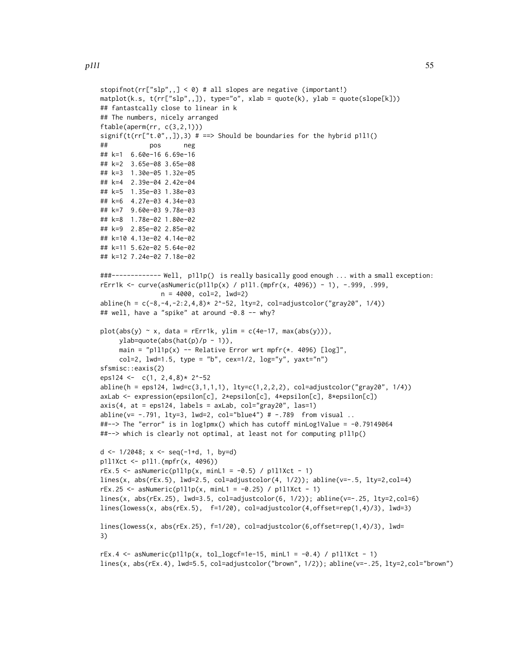```
stopifnot(rr["slp", 1 \le 0) # all slopes are negative (important!)
maplot(k.s, t(rr['slp", .]), type='o", xlab = quote(k), ylab = quote(slope[k]))## fantastcally close to linear in k
## The numbers, nicely arranged
ftable(aperm(rr, c(3,2,1)))
signif(t(rr["t.0",,]),3) # ==> Should be boundaries for the hybrid p1l1()
## pos neg
## k=1 6.60e-16 6.69e-16
## k=2 3.65e-08 3.65e-08
## k=3 1.30e-05 1.32e-05
## k=4 2.39e-04 2.42e-04
## k=5 1.35e-03 1.38e-03
## k=6 4.27e-03 4.34e-03
## k=7 9.60e-03 9.78e-03
## k=8 1.78e-02 1.80e-02
## k=9 2.85e-02 2.85e-02
## k=10 4.13e-02 4.14e-02
## k=11 5.62e-02 5.64e-02
## k=12 7.24e-02 7.18e-02
###------------- Well, p1l1p() is really basically good enough ... with a small exception:
rErr1k <- curve(asNumeric(p1l1p(x) / p1l1.(mpfr(x, 4096)) - 1), -.999, .999,
                n = 4000, col=2, lwd=2)
abline(h = c(-8, -4, -2:2, 4, 8) * 2^2 - 52, 1ty=2, col=adjustcolor("gray20", 1/4))## well, have a "spike" at around -0.8 -- why?
plot(abs(y) \sim x, data = rErr1k, ylim = c(4e-17, max(abs(y))),ylab=quote(abs(hat(p)/p - 1)),
     main = "p1l1p(x) -- Relative Error wrt mpfr(*. 4096) [log]",
     col=2, 1wd=1.5, type = "b", cex=1/2, log="y", yaxt="n")
sfsmisc::eaxis(2)
eps124 <- c(1, 2, 4, 8)* 2^x - 52abline(h = eps124, lwd=c(3,1,1,1), lty=c(1,2,2,2), col=adjustcolor("gray20", 1/4))axLab <- expression(epsilon[c], 2*epsilon[c], 4*epsilon[c], 8*epsilon[c])
axis(4, at =eps124, labels = axLab, col="gray20", las=1)abline(v= -.791, lty=3, lwd=2, col="blue4") # -.789 from visual ..
##--> The "error" is in log1pmx() which has cutoff minLog1Value = -0.79149064
##--> which is clearly not optimal, at least not for computing p1l1p()
d \le -1/2048; x \le -\text{seq}(-1+d, 1, \text{ by}=d)p1l1Xct <- p1l1.(mpfr(x, 4096))
rEx.5 \leq<br>sa Numeric(p1l1p(x, minL1 = -0.5) / p1l1Xct - 1)lines(x, abs(rEx.5), lwd=2.5, col=adjustcolor(4, 1/2)); abline(v=-.5, lty=2, col=4)rEx.25 \leq -asNumeric(p1l1p(x, minL1 = -0.25) / p1l1Xct - 1)
lines(x, abs(rEx.25), lwd=3.5, col=adjustcolor(6, 1/2)); abline(v=-.25, lty=2,col=6)
lines(lowess(x, abs(rEx.5), f=1/20), col=adjustcolor(4,offset=rep(1,4)/3), lwd=3)
lines(lowess(x, abs(rEx.25), f=1/20), col=adjustcolor(6,offset=rep(1,4)/3), lwd=
3)
rEx.4 \le asNumeric(p1l1p(x, tol_logcf=1e-15, minL1 = -0.4) / p1l1Xct - 1)
lines(x, abs(rEx.4), lwd=5.5, col=adjustcolor("brown", 1/2)); abline(v=-.25, lty=2,col="brown")
```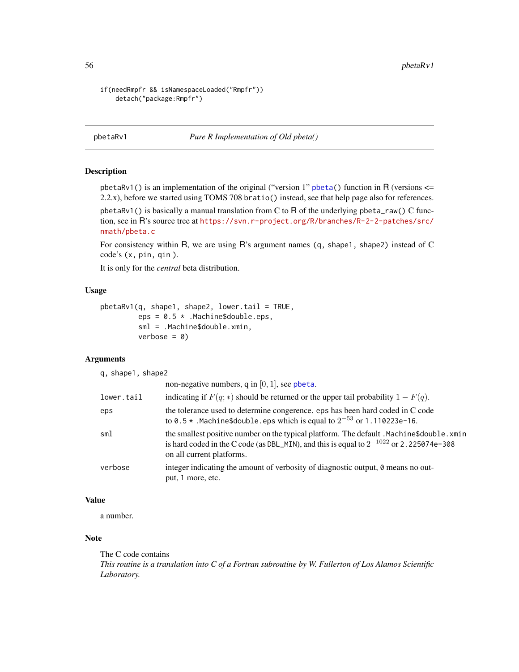```
if(needRmpfr && isNamespaceLoaded("Rmpfr"))
   detach("package:Rmpfr")
```
pbetaRv1 *Pure R Implementation of Old pbeta()*

#### Description

pbetaRv1() is an implementation of the original ("version 1" [pbeta\(](#page-0-0)) function in R (versions  $\leq$ 2.2.x), before we started using TOMS 708 bratio() instead, see that help page also for references.

pbetaRv1() is basically a manual translation from C to R of the underlying pbeta\_raw() C function, see in R's source tree at [https://svn.r-project.org/R/branches/R-2-2-patches/src/](https://svn.r-project.org/R/branches/R-2-2-patches/src/nmath/pbeta.c) [nmath/pbeta.c](https://svn.r-project.org/R/branches/R-2-2-patches/src/nmath/pbeta.c)

For consistency within R, we are using R's argument names (q, shape1, shape2) instead of C code's (x, pin, qin ).

It is only for the *central* beta distribution.

### Usage

```
pbetaRv1(q, shape1, shape2, lower.tail = TRUE,
         eps = 0.5 * .Machine$double.eps,
         sml = .Machine$double.xmin,
         verbose = 0)
```
### Arguments

q, shape1, shape2

|            | non-negative numbers, q in $[0, 1]$ , see pheta.                                                                                                                                                                     |
|------------|----------------------------------------------------------------------------------------------------------------------------------------------------------------------------------------------------------------------|
| lower.tail | indicating if $F(q;*)$ should be returned or the upper tail probability $1-F(q)$ .                                                                                                                                   |
| eps        | the tolerance used to determine congerence, eps has been hard coded in C code<br>to 0.5 $\star$ . Machine \$double. eps which is equal to $2^{-53}$ or 1.110223e-16.                                                 |
| sml        | the smallest positive number on the typical platform. The default . Machine\$double.xmin<br>is hard coded in the C code (as DBL_MIN), and this is equal to $2^{-1022}$ or 2.225074e-308<br>on all current platforms. |
| verbose    | integer indicating the amount of verbosity of diagnostic output, 0 means no out-<br>put, 1 more, etc.                                                                                                                |

## Value

a number.

## Note

The C code contains *This routine is a translation into C of a Fortran subroutine by W. Fullerton of Los Alamos Scientific Laboratory.*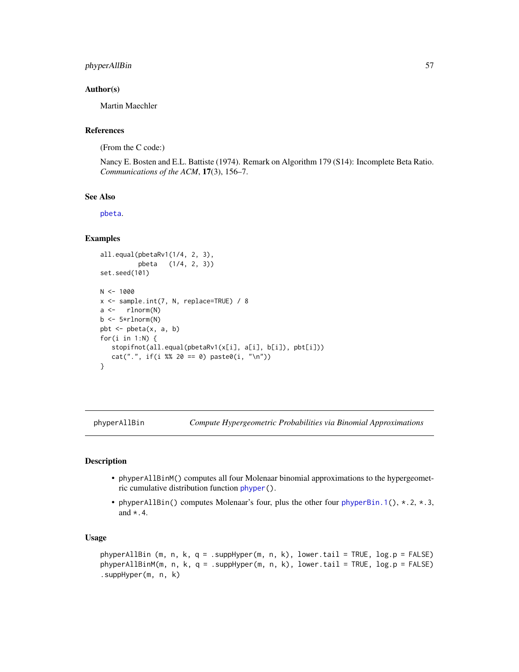## phyperAllBin 57

## Author(s)

Martin Maechler

## References

(From the C code:)

Nancy E. Bosten and E.L. Battiste (1974). Remark on Algorithm 179 (S14): Incomplete Beta Ratio. *Communications of the ACM*, 17(3), 156–7.

### See Also

[pbeta](#page-0-0).

# Examples

```
all.equal(pbetaRv1(1/4, 2, 3),
           pbeta (1/4, 2, 3))
set.seed(101)
N < - 1000x <- sample.int(7, N, replace=TRUE) / 8
a \leftarrow \text{rlnorm}(N)b \leftarrow 5*rlnorm(N)pbt \leq pbeta(x, a, b)for(i in 1:N) \{stopifnot(all.equal(pbetaRv1(x[i], a[i], b[i]), pbt[i]))
   cat("." , if(i % 20 == 0) paste0(i, "\\n"))}
```
phyperAllBin *Compute Hypergeometric Probabilities via Binomial Approximations*

## Description

- phyperAllBinM() computes all four Molenaar binomial approximations to the hypergeometric cumulative distribution function [phyper\(](#page-0-0)).
- phyperAllBin() computes Molenaar's four, plus the other four [phyperBin.1\(](#page-59-0)), \*.2, \*.3, and  $\star$  . 4.

## Usage

phyperAllBin (m, n, k, q = .suppHyper(m, n, k), lower.tail = TRUE, log.p = FALSE) phyperAllBinM(m, n, k, q = .suppHyper(m, n, k), lower.tail = TRUE, log.p = FALSE) .suppHyper(m, n, k)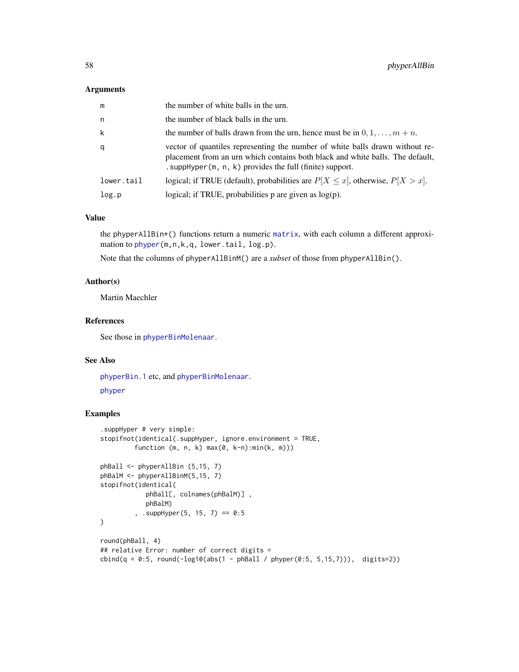#### Arguments

| m          | the number of white balls in the urn.                                                                                                                                                                                        |
|------------|------------------------------------------------------------------------------------------------------------------------------------------------------------------------------------------------------------------------------|
| n          | the number of black balls in the urn.                                                                                                                                                                                        |
| k          | the number of balls drawn from the urn, hence must be in $0, 1, \ldots, m+n$ .                                                                                                                                               |
| q          | vector of quantiles representing the number of white balls drawn without re-<br>placement from an urn which contains both black and white balls. The default,<br>. suppHyper $(m, n, k)$ provides the full (finite) support. |
| lower.tail | logical; if TRUE (default), probabilities are $P[X \le x]$ , otherwise, $P[X > x]$ .                                                                                                                                         |
| log.p      | logical; if TRUE, probabilities $p$ are given as $log(p)$ .                                                                                                                                                                  |

## Value

the phyperAllBin\*() functions return a numeric [matrix](#page-0-0), with each column a different approximation to [phyper\(](#page-0-0)m, n, k, q, lower.tail, log.p).

Note that the columns of phyperAllBinM() are a *subset* of those from phyperAllBin().

### Author(s)

Martin Maechler

## References

See those in [phyperBinMolenaar](#page-60-0).

# See Also

[phyperBin.1](#page-59-0) etc, and [phyperBinMolenaar](#page-60-0). [phyper](#page-0-0)

### Examples

```
.suppHyper # very simple:
stopifnot(identical(.suppHyper, ignore.environment = TRUE,
         function (m, n, k) max(0, k-n):min(k, m)))
phBall <- phyperAllBin (5,15, 7)
phBalM <- phyperAllBinM(5,15, 7)
stopifnot(identical(
            phBall[, colnames(phBalM)] ,
            phBalM)
         , .suppHyper(5, 15, 7) == 0:5
\lambdaround(phBall, 4)
## relative Error: number of correct digits =
cbind(q = 0:5, round(-log10(abs(1 - phBall / phyper(0:5, 5,15,7))), digits=2))
```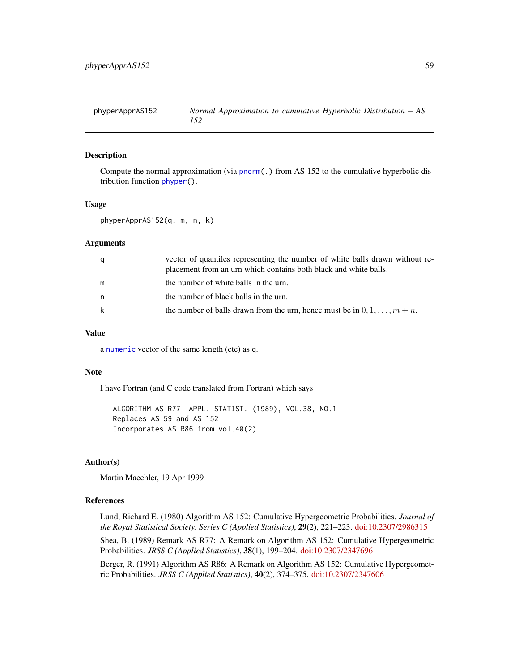## Description

Compute the normal approximation (via [pnorm\(](#page-0-0).) from AS 152 to the cumulative hyperbolic distribution function [phyper\(](#page-0-0)).

#### Usage

phyperApprAS152(q, m, n, k)

### Arguments

| a | vector of quantiles representing the number of white balls drawn without re-<br>placement from an urn which contains both black and white balls. |
|---|--------------------------------------------------------------------------------------------------------------------------------------------------|
| m | the number of white balls in the urn.                                                                                                            |
| n | the number of black balls in the urn.                                                                                                            |
| k | the number of balls drawn from the urn, hence must be in $0, 1, \ldots, m+n$ .                                                                   |

#### Value

a [numeric](#page-0-0) vector of the same length (etc) as q.

#### Note

I have Fortran (and C code translated from Fortran) which says

ALGORITHM AS R77 APPL. STATIST. (1989), VOL.38, NO.1 Replaces AS 59 and AS 152 Incorporates AS R86 from vol.40(2)

## Author(s)

Martin Maechler, 19 Apr 1999

## References

Lund, Richard E. (1980) Algorithm AS 152: Cumulative Hypergeometric Probabilities. *Journal of the Royal Statistical Society. Series C (Applied Statistics)*, 29(2), 221–223. [doi:10.2307/2986315](https://doi.org/10.2307/2986315)

Shea, B. (1989) Remark AS R77: A Remark on Algorithm AS 152: Cumulative Hypergeometric Probabilities. *JRSS C (Applied Statistics)*, 38(1), 199–204. [doi:10.2307/2347696](https://doi.org/10.2307/2347696)

Berger, R. (1991) Algorithm AS R86: A Remark on Algorithm AS 152: Cumulative Hypergeometric Probabilities. *JRSS C (Applied Statistics)*, 40(2), 374–375. [doi:10.2307/2347606](https://doi.org/10.2307/2347606)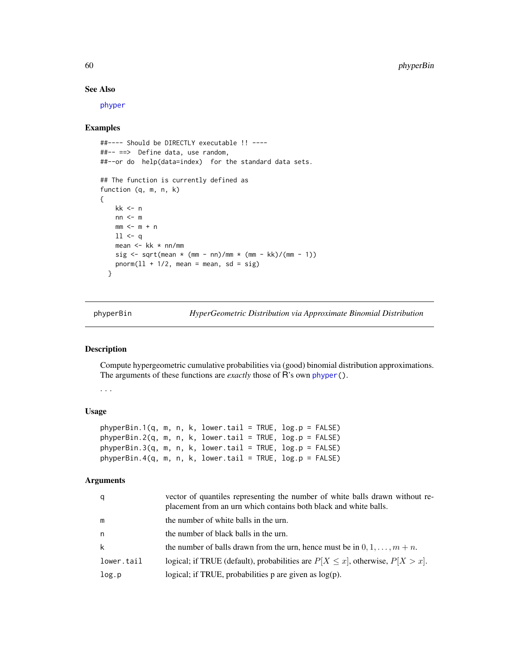## See Also

[phyper](#page-0-0)

#### Examples

```
##---- Should be DIRECTLY executable !! ----
##-- ==> Define data, use random,
##--or do help(data=index) for the standard data sets.
## The function is currently defined as
function (q, m, n, k)
{
   kk <- n
   nn < - mmm < - m + n11 < qmean <- kk * nn/mm
   sig \leq sqrt(mean \star (mm - nn)/mm \star (mm - kk)/(mm - 1))
   pnorm(11 + 1/2, mean = mean, sd = sig)}
```
<span id="page-59-0"></span>phyperBin *HyperGeometric Distribution via Approximate Binomial Distribution*

## Description

Compute hypergeometric cumulative probabilities via (good) binomial distribution approximations. The arguments of these functions are *exactly* those of R's own [phyper\(](#page-0-0)).

. . .

#### Usage

```
phyperBin.1(q, m, n, k, lower.tail = TRUE, log.p = FALSE)phyperBin.2(q, m, n, k, lower.tail = TRUE, log.p = FALSE)
phyperBin.3(q, m, n, k, lower.tail = TRUE, log.p = FALSE)
phyperBin.4(q, m, n, k, lower.tail = TRUE, log.p = FALSE)
```

| q          | vector of quantiles representing the number of white balls drawn without re-<br>placement from an urn which contains both black and white balls. |
|------------|--------------------------------------------------------------------------------------------------------------------------------------------------|
| m          | the number of white balls in the urn.                                                                                                            |
| n          | the number of black balls in the urn.                                                                                                            |
| k          | the number of balls drawn from the urn, hence must be in $0, 1, \ldots, m+n$ .                                                                   |
| lower.tail | logical; if TRUE (default), probabilities are $P[X \le x]$ , otherwise, $P[X > x]$ .                                                             |
| log.p      | logical; if TRUE, probabilities $p$ are given as $log(p)$ .                                                                                      |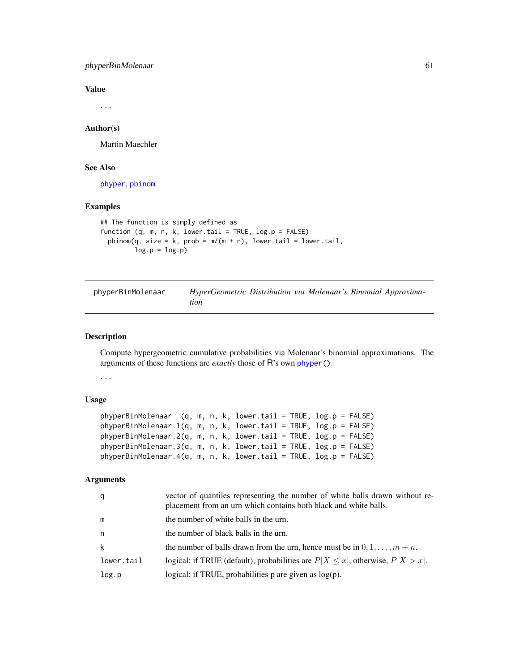## phyperBinMolenaar 61

### Value

. . .

## Author(s)

Martin Maechler

## See Also

[phyper](#page-0-0), [pbinom](#page-0-0)

## Examples

```
## The function is simply defined as
function (q, m, n, k, lower.tail = TRUE, log.p = FALSE)
 pbinom(q, size = k, prob = m/(m + n), lower.tail = lower.tail,log.p = log.p
```
<span id="page-60-0"></span>

| phyperBinMolenaar | HyperGeometric Distribution via Molenaar's Binomial Approxima- |
|-------------------|----------------------------------------------------------------|
|                   | tion                                                           |

## Description

Compute hypergeometric cumulative probabilities via Molenaar's binomial approximations. The arguments of these functions are *exactly* those of R's own [phyper\(](#page-0-0)).

. . .

### Usage

```
phyperBinMolenaar (q, m, n, k, lower.tail = TRUE, log.p = FALSE)
phyperBinMolenaar.1(q, m, n, k, lower.tail = TRUE, log.p = FALSE)
phyperBinMolenaar.2(q, m, n, k, lower.tail = TRUE, log.p = FALSE)
phyperBinMolenaar.3(q, m, n, k, lower.tail = TRUE, log.p = FALSE)
phyperBinMolenaar.4(q, m, n, k, lower.tail = TRUE, log.p = FALSE)
```

| q          | vector of quantiles representing the number of white balls drawn without re-<br>placement from an urn which contains both black and white balls. |
|------------|--------------------------------------------------------------------------------------------------------------------------------------------------|
| m          | the number of white balls in the urn.                                                                                                            |
| n          | the number of black balls in the urn.                                                                                                            |
| k          | the number of balls drawn from the urn, hence must be in $0, 1, \ldots, m+n$ .                                                                   |
| lower.tail | logical; if TRUE (default), probabilities are $P[X \le x]$ , otherwise, $P[X > x]$ .                                                             |
| log.p      | logical; if TRUE, probabilities $p$ are given as $log(p)$ .                                                                                      |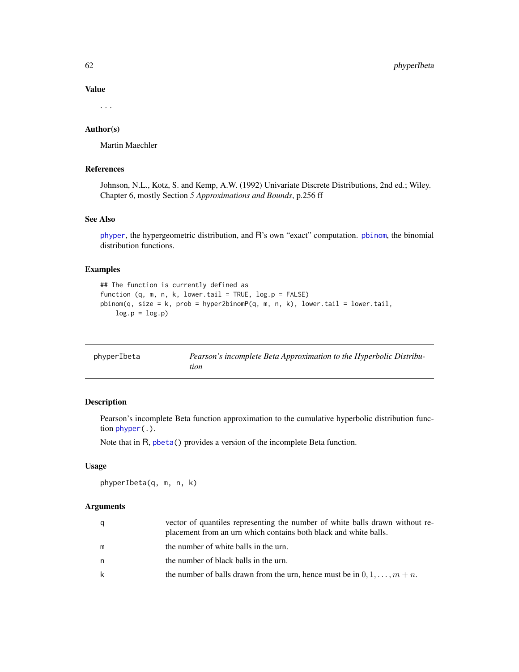Value

. . .

## Author(s)

Martin Maechler

# References

Johnson, N.L., Kotz, S. and Kemp, A.W. (1992) Univariate Discrete Distributions, 2nd ed.; Wiley. Chapter 6, mostly Section *5 Approximations and Bounds*, p.256 ff

## See Also

[phyper](#page-0-0), the hypergeometric distribution, and R's own "exact" computation. [pbinom](#page-0-0), the binomial distribution functions.

## Examples

```
## The function is currently defined as
function (q, m, n, k, lower.tail = TRUE, log.p = FALSE)
pbinom(q, size = k, prob = hyper2binomp(q, m, n, k), lower.tail = lower.tail,log.p = log.p
```

| phyperIbeta | Pearson's incomplete Beta Approximation to the Hyperbolic Distribu- |
|-------------|---------------------------------------------------------------------|
|             | tion                                                                |

## Description

Pearson's incomplete Beta function approximation to the cumulative hyperbolic distribution function [phyper\(](#page-0-0).).

Note that in R, [pbeta\(](#page-0-0)) provides a version of the incomplete Beta function.

## Usage

phyperIbeta(q, m, n, k)

| q  | vector of quantiles representing the number of white balls drawn without re-<br>placement from an urn which contains both black and white balls. |
|----|--------------------------------------------------------------------------------------------------------------------------------------------------|
| m  | the number of white balls in the urn.                                                                                                            |
| n. | the number of black balls in the urn.                                                                                                            |
| k  | the number of balls drawn from the urn, hence must be in $0, 1, \ldots, m+n$ .                                                                   |
|    |                                                                                                                                                  |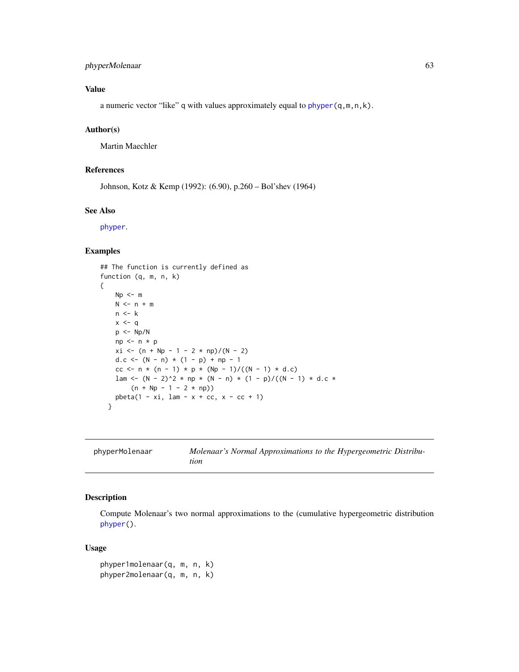## phyperMolenaar 63

# Value

a numeric vector "like" q with values approximately equal to [phyper\(](#page-0-0)q,m,n,k).

### Author(s)

Martin Maechler

## References

Johnson, Kotz & Kemp (1992): (6.90), p.260 – Bol'shev (1964)

#### See Also

[phyper](#page-0-0).

## Examples

```
## The function is currently defined as
function (q, m, n, k)
{
   Np \leq -mN <- n + mn \leq kx < - qp <- Np/N
   np \leq -n * pxi \leq (n + Np - 1 - 2 \times np)/(N - 2)d.c <- (N - n) * (1 - p) + np - 1cc <- n * (n - 1) * p * (Np - 1)/((N - 1) * d.c)
   lam <- (N - 2)^2 * np * (N - n) * (1 - p)/((N - 1) * d.c *
        (n + Np - 1 - 2 * np))pbeta(1 - xi, lam - x + cc, x - cc + 1)}
```

| phyperMolenaar | Molenaar's Normal Approximations to the Hypergeometric Distribu- |
|----------------|------------------------------------------------------------------|
|                | tion                                                             |

### Description

Compute Molenaar's two normal approximations to the (cumulative hypergeometric distribution [phyper\(](#page-0-0)).

#### Usage

```
phyper1molenaar(q, m, n, k)
phyper2molenaar(q, m, n, k)
```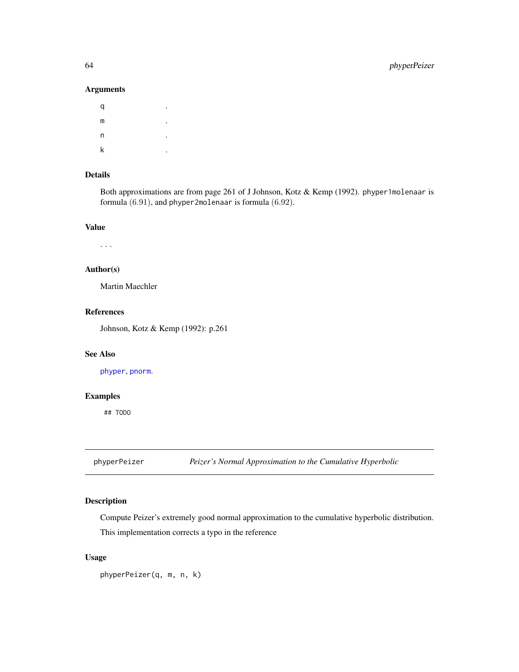## Arguments

| q | ٠ |
|---|---|
| m | ٠ |
| n | ٠ |
| k | ٠ |

## Details

Both approximations are from page 261 of J Johnson, Kotz & Kemp (1992). phyper1molenaar is formula (6.91), and phyper2molenaar is formula (6.92).

## Value

. . .

## Author(s)

Martin Maechler

# References

Johnson, Kotz & Kemp (1992): p.261

## See Also

[phyper](#page-0-0), [pnorm](#page-0-0).

## Examples

## TODO

phyperPeizer *Peizer's Normal Approximation to the Cumulative Hyperbolic*

## Description

Compute Peizer's extremely good normal approximation to the cumulative hyperbolic distribution. This implementation corrects a typo in the reference

## Usage

phyperPeizer(q, m, n, k)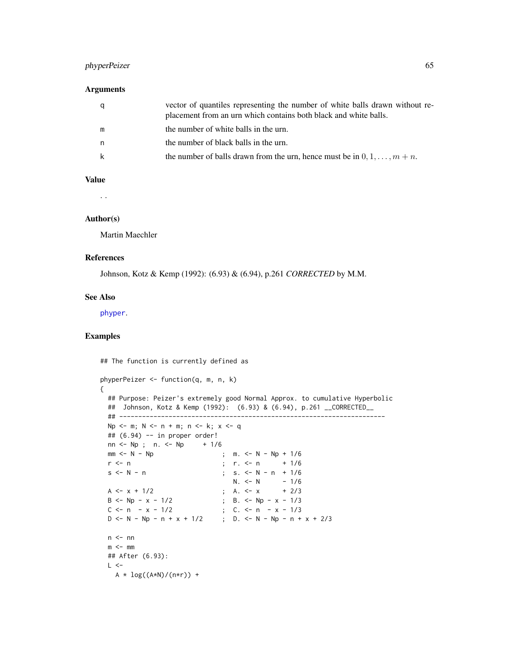## phyperPeizer 65

## Arguments

| q | vector of quantiles representing the number of white balls drawn without re-<br>placement from an urn which contains both black and white balls. |
|---|--------------------------------------------------------------------------------------------------------------------------------------------------|
| m | the number of white balls in the urn.                                                                                                            |
| n | the number of black balls in the urn.                                                                                                            |
| k | the number of balls drawn from the urn, hence must be in $0, 1, \ldots, m+n$ .                                                                   |

## Value

. .

### Author(s)

Martin Maechler

## References

Johnson, Kotz & Kemp (1992): (6.93) & (6.94), p.261 *CORRECTED* by M.M.

### See Also

[phyper](#page-0-0).

# Examples

## The function is currently defined as

```
phyperPeizer <- function(q, m, n, k)
{
 ## Purpose: Peizer's extremely good Normal Approx. to cumulative Hyperbolic
 ## Johnson, Kotz & Kemp (1992): (6.93) & (6.94), p.261 __CORRECTED__
 ## ----------------------------------------------------------------------
 Np \le - m; N \le - n + m; n \le - k; x \le - q
 ## (6.94) -- in proper order!
 nn < - Np; n. <- Np + 1/6
 mm <- N - Np \rightarrow ; m. <- N - Np + 1/6
 r <- n ; r. <- n + 1/6
 s < N - n ; s. < N - n + 1/6N. <- N - 1/6
  A <- x + 1/2 ; A. <- x + 2/3
  B <- Np - x - 1/2 ; B. <- Np - x - 1/3
  C \leq -n - x - 1/2 ; C. \leq n - x - 1/3D <- N - Np - n + x + 1/2 ; D. <- N - Np - n + x + 2/3
 n \leq -nnm < - mm
 ## After (6.93):
 L < -A * log((A*N)/(n*r)) +
```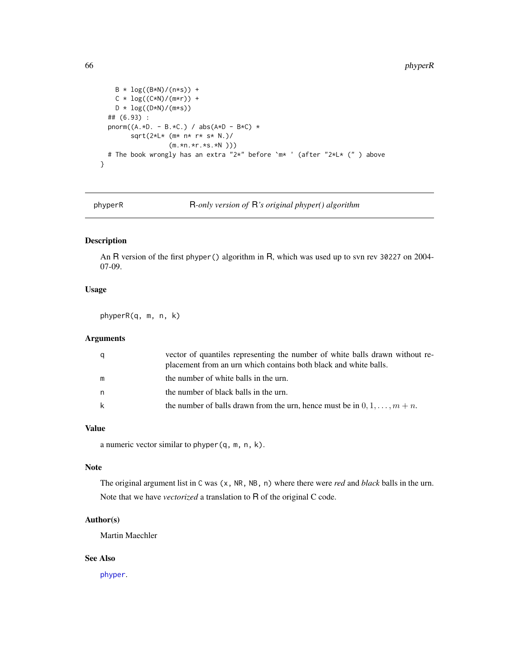```
B * log((B*N)/(n*s)) +C * log((C*N)/(m*r)) +D * log((D*N)/(m*s))## (6.93) :
 pnorm((A.*D. - B.*C.) / abs(A*B - B*C) *
       sqrt(2*L* (m* n* r* s* N.)/
                 (m.*n.*r.*s.*N )))
 # The book wrongly has an extra "2*" before `m* ' (after "2*L* (" ) above
}
```
phyperR R*-only version of* R*'s original phyper() algorithm*

## Description

An R version of the first phyper() algorithm in R, which was used up to svn rev 30227 on 2004- 07-09.

# Usage

phyperR(q, m, n, k)

## Arguments

| q  | vector of quantiles representing the number of white balls drawn without re-<br>placement from an urn which contains both black and white balls. |
|----|--------------------------------------------------------------------------------------------------------------------------------------------------|
| m  | the number of white balls in the urn.                                                                                                            |
| n. | the number of black balls in the urn.                                                                                                            |
| k  | the number of balls drawn from the urn, hence must be in $0, 1, \ldots, m+n$ .                                                                   |

## Value

a numeric vector similar to phyper(q, m, n, k).

# Note

The original argument list in C was (x, NR, NB, n) where there were *red* and *black* balls in the urn. Note that we have *vectorized* a translation to R of the original C code.

### Author(s)

Martin Maechler

# See Also

[phyper](#page-0-0).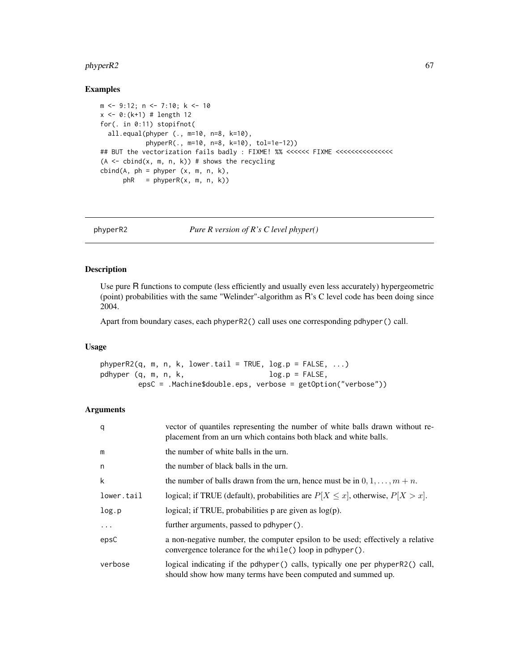#### $phyperR2$  67

## Examples

```
m <- 9:12; n <- 7:10; k <- 10
x \le -0: (k+1) # length 12
for(. in 0:11) stopifnot(
  all.equal(phyper (., m=10, n=8, k=10),
            phyperR(., m=10, n=8, k=10), tol=1e-12))
## BUT the vectorization fails badly : FIXME! %% <<<<<< FIXME <<<<<<<<<<<<<<<
(A \leq bind(x, m, n, k)) # shows the recycling
cbind(A, ph = phyper (x, m, n, k),phR = phyperR(x, m, n, k))
```
phyperR2 *Pure R version of R's C level phyper()*

### Description

Use pure R functions to compute (less efficiently and usually even less accurately) hypergeometric (point) probabilities with the same "Welinder"-algorithm as R's C level code has been doing since 2004.

Apart from boundary cases, each phyperR2() call uses one corresponding pdhyper() call.

### Usage

 $phyperR2(q, m, n, k, lower.tail = TRUE, log.p = FALSE, ...)$ pdhyper  $(q, m, n, k,$  log.p = FALSE, epsC = .Machine\$double.eps, verbose = getOption("verbose"))

| q          | vector of quantiles representing the number of white balls drawn without re-<br>placement from an urn which contains both black and white balls. |
|------------|--------------------------------------------------------------------------------------------------------------------------------------------------|
| m          | the number of white balls in the urn.                                                                                                            |
| n          | the number of black balls in the urn.                                                                                                            |
| k          | the number of balls drawn from the urn, hence must be in $0, 1, \ldots, m + n$ .                                                                 |
| lower.tail | logical; if TRUE (default), probabilities are $P[X \le x]$ , otherwise, $P[X > x]$ .                                                             |
| log.p      | logical; if TRUE, probabilities $p$ are given as $log(p)$ .                                                                                      |
| $\ddots$   | further arguments, passed to pdhyper().                                                                                                          |
| epsC       | a non-negative number, the computer epsilon to be used; effectively a relative<br>convergence tolerance for the while() loop in pdhyper().       |
| verbose    | logical indicating if the pdhyper() calls, typically one per phyperR2() call,<br>should show how many terms have been computed and summed up.    |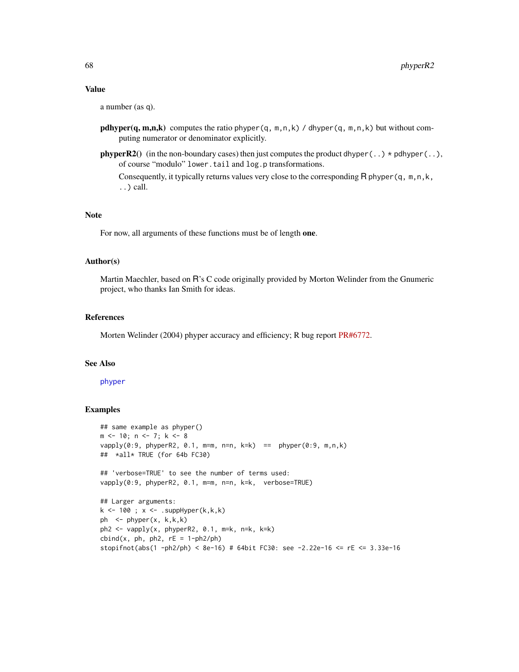#### Value

a number (as q).

- **pdhyper(q, m,n,k)** computes the ratio phyper(q, m,n,k) / dhyper(q, m,n,k) but without computing numerator or denominator explicitly.
- **phyperR2**() (in the non-boundary cases) then just computes the product dhyper $(.,\$  \* pdhyper $(.,\)$ , of course "modulo" lower.tail and log.p transformations.

Consequently, it typically returns values very close to the corresponding R phyper(q, m,n,k, ..) call.

#### **Note**

For now, all arguments of these functions must be of length one.

### Author(s)

Martin Maechler, based on R's C code originally provided by Morton Welinder from the Gnumeric project, who thanks Ian Smith for ideas.

#### References

Morten Welinder (2004) phyper accuracy and efficiency; R bug report [PR#6772.](https://bugs.R-project.org/show_bug.cgi?id=6772)

### See Also

#### [phyper](#page-0-0)

#### Examples

```
## same example as phyper()
m <- 10; n <- 7; k <- 8
vapply(0:9, phyperR2, 0.1, m=m, n=n, k=k) == phyper(0:9, m,n,k)
## *all* TRUE (for 64b FC30)
## 'verbose=TRUE' to see the number of terms used:
vapply(0:9, phyperR2, 0.1, m=m, n=n, k=k, verbose=TRUE)
## Larger arguments:
k \le -100; x \le -100. suppHyper(k,k,k)
ph <- phyper(x, k,k,k)
ph2 <- vapply(x, phyperR2, 0.1, m=k, n=k, k=k)
cbind(x, ph, ph2, rE = 1-ph2/ph)stopifnot(abs(1 -ph2/ph) < 8e-16) # 64bit FC30: see -2.22e-16 <= rE <= 3.33e-16
```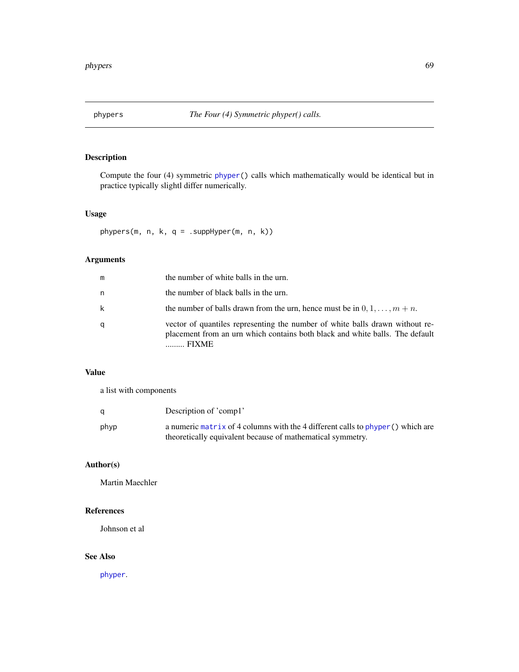## Description

Compute the four (4) symmetric [phyper\(](#page-0-0)) calls which mathematically would be identical but in practice typically slightl differ numerically.

## Usage

phypers(m, n, k, q = .suppHyper(m, n, k))

# Arguments

| m | the number of white balls in the urn.                                                                                                                                 |
|---|-----------------------------------------------------------------------------------------------------------------------------------------------------------------------|
| n | the number of black balls in the urn.                                                                                                                                 |
| k | the number of balls drawn from the urn, hence must be in $0, 1, \ldots, m+n$ .                                                                                        |
| q | vector of quantiles representing the number of white balls drawn without re-<br>placement from an urn which contains both black and white balls. The default<br>FIXME |

## Value

a list with components

| q    | Description of 'comp1'                                                                                                                         |
|------|------------------------------------------------------------------------------------------------------------------------------------------------|
| phyp | a numeric matrix of 4 columns with the 4 different calls to $phyper()$ which are<br>theoretically equivalent because of mathematical symmetry. |

# Author(s)

Martin Maechler

## References

Johnson et al

# See Also

[phyper](#page-0-0).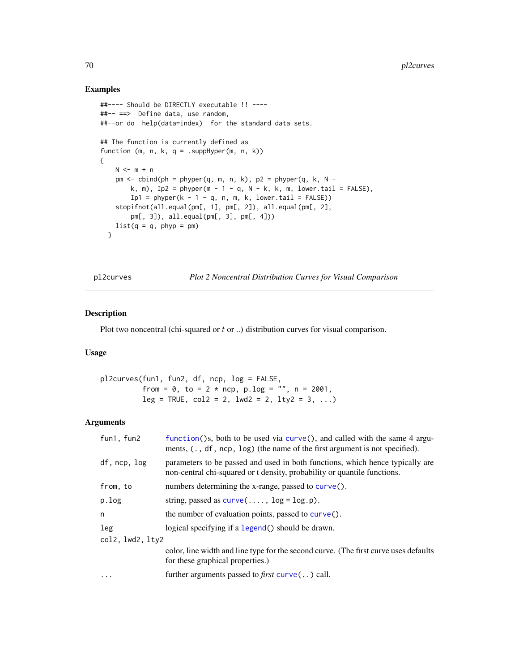## Examples

```
##---- Should be DIRECTLY executable !! ----
##-- ==> Define data, use random,
##--or do help(data=index) for the standard data sets.
## The function is currently defined as
function (m, n, k, q = .suppHyper(m, n, k))
{
   N \le -m + npm < - cbind(ph = phyper(q, m, n, k), p2 = phyper(q, k, N -
       k, m), Ip2 = phyper(m - 1 - q, N - k, k, m, lower.tail = FALSE),
       Ip1 = phyper(k - 1 - q, n, m, k, lower.tail = FALSE))
    stopifnot(all.equal(pm[, 1], pm[, 2]), all.equal(pm[, 2],
       pm[, 3]), all.equal(pm[, 3], pm[, 4]))
   list(q = q, phyp = pm)}
```
pl2curves *Plot 2 Noncentral Distribution Curves for Visual Comparison*

## Description

Plot two noncentral (chi-squared or  $t$  or ..) distribution curves for visual comparison.

## Usage

| $p$ l2curves(fun1, fun2, df, ncp, log = FALSE,   |  |
|--------------------------------------------------|--|
| from = 0, to = $2 * ncp$ , p.log = "", n = 2001, |  |
| $leg = TRUE, col2 = 2, lwd2 = 2, lty2 = 3, $     |  |

| fun1, fun2       | function()s, both to be used via curve(), and called with the same $4$ argu-<br>ments, $( . , df, nep, log)$ (the name of the first argument is not specified). |  |
|------------------|-----------------------------------------------------------------------------------------------------------------------------------------------------------------|--|
| df, ncp, log     | parameters to be passed and used in both functions, which hence typically are<br>non-central chi-squared or t density, probability or quantile functions.       |  |
| from, to         | numbers determining the x-range, passed to curve().                                                                                                             |  |
| p.log            | string, passed as $curve(\ldots, \log = \log p)$ .                                                                                                              |  |
| n                | the number of evaluation points, passed to $curve()$ .                                                                                                          |  |
| leg              | logical specifying if a legend() should be drawn.                                                                                                               |  |
| col2, lwd2, lty2 |                                                                                                                                                                 |  |
|                  | color, line width and line type for the second curve. (The first curve uses defaults<br>for these graphical properties.)                                        |  |
| $\ddotsc$        | further arguments passed to <i>first</i> $curve($ . $)$ call.                                                                                                   |  |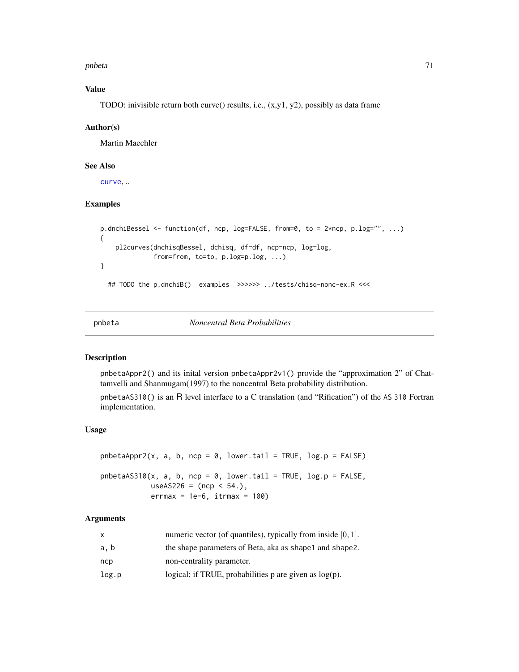pnbeta 71

# Value

TODO: inivisible return both curve() results, i.e., (x,y1, y2), possibly as data frame

### Author(s)

Martin Maechler

## See Also

[curve](#page-0-0), ..

## Examples

```
p.dnchiBessel <- function(df, ncp, log=FALSE, from=0, to = 2*ncp, p.log="", ...)
{
    pl2curves(dnchisqBessel, dchisq, df=df, ncp=ncp, log=log,
              from=from, to=to, p.log=p.log, ...)
}
  ## TODO the p.dnchiB() examples >>>>>> ../tests/chisq-nonc-ex.R <<<
```
pnbeta *Noncentral Beta Probabilities*

### Description

pnbetaAppr2() and its inital version pnbetaAppr2v1() provide the "approximation 2" of Chattamvelli and Shanmugam(1997) to the noncentral Beta probability distribution.

pnbetaAS310() is an R level interface to a C translation (and "Rification") of the AS 310 Fortran implementation.

## Usage

 $phetaAppr2(x, a, b, ncp = 0, lower$ **tail = TRUE, log.p = FALSE** $)$  $phetaAS310(x, a, b, ncp = 0, lower.tail = TRUE, log.p = FALSE,$  $useAS226 = (ncp < 54.),$  $\text{errmax} = 1e-6$ ,  $\text{itrmax} = 100$ )

| X     | numeric vector (of quantiles), typically from inside $[0, 1]$ . |
|-------|-----------------------------------------------------------------|
| a, b  | the shape parameters of Beta, aka as shape 1 and shape 2.       |
| ncp   | non-centrality parameter.                                       |
| log.p | logical; if TRUE, probabilities p are given as $log(p)$ .       |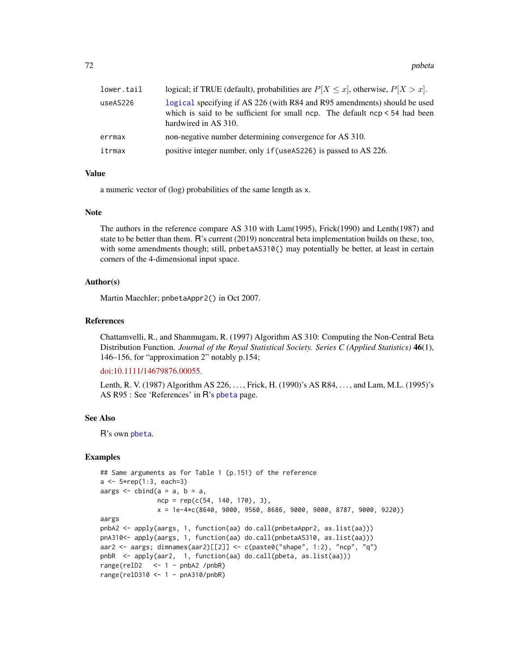72 pnbeta

| lower.tail | logical; if TRUE (default), probabilities are $P[X \le x]$ , otherwise, $P[X > x]$ .                                                                                               |
|------------|------------------------------------------------------------------------------------------------------------------------------------------------------------------------------------|
| useAS226   | logical specifying if AS 226 (with R84 and R95 amendments) should be used<br>which is said to be sufficient for small ncp. The default $ncp < 54$ had been<br>hardwired in AS 310. |
| errmax     | non-negative number determining convergence for AS 310.                                                                                                                            |
| itrmax     | positive integer number, only if (useAS226) is passed to AS 226.                                                                                                                   |

## Value

a numeric vector of (log) probabilities of the same length as x.

#### Note

The authors in the reference compare AS 310 with Lam(1995), Frick(1990) and Lenth(1987) and state to be better than them. R's current (2019) noncentral beta implementation builds on these, too, with some amendments though; still, pnbetaAS310() may potentially be better, at least in certain corners of the 4-dimensional input space.

## Author(s)

Martin Maechler; pnbetaAppr2() in Oct 2007.

## References

Chattamvelli, R., and Shanmugam, R. (1997) Algorithm AS 310: Computing the Non-Central Beta Distribution Function. *Journal of the Royal Statistical Society. Series C (Applied Statistics)* 46(1), 146–156, for "approximation 2" notably p.154;

#### [doi:10.1111/14679876.00055.](https://doi.org/10.1111/1467-9876.00055)

Lenth, R. V. (1987) Algorithm AS 226, . . . , Frick, H. (1990)'s AS R84, . . . , and Lam, M.L. (1995)'s AS R95 : See 'References' in R's [pbeta](#page-0-0) page.

# See Also

R's own [pbeta](#page-0-0).

### Examples

```
## Same arguments as for Table 1 (p.151) of the reference
a \le -5*rep(1:3, each=3)aargs \le cbind(a = a, b = a,
              ncp = rep(c(54, 140, 170), 3),x = 1e-4*c(8640, 9000, 9560, 8686, 9000, 9000, 8787, 9000, 9220)aargs
pnbA2 <- apply(aargs, 1, function(aa) do.call(pnbetaAppr2, as.list(aa)))
pnA310<- apply(aargs, 1, function(aa) do.call(pnbetaAS310, as.list(aa)))
aar2 <- aargs; dimnames(aar2)[[2]] <- c(paste0("shape", 1:2), "ncp", "q")
pnbR <- apply(aar2, 1, function(aa) do.call(pbeta, as.list(aa)))
range(relD2 \le -1 - pnbA2 /pnbR)
range(relD310 <- 1 - pnA310/pnbR)
```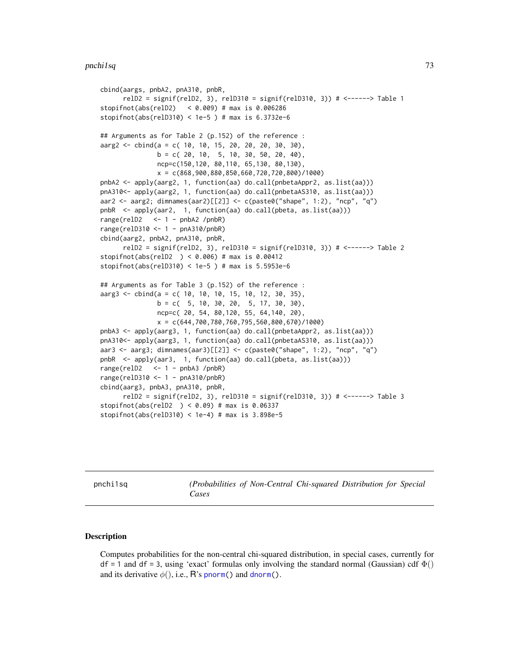### pnchi1sq 73

```
cbind(aargs, pnbA2, pnA310, pnbR,
      relD2 = signif(relD2, 3), relD310 = signif(relD310, 3)) # <------> Table 1
stopifnot(abs(relD2) < 0.009) # max is 0.006286
stopifnot(abs(relD310) < 1e-5 ) # max is 6.3732e-6
## Arguments as for Table 2 (p.152) of the reference :
aarg2 <- cbind(a = c( 10, 10, 15, 20, 20, 20, 30, 30),
               b = c(20, 10, 5, 10, 30, 50, 20, 40),
               ncp=c(150,120, 80,110, 65,130, 80,130),
               x = c(868,900,880,850,660,720,720,800)/1000)
pnbA2 <- apply(aarg2, 1, function(aa) do.call(pnbetaAppr2, as.list(aa)))
pnA310<- apply(aarg2, 1, function(aa) do.call(pnbetaAS310, as.list(aa)))
aar2 <- aarg2; dimnames(aar2)[[2]] <- c(paste0("shape", 1:2), "ncp", "q")
pnbR <- apply(aar2, 1, function(aa) do.call(pbeta, as.list(aa)))
range(relD2 <- 1 - pnbA2 /pnbR)
range(relD310 <- 1 - pnA310/pnbR)
cbind(aarg2, pnbA2, pnA310, pnbR,
      relD2 = signif(relD2, 3), relD310 = signif(relD310, 3)) # <------> Table 2
stopifnot(abs(relD2 ) < 0.006) # max is 0.00412
stopifnot(abs(relD310) < 1e-5 ) # max is 5.5953e-6
## Arguments as for Table 3 (p.152) of the reference :
aarg3 \le - \text{cbind}(a = c( 10, 10, 10, 15, 10, 12, 30, 35),b = c( 5, 10, 30, 20, 5, 17, 30, 30),
               ncp=c( 20, 54, 80,120, 55, 64,140, 20),
               x = c(644,700,780,760,795,560,800,670)/1000)
pnbA3 <- apply(aarg3, 1, function(aa) do.call(pnbetaAppr2, as.list(aa)))
pnA310<- apply(aarg3, 1, function(aa) do.call(pnbetaAS310, as.list(aa)))
aar3 <- aarg3; dimnames(aar3)[[2]] <- c(paste0("shape", 1:2), "ncp", "q")
pnbR <- apply(aar3, 1, function(aa) do.call(pbeta, as.list(aa)))
range(relD2 <- 1 - pnbA3 /pnbR)
range(relD310 <- 1 - pnA310/pnbR)
cbind(aarg3, pnbA3, pnA310, pnbR,
     relD2 = signif(relD2, 3), relD310 = signif(relD310, 3)) # <------> Table 3
stopifnot(abs(relD2 ) < 0.09) # max is 0.06337
stopifnot(abs(relD310) < 1e-4) # max is 3.898e-5
```
pnchi1sq *(Probabilities of Non-Central Chi-squared Distribution for Special Cases*

### Description

Computes probabilities for the non-central chi-squared distribution, in special cases, currently for df = 1 and df = 3, using 'exact' formulas only involving the standard normal (Gaussian) cdf  $\Phi()$ and its derivative  $\phi(.)$ , i.e., R's [pnorm\(](#page-0-0)) and [dnorm\(](#page-0-0)).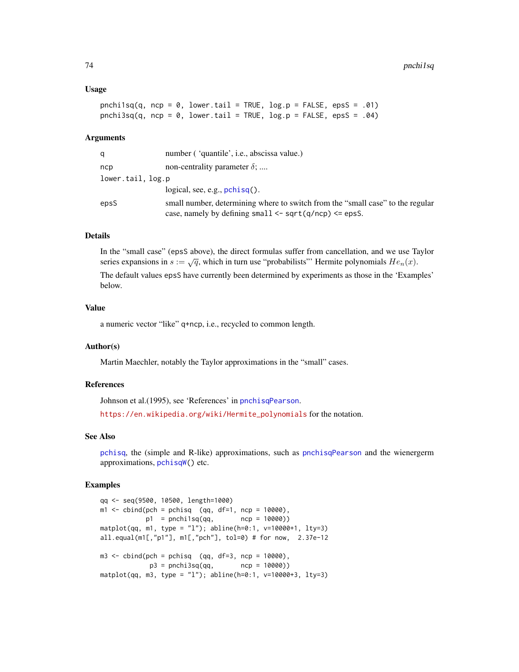### Usage

```
pnchi1sq(q, ncp = 0, lower.tail = TRUE, log.p = FALSE, epsS = .01)
pnchi3sq(q, ncp = \theta, lower.tail = TRUE, log.p = FALSE, epsS = .04)
```
### Arguments

| q                 | number ('quantile', i.e., abscissa value.)                                                                                                       |
|-------------------|--------------------------------------------------------------------------------------------------------------------------------------------------|
| ncp               | non-centrality parameter $\delta$ ;                                                                                                              |
| lower.tail, log.p |                                                                                                                                                  |
|                   | logical, see, e.g., $pchisq()$ .                                                                                                                 |
| epsS              | small number, determining where to switch from the "small case" to the regular<br>case, namely by defining small $\leq$ sqrt(q/ncp) $\leq$ epsS. |

# Details

In the "small case" (epsS above), the direct formulas suffer from cancellation, and we use Taylor series expansions in  $s := \sqrt{q}$ , which in turn use "probabilists" Hermite polynomials  $He_n(x)$ .

The default values epsS have currently been determined by experiments as those in the 'Examples' below.

## Value

a numeric vector "like" q+ncp, i.e., recycled to common length.

### Author(s)

Martin Maechler, notably the Taylor approximations in the "small" cases.

## References

Johnson et al.(1995), see 'References' in [pnchisqPearson](#page-75-0).

[https://en.wikipedia.org/wiki/Hermite\\_polynomials](https://en.wikipedia.org/wiki/Hermite_polynomials) for the notation.

# See Also

[pchisq](#page-0-0), the (simple and R-like) approximations, such as [pnchisqPearson](#page-75-0) and the wienergerm approximations, [pchisqW\(](#page-80-0)) etc.

```
qq <- seq(9500, 10500, length=1000)
m1 \le - \text{cbind}(\text{pc}h = \text{pc}h \text{is}q \quad (\text{qq}, \text{df}=1, \text{nc}p = 10000),p1 = \text{prchilsq(qq, \text{ncp = } 10000)})\text{matplot}(qq, m1, type = "1"); \text{abline}(h=0:1, v=10000+1, lty=3)all.equal(m1[,"p1"], m1[,"pch"], tol=0) # for now, 2.37e-12
m3 <- cbind(pch = pchisq (qq, df=3, ncp = 10000),
               p3 = \text{prchi3sq(qq, \text{ncp = } 10000)})\text{matplot}(qq, m3, type = "1"); \text{abline}(h=0:1, v=10000+3, lty=3)
```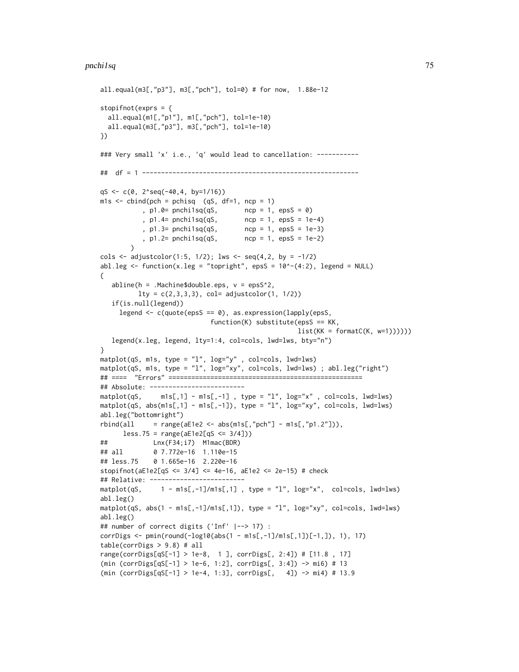```
all.equal(m3[,"p3"], m3[,"pch"], tol=0) # for now, 1.88e-12
stopifnot(exprs = {
  all.equal(m1[,"p1"], m1[,"pch"], tol=1e-10)
  all.equal(m3[,"p3"], m3[,"pch"], tol=1e-10)
})
### Very small 'x' i.e., 'q' would lead to cancellation: -----------
## df = 1 ---------------------------------------------------------
qS <- c(0, 2^seq(-40,4, by=1/16))
m1s <- cbind(pch = pchisq (qS, df=1, ncp = 1)
           , p1.0= pnchi1sq(qS, ncp = 1, epsS = 0)
           , p1.4= pnchi1sq(qS, ncp = 1, epsS = 1e-4)
           , p1.3= pnchi1sq(qS, ncp = 1, epsS = 1e-3)
           , p1.2= pnchi1sq(qS, ncp = 1, epsS = 1e-2)
        \lambdacols \leq adjustcolor(1:5, 1/2); lws \leq seq(4,2, by = -1/2)
abl.leg <- function(x.leg = "topright", epsS = 10^{\circ}-(4:2), legend = NULL)
{
   abline(h = .Machine$double.eps, v = eps<sup>2</sup>,lty = c(2,3,3,3), col = adjustcolor(1, 1/2))if(is.null(legend))
     legend <- c(quote(epsS == 0), as.expression(lapply(epsS,
                             function(K) substitute(epsS == KK,
                                                    list(KK = formatC(K, w=1))))))legend(x.leg, legend, lty=1:4, col=cols, lwd=lws, bty="n")
}
matplot(qS, m1s, type = "l", log="y" , col=cols, lwd=lws)
matplot(qS, m1s, type = "l", log="xy", col=cols, lwd=lws) ; abl.leg("right")
## ==== "Errors" ===================================================
## Absolute: -------------------------
\text{matplot}(qS, \text{ m1s[,1]} - \text{m1s[,-1]}, type = "l", log="x", col=cols, lwd=lws)
\text{matplot}(qS, abs(m1s[, 1] - m1s[, -1]), type = "l", log='xy", col=cols, lwd=lws)abl.leg("bottomright")
rbind(all = range(aE1e2 \leq abs(m1s[, "pch"] - m1s[, "p1.2"])),less.75 = range(aE1e2[qS \le 3/4]))## Lnx(F34;i7) M1mac(BDR)
## all 0 7.772e-16 1.110e-15
## less.75 0 1.665e-16 2.220e-16
stopifnot(aE1e2[qS <= 3/4] <= 4e-16, aE1e2 <= 2e-15) # check
## Relative: -------------------------
matplot(qS, 1 - m1s[, -1]/m1s[, 1], type = "1", log="x", col=cols, lwd=lws)
abl.leg()
matplot(qS, abs(1 - m1s[,-1]/m1s[,1]), type = "l", log="xy", col = cols, lwd = lws)
abl.leg()
## number of correct digits ('Inf' |--> 17) :
corrDigs <- pmin(round(-log10(abs(1 - m1s[,-1]/m1s[,1])[-1,]), 1), 17)
table(corrDigs > 9.8) # all
range(corrDigs[qS[-1] > 1e-8, 1 ], corrDigs[, 2:4]) # [11.8 , 17]
(min (corrDigs[qS[-1] > 1e-6, 1:2], corrDigs[, 3:4]) -> mi6) # 13
(min (corrDigs[qS[-1] > 1e-4, 1:3], corrDigs[, 4]) -> mi4) # 13.9
```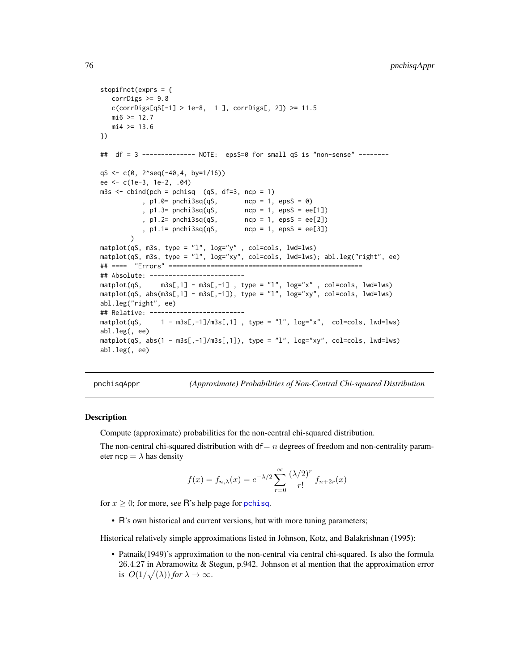```
stopifnot(exprs = {
   corrDigs > = 9.8c(corrDigs[qS[-1] > 1e-8, 1 ], corrDigs[, 2]) >= 11.5
   m16 >= 12.7
   mi4 > = 13.6})
## df = 3 -------------- NOTE: epsS=0 for small qS is "non-sense" --------
qS <- c(0, 2^seq(-40,4, by=1/16))
ee <- c(1e-3, 1e-2, .04)
m3s <- cbind(pch = pchisq (qS, df=3, ncp = 1)
           , p1.0= pnchi3sq(qS, ncp = 1, epsS = 0)
           , p1.3= pnchi3sq(qS, ncp = 1, epsS = ee[1])
           , p1.2= pnchi3sq(qS, ncp = 1, epsS = ee[2])
           , p1.1= pnchi3sq(qS, ncp = 1, epsS = ee[3])
        )
matplot(qS, m3s, type = "l", log="y" , col=cols, lwd=lws)
matplot(qS, m3s, type = "l", log="xy", col=cols, lwd=lws); abl.leg("right", ee)
## ==== "Errors" ===================================================
## Absolute: -------------------------
\text{matplot}(qS, \text{msS[,1]} - \text{m3s[, -1]}, type = "l", \text{log='x"}, \text{col=cols, lwd=lws)}matplot(qS, abs(m3s[,1] - m3s[,-1]), type = "l", log="xy", col=cols, lwd=lws)
abl.leg("right", ee)
## Relative: -------------------------
\text{matplot}(qS, \quad 1 - \text{m3s}[, -1]/\text{m3s}[, 1], type = "1", \log='x", \text{col=cols}, \text{lwd=lws})abl.leg(, ee)
matplot(qS, abs(1 - m3s[,-1]/m3s[,1]), type = "l", log="xy", col=cols, lwd=lws)
abl.leg(, ee)
```
pnchisqAppr *(Approximate) Probabilities of Non-Central Chi-squared Distribution*

### <span id="page-75-0"></span>**Description**

Compute (approximate) probabilities for the non-central chi-squared distribution.

The non-central chi-squared distribution with  $df = n$  degrees of freedom and non-centrality parameter ncp =  $\lambda$  has density

$$
f(x) = f_{n,\lambda}(x) = e^{-\lambda/2} \sum_{r=0}^{\infty} \frac{(\lambda/2)^r}{r!} f_{n+2r}(x)
$$

for  $x \geq 0$ ; for more, see R's help page for [pchisq](#page-0-0).

• R's own historical and current versions, but with more tuning parameters;

Historical relatively simple approximations listed in Johnson, Kotz, and Balakrishnan (1995):

• Patnaik(1949)'s approximation to the non-central via central chi-squared. Is also the formula 26.4.27 in Abramowitz & Stegun, p.942. Johnson et al mention that the approximation error is  $O(1/\sqrt(\lambda))$  *for*  $\lambda \to \infty$ .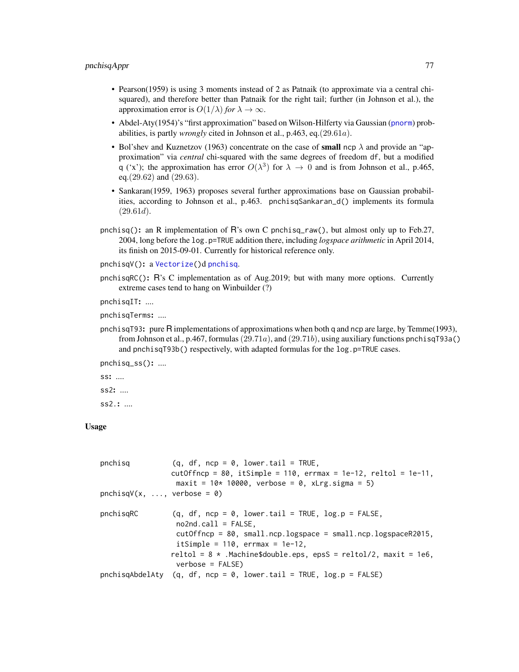- Pearson(1959) is using 3 moments instead of 2 as Patnaik (to approximate via a central chisquared), and therefore better than Patnaik for the right tail; further (in Johnson et al.), the approximation error is  $O(1/\lambda)$  *for*  $\lambda \to \infty$ .
- Abdel-Aty(1954)'s "first approximation" based on Wilson-Hilferty via Gaussian ([pnorm](#page-0-0)) probabilities, is partly *wrongly* cited in Johnson et al., p.463, eq.(29.61a).
- Bol'shev and Kuznetzov (1963) concentrate on the case of **small** ncp  $\lambda$  and provide an "approximation" via *central* chi-squared with the same degrees of freedom df, but a modified q ('x'); the approximation has error  $O(\lambda^3)$  for  $\lambda \to 0$  and is from Johnson et al., p.465, eq.(29.62) and (29.63).
- Sankaran(1959, 1963) proposes several further approximations base on Gaussian probabilities, according to Johnson et al., p.463. pnchisqSankaran\_d() implements its formula  $(29.61d).$
- pnchisq(): an R implementation of R's own C pnchisq\_raw(), but almost only up to Feb.27, 2004, long before the log.p=TRUE addition there, including *logspace arithmetic* in April 2014, its finish on 2015-09-01. Currently for historical reference only.

```
pnchisqV(): a Vectorize()d pnchisq.
```
pnchisqRC(): R's C implementation as of Aug.2019; but with many more options. Currently extreme cases tend to hang on Winbuilder (?)

pnchisqIT: ....

pnchisqTerms: ....

pnchisqT93: pure R implementations of approximations when both q and ncp are large, by Temme(1993), from Johnson et al., p.467, formulas (29.71a), and (29.71b), using auxiliary functions pnchisqT93a() and pnchisqT93b() respectively, with adapted formulas for the log.p=TRUE cases.

pnchisq\_ss(): ....

ss: .... ss2: .... ss2.: ....

#### Usage

| pnchisq                      | $(q, df, ncp = 0, lower.tail = TRUE,$<br>$cutOffncp = 80$ , itSimple = 110, errmax = 1e-12, reltol = 1e-11,<br>$maxit = 10* 10000$ , verbose = 0, xLrg.sigma = 5)                                                                                                                      |
|------------------------------|----------------------------------------------------------------------------------------------------------------------------------------------------------------------------------------------------------------------------------------------------------------------------------------|
| $pnchisqV(x, , verbose = 0)$ |                                                                                                                                                                                                                                                                                        |
| pnchisqRC                    | $(q, df, ncp = 0, lowertail = TRUE, log.p = FALSE,$<br>$no2nd-call = FALSE$ ,<br>$cutOffncp = 80$ , small.ncp.logspace = small.ncp.logspaceR2015,<br>itSimple = $110$ , errmax = $1e-12$ ,<br>reltol = $8 *$ .Machine\$double.eps, epsS = reltol/2, maxit = 1e6,<br>$verbose = FALSE)$ |
|                              | pnchisqAbdelAty (q, df, ncp = 0, lower.tail = TRUE, $log.p = FALSE$ )                                                                                                                                                                                                                  |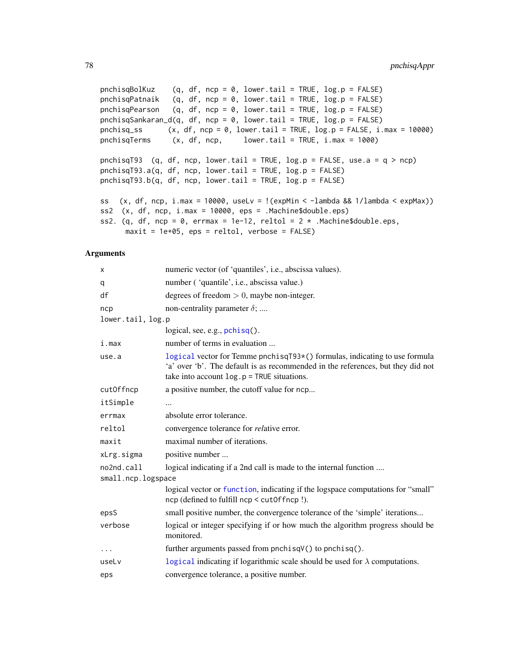```
pnchisqBolKuz (q, df, ncp = 0, lower.tail = TRUE, log.p = FALSE)pnchisqPatnaik (q, df, ncp = 0, lower.tail = TRUE, log.p = FALSE)
pnchisqPearson (q, df, ncp = 0, lower.tail = TRUE, log.p = FALSE)
pnchisqSankaran_d(q, df, ncp = 0, lower.tail = TRUE, log.p = FALSE)
pnchisq_ss (x, df, ncp = 0, lower.tail = TRUE, log.p = FALSE, i.max = 10000)pnchisqTerms (x, df, ncp, lower.tail = TRUE, i.max = 1000)
pnchisqT93 (q, df, ncp, lower.tail = TRUE, log.p = FALSE, use.a = q > ncp)
pnchisqT93.a(q, df, ncp, lower.tail = TRUE, log.p = FALSE)
pnchisqT93.b(q, df, ncp, lower.tail = TRUE, log.p = FALSE)ss (x, df, ncp, i.max = 10000, uselv = !(expMin < -lambda & 1/lambda < expMax))ss2 (x, df, ncp, i.max = 10000, eps = .Machine$double.eps)
ss2. (q, df, ncp = 0, errmax = 1e-12, reltol = 2 \times .Machine$double.eps,
     maxit = 1e+05, eps = reltol, verbose = FALSE)
```

| X                  | numeric vector (of 'quantiles', i.e., abscissa values).                                                                                                                                                       |
|--------------------|---------------------------------------------------------------------------------------------------------------------------------------------------------------------------------------------------------------|
| q                  | number ('quantile', i.e., abscissa value.)                                                                                                                                                                    |
| df                 | degrees of freedom $> 0$ , maybe non-integer.                                                                                                                                                                 |
| ncp                | non-centrality parameter $\delta$ ;                                                                                                                                                                           |
| lower.tail, log.p  |                                                                                                                                                                                                               |
|                    | logical, see, e.g., pchisq().                                                                                                                                                                                 |
| i.max              | number of terms in evaluation                                                                                                                                                                                 |
| use.a              | logical vector for Temme pnchisqT93*() formulas, indicating to use formula<br>'a' over 'b'. The default is as recommended in the references, but they did not<br>take into account $log.p = TRUE$ situations. |
| cutOffncp          | a positive number, the cutoff value for ncp                                                                                                                                                                   |
| itSimple           |                                                                                                                                                                                                               |
| errmax             | absolute error tolerance.                                                                                                                                                                                     |
| reltol             | convergence tolerance for <i>relative</i> error.                                                                                                                                                              |
| maxit              | maximal number of iterations.                                                                                                                                                                                 |
| xLrg.sigma         | positive number                                                                                                                                                                                               |
| no2nd.call         | logical indicating if a 2nd call is made to the internal function                                                                                                                                             |
| small.ncp.logspace |                                                                                                                                                                                                               |
|                    | logical vector or function, indicating if the logspace computations for "small"<br>ncp (defined to fulfill ncp < cut0ffncp !).                                                                                |
| epsS               | small positive number, the convergence tolerance of the 'simple' iterations                                                                                                                                   |
| verbose            | logical or integer specifying if or how much the algorithm progress should be<br>monitored.                                                                                                                   |
| $\ddotsc$          | further arguments passed from pnchisqV() to pnchisq().                                                                                                                                                        |
| useLv              | logical indicating if logarithmic scale should be used for $\lambda$ computations.                                                                                                                            |
| eps                | convergence tolerance, a positive number.                                                                                                                                                                     |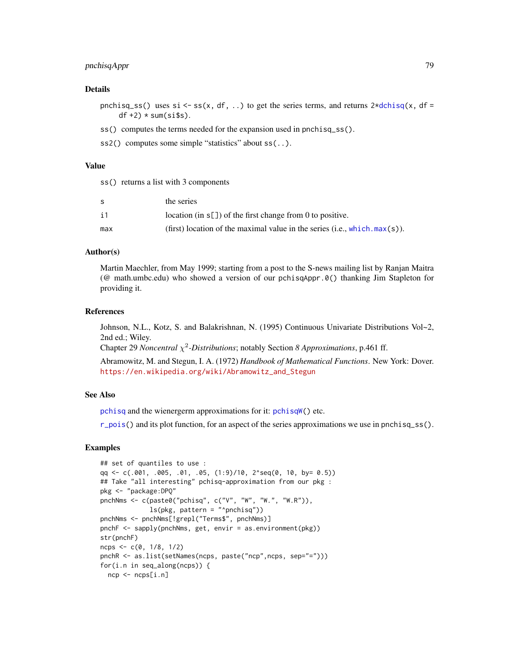# pnchisqAppr 79

### Details

pnchisq\_ss() uses si <- ss(x, df, ..) to get the series terms, and returns  $2*dot\{sg}(x, df =$  $df +2$ ) \* sum(si\$s).

- ss() computes the terms needed for the expansion used in pnchisq\_ss().
- ss2() computes some simple "statistics" about ss(..).

### Value

ss() returns a list with 3 components

| S.  | the series                                                                    |
|-----|-------------------------------------------------------------------------------|
| i1  | location (in $s[$ ]) of the first change from 0 to positive.                  |
| max | (first) location of the maximal value in the series (i.e., which, $max(s)$ ). |

### Author(s)

Martin Maechler, from May 1999; starting from a post to the S-news mailing list by Ranjan Maitra (@ math.umbc.edu) who showed a version of our pchisqAppr.0() thanking Jim Stapleton for providing it.

### References

Johnson, N.L., Kotz, S. and Balakrishnan, N. (1995) Continuous Univariate Distributions Vol~2, 2nd ed.; Wiley.

Chapter 29 *Noncentral* χ 2 *-Distributions*; notably Section *8 Approximations*, p.461 ff.

Abramowitz, M. and Stegun, I. A. (1972) *Handbook of Mathematical Functions*. New York: Dover. [https://en.wikipedia.org/wiki/Abramowitz\\_and\\_Stegun](https://en.wikipedia.org/wiki/Abramowitz_and_Stegun)

## See Also

[pchisq](#page-0-0) and the wienergerm approximations for it: [pchisqW\(](#page-80-0)) etc.

 $r_{\text{pois}}($ ) and its plot function, for an aspect of the series approximations we use in pnchisq\_ss().

```
## set of quantiles to use :
qq <- c(.001, .005, .01, .05, (1:9)/10, 2^seq(0, 10, by= 0.5))
## Take "all interesting" pchisq-approximation from our pkg :
pkg <- "package:DPQ"
pnchNms <- c(paste0("pchisq", c("V", "W", "W.", "W.R")),
             ls(pkg, pattern = "^pnchisq"))
pnchNms <- pnchNms[!grepl("Terms$", pnchNms)]
pnchF <- sapply(pnchNms, get, envir = as.environment(pkg))
str(pnchF)
ncps <- c(0, 1/8, 1/2)
pnchR <- as.list(setNames(ncps, paste("ncp",ncps, sep="=")))
for(i.n in seq_along(ncps)) {
 ncp <- ncps[i.n]
```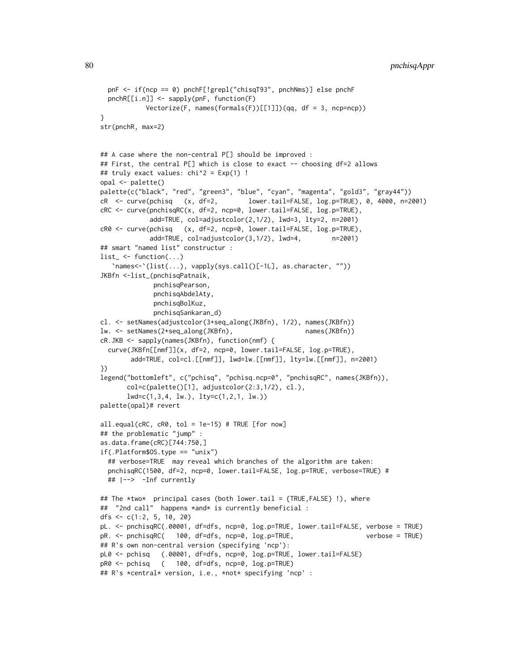```
pnF <- if(ncp == 0) pnchF[!grepl("chisqT93", pnchNms)] else pnchF
 pnchR[[i.n]] <- sapply(pnF, function(F)
           Vectorize(F, names(formals(F))[[1]])(qq, df = 3, ncp=ncp))
}
str(pnchR, max=2)
## A case where the non-central P[] should be improved :
## First, the central P[] which is close to exact -- choosing df=2 allows
## truly exact values: chi^2 = Exp(1) !
opal <- palette()
palette(c("black", "red", "green3", "blue", "cyan", "magenta", "gold3", "gray44"))
cR <- curve(pchisq (x, df=2, lower.tail=FALSE, log.p=TRUE), 0, 4000, n=2001)
cRC <- curve(pnchisqRC(x, df=2, ncp=0, lower.tail=FALSE, log.p=TRUE),
            add=TRUE, col=adjustcolor(2,1/2), lwd=3, lty=2, n=2001)
cR0 <- curve(pchisq (x, df=2, ncp=0, lower.tail=FALSE, log.p=TRUE),
            add=TRUE, col=adjustcolor(3,1/2), lwd=4, n=2001)
## smart "named list" constructur :
list_ <- function(...)`names<-`(list(...), vapply(sys.call()[-1L], as.character, ""))
JKBfn <-list_(pnchisqPatnaik,
             pnchisqPearson,
             pnchisqAbdelAty,
             pnchisqBolKuz,
             pnchisqSankaran_d)
cl. <- setNames(adjustcolor(3+seq_along(JKBfn), 1/2), names(JKBfn))
lw. <- setNames(2+seq_along(JKBfn), names(JKBfn))
cR.JKB <- sapply(names(JKBfn), function(nmf) {
 curve(JKBfn[[nmf]](x, df=2, ncp=0, lower.tail=FALSE, log.p=TRUE),
       add=TRUE, col=cl.[[nmf]], lwd=lw.[[nmf]], lty=lw.[[nmf]], n=2001)
})
legend("bottomleft", c("pchisq", "pchisq.ncp=0", "pnchisqRC", names(JKBfn)),
      col=c(palette()[1], adjustcolor(2:3,1/2), cl.),
      lwd=c(1,3,4, lw.), lty=c(1,2,1, lw.))
palette(opal)# revert
all.equals(CRC, CRO, tol = 1e-15) # TRUE [for now]## the problematic "jump" :
as.data.frame(cRC)[744:750,]
if(.Platform$OS.type == "unix")
 ## verbose=TRUE may reveal which branches of the algorithm are taken:
 pnchisqRC(1500, df=2, ncp=0, lower.tail=FALSE, log.p=TRUE, verbose=TRUE) #
 ## |--> -Inf currently
## The *two* principal cases (both lower.tail = {TRUE,FALSE} !), where
## "2nd call" happens *and* is currently beneficial :
dfs \leq c(1:2, 5, 10, 20)
pL. <- pnchisqRC(.00001, df=dfs, ncp=0, log.p=TRUE, lower.tail=FALSE, verbose = TRUE)
pR. <- pnchisqRC( 100, df=dfs, ncp=0, log.p=TRUE, verbose = TRUE)
## R's own non-central version (specifying 'ncp'):
pL0 <- pchisq (.00001, df=dfs, ncp=0, log.p=TRUE, lower.tail=FALSE)
pR0 <- pchisq ( 100, df=dfs, ncp=0, log.p=TRUE)
## R's *central* version, i.e., *not* specifying 'ncp' :
```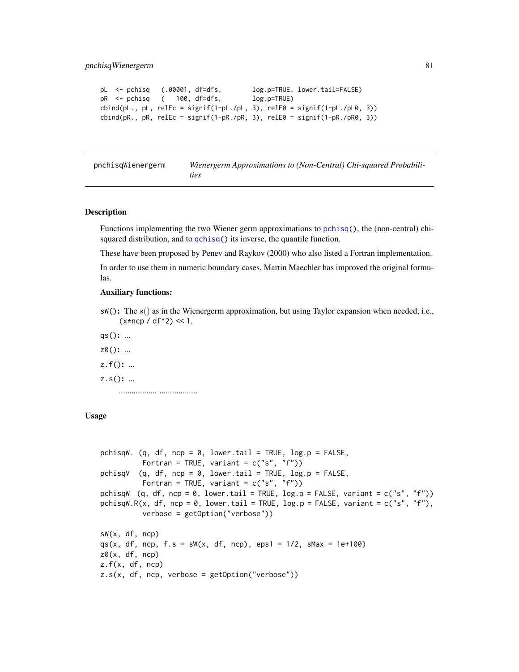```
pL <- pchisq (.00001, df=dfs, log.p=TRUE, lower.tail=FALSE)
pR <- pchisq ( 100, df=dfs, log.p=TRUE)
\text{cbind}(\text{pl.}, \text{pl.}, \text{relEc} = \text{signif}(1-\text{pl.}/\text{pl.}, 3), \text{relEq} = \text{signif}(1-\text{pl.}/\text{pl.0}, 3))cbind(pR., pR, relEc = signif(1-pR./pR, 3), relE0 = signif(1-pR./pR0, 3))
```

| pnchisqWienergerm | Wienergerm Approximations to (Non-Central) Chi-squared Probabili- |
|-------------------|-------------------------------------------------------------------|
|                   | <i>ties</i>                                                       |

### <span id="page-80-0"></span>Description

Functions implementing the two Wiener germ approximations to [pchisq\(](#page-0-0)), the (non-central) chisquared distribution, and to [qchisq\(](#page-0-0)) its inverse, the quantile function.

These have been proposed by Penev and Raykov (2000) who also listed a Fortran implementation.

In order to use them in numeric boundary cases, Martin Maechler has improved the original formulas.

### Auxiliary functions:

 $sW()$ : The  $s()$  as in the Wienergerm approximation, but using Taylor expansion when needed, i.e.,  $(x * ncp / df^2)$  << 1.

qs(): ...

z0(): ...

z.f(): ...

 $z.s()$ : ...

.................. ..................

# Usage

```
pchisqW. (q, df, ncp = 0, lower.tail = TRUE, log.p = FALSE,
         Fortran = TRUE, variant = c("s", "f")pchisqV (q, df, ncp = 0, lower.tail = TRUE, log.p = FALSE,
         Fortran = TRUE, variant = c("s", "f"))
pchisqW (q, df, ncp = 0, lower.tail = TRUE, log.p = FALSE, variant = c("s", "f"))
pchisqW.R(x, df, ncp = 0, lower.tail = TRUE, log.p = FALSE, variant = c("s", "f"),
          verbose = getOption("verbose"))
sW(x, df, ncp)qs(x, df, ncp, f.s = sw(x, df, ncp), eps1 = 1/2, sMax = 1e+100)z\theta(x, df, ncp)z.f(x, df, ncp)z.s(x, df, ncp, verbose = getOption("verbose"))
```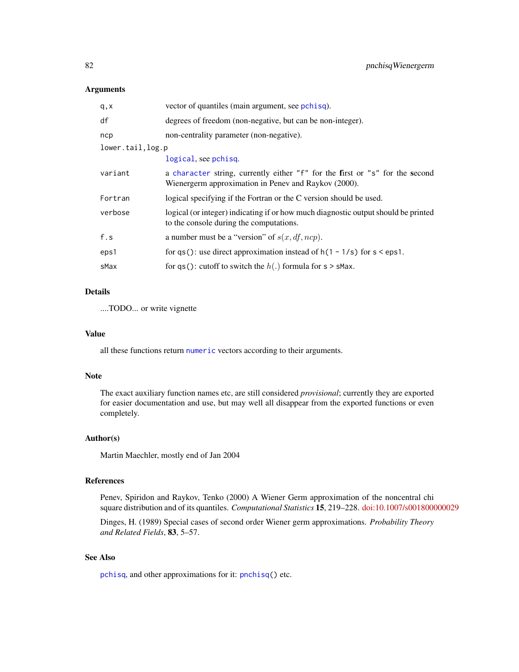## Arguments

| q, x             | vector of quantiles (main argument, see pchisq).                                                                                     |
|------------------|--------------------------------------------------------------------------------------------------------------------------------------|
| df               | degrees of freedom (non-negative, but can be non-integer).                                                                           |
| ncp              | non-centrality parameter (non-negative).                                                                                             |
| lower.tail,log.p |                                                                                                                                      |
|                  | logical, see pchisq.                                                                                                                 |
| variant          | a character string, currently either "f" for the first or "s" for the second<br>Wienergerm approximation in Penev and Raykov (2000). |
| Fortran          | logical specifying if the Fortran or the C version should be used.                                                                   |
| verbose          | logical (or integer) indicating if or how much diagnostic output should be printed<br>to the console during the computations.        |
| f.s              | a number must be a "version" of $s(x, df, ncp)$ .                                                                                    |
| eps1             | for qs(): use direct approximation instead of $h(1 - 1/s)$ for $s < eps1$ .                                                          |
| sMax             | for qs(): cutoff to switch the $h(.)$ formula for s > sMax.                                                                          |
|                  |                                                                                                                                      |

# Details

....TODO... or write vignette

### Value

all these functions return [numeric](#page-0-0) vectors according to their arguments.

### Note

The exact auxiliary function names etc, are still considered *provisional*; currently they are exported for easier documentation and use, but may well all disappear from the exported functions or even completely.

## Author(s)

Martin Maechler, mostly end of Jan 2004

## References

Penev, Spiridon and Raykov, Tenko (2000) A Wiener Germ approximation of the noncentral chi square distribution and of its quantiles. *Computational Statistics* 15, 219–228. [doi:10.1007/s001800000029](https://doi.org/10.1007/s001800000029)

Dinges, H. (1989) Special cases of second order Wiener germ approximations. *Probability Theory and Related Fields*, 83, 5–57.

## See Also

[pchisq](#page-0-0), and other approximations for it: [pnchisq\(](#page-75-0)) etc.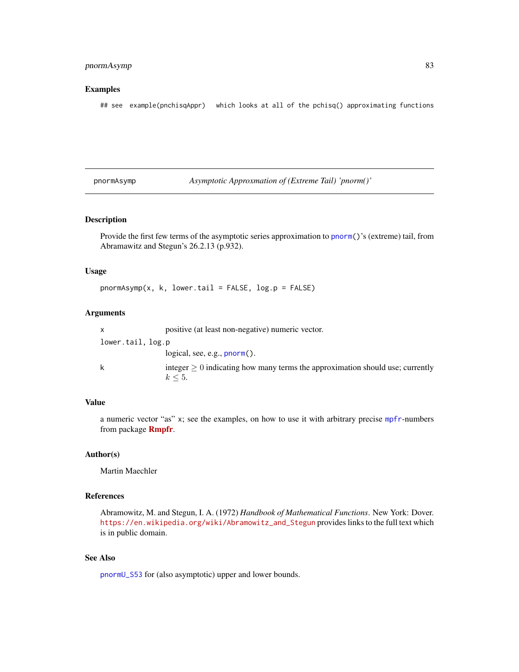# pnormAsymp 83

### Examples

## see example(pnchisqAppr) which looks at all of the pchisq() approximating functions

pnormAsymp *Asymptotic Approxmation of (Extreme Tail) 'pnorm()'*

# Description

Provide the first few terms of the asymptotic series approximation to [pnorm\(](#page-0-0))'s (extreme) tail, from Abramawitz and Stegun's 26.2.13 (p.932).

## Usage

 $pnormAsymp(x, k, lower$ **tail = FALSE, log.p = FALSE)** 

# Arguments

|                   | positive (at least non-negative) numeric vector.                                                   |
|-------------------|----------------------------------------------------------------------------------------------------|
| lower.tail, log.p |                                                                                                    |
|                   | logical, see, e.g., $\text{pnorm}()$ .                                                             |
| k                 | integer $\geq 0$ indicating how many terms the approximation should use; currently<br>$k \leq 5$ . |

## Value

a numeric vector "as" x; see the examples, on how to use it with arbitrary precise [mpfr](#page-0-0)-numbers from package [Rmpfr](https://CRAN.R-project.org/package=Rmpfr).

#### Author(s)

Martin Maechler

## References

Abramowitz, M. and Stegun, I. A. (1972) *Handbook of Mathematical Functions*. New York: Dover. [https://en.wikipedia.org/wiki/Abramowitz\\_and\\_Stegun](https://en.wikipedia.org/wiki/Abramowitz_and_Stegun) provides links to the full text which is in public domain.

## See Also

[pnormU\\_S53](#page-83-0) for (also asymptotic) upper and lower bounds.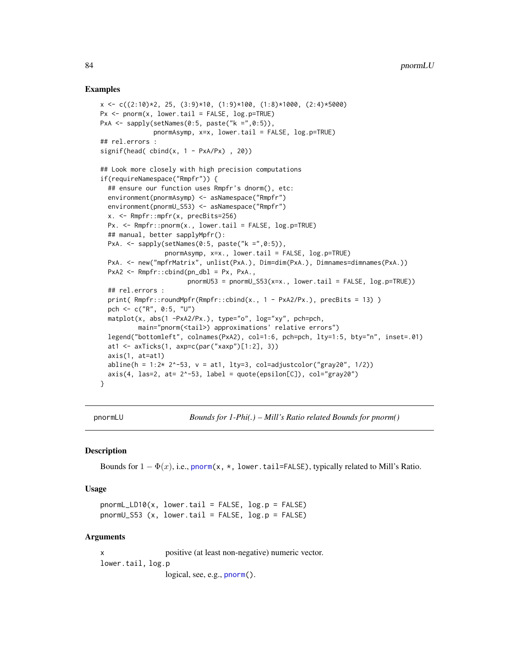### Examples

```
x <- c((2:10)*2, 25, (3:9)*10, (1:9)*100, (1:8)*1000, (2:4)*5000)
Px \leq -\text{pnorm}(x, \text{lower.tail} = \text{FALSE}, \text{log.p=True})PxA \leq sapply(setNames(0:5, paste("k = "0.5)),
              pnormAsymp, x=x, lower.tail = FALSE, log.p=TRUE)
## rel.errors :
signif(head(cbind(x, 1 - PxA/Px), 20))## Look more closely with high precision computations
if(requireNamespace("Rmpfr")) {
  ## ensure our function uses Rmpfr's dnorm(), etc:
  environment(pnormAsymp) <- asNamespace("Rmpfr")
  environment(pnormU_S53) <- asNamespace("Rmpfr")
  x. <- Rmpfr::mpfr(x, precBits=256)
  Px. <- Rmpfr::pnorm(x., lower.tail = FALSE, log.p=TRUE)
  ## manual, better sapplyMpfr():
  PxA. \leq sapply(setNames(0:5, paste("k =",0:5)),
                 pnormAsymp, x=x., lower.tail = FALSE, log.p=TRUE)
  PxA. <- new("mpfrMatrix", unlist(PxA.), Dim=dim(PxA.), Dimnames=dimnames(PxA.))
  PxA2 <- Rmpfr::cbind(pn_dbl = Px, PxA.,
                        pnormU53 = pnormU_S53(x=x., lower.tail = FALSE, log.p=TRUE))
  ## rel.errors :
  print( Rmpfr::roundMpfr(Rmpfr::cbind(x., 1 - PxA2/Px.), preclits = 13) )
  pch <- c("R", 0:5, "U")
  matplot(x, abs(1 -PxA2/Px.), type="o", log="xy", pch=pch,
          main="pnorm(<tail>) approximations' relative errors")
  legend("bottomleft", colnames(PxA2), col=1:6, pch=pch, lty=1:5, bty="n", inset=.01)
  at1 <- axTicks(1, axp=c(par("xaxp")[1:2], 3))
  axis(1, at=at1)
  abline(h = 1:2* 2^{\lambda}-53, v = at1, lty=3, col=adjustcolor("gray20", 1/2))
  axis(4, 1as=2, at= 2^{\circ}-53, 1abel = quote(epsilon[C]), col="gray20")}
```
pnormLU *Bounds for 1-Phi(.) – Mill's Ratio related Bounds for pnorm()*

### <span id="page-83-0"></span>Description

Bounds for  $1 - \Phi(x)$ , i.e., [pnorm\(](#page-0-0)x, \*, lower.tail=FALSE), typically related to Mill's Ratio.

## Usage

 $pnormL_LDD10(x, lower.tail = FALSE, log.p = FALSE)$ pnormU\_S53 (x, lower.tail = FALSE, log.p = FALSE)

#### Arguments

x positive (at least non-negative) numeric vector. lower.tail, log.p logical, see, e.g., [pnorm\(](#page-0-0)).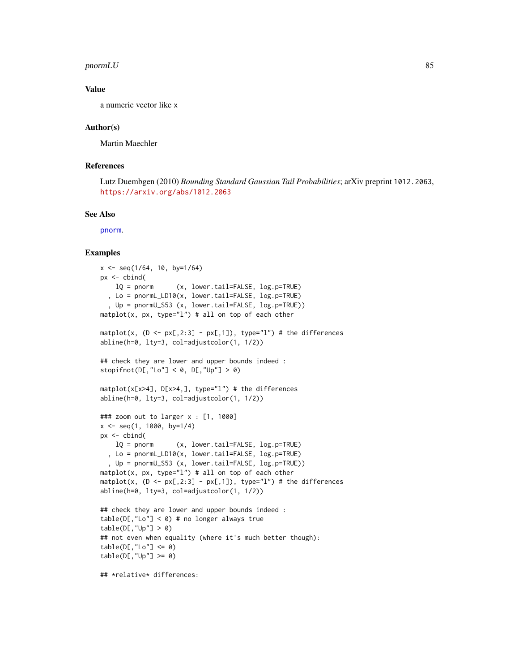### $p$ norm $LU$  85

### Value

a numeric vector like x

### Author(s)

Martin Maechler

## References

Lutz Duembgen (2010) *Bounding Standard Gaussian Tail Probabilities*; arXiv preprint 1012.2063, <https://arxiv.org/abs/1012.2063>

### See Also

[pnorm](#page-0-0).

```
x \leq -\text{seq}(1/64, 10, \text{ by} = 1/64)px < - cbind(
    lQ = pnorm (x, lower.tail=FALSE, log.p=TRUE)
  , Lo = pnormL_LD10(x, lower.tail=FALSE, log.p=TRUE)
  , Up = pnormU_S53 (x, lower.tail=FALSE, log.p=TRUE))
matplot(x, px, type="l") # all on top of each other
matplot(x, (D \le p \times [0, 2:3] - px[0, 1]), type="l") # the differences
abline(h=0, lty=3, col=adjustcolor(1, 1/2))
## check they are lower and upper bounds indeed :
stopifnot(D[,"Lo"] < 0, D[,"Up"] > 0)
matplot(x[x>4], D[x>4,], type="l") # the differences
abline(h=0, lty=3, col=adjustcolor(1, 1/2))
### zoom out to larger x : [1, 1000]
x \le - seg(1, 1000, by=1/4)
px <- cbind(
    lQ = pnorm (x, lower.tail=FALSE, log.p=TRUE)
  , Lo = pnormL_LD10(x, lower.tail=FALSE, log.p=TRUE)
  , Up = pnormU_S53 (x, lower.tail=FALSE, log.p=TRUE))
matplot(x, px, type="l") # all on top of each other
matplot(x, (D \le p \times [0, 2:3] - px[0, 1]), type="l") # the differences
abline(h=0, lty=3, col=adjustcolor(1, 1/2))
## check they are lower and upper bounds indeed :
table(D[, "Lo"] < 0) # no longer always true
table(D[, "Up"] > 0)## not even when equality (where it's much better though):
table(D[, "Lo"] \le 0)table(D[, "Up"] >= 0)## *relative* differences:
```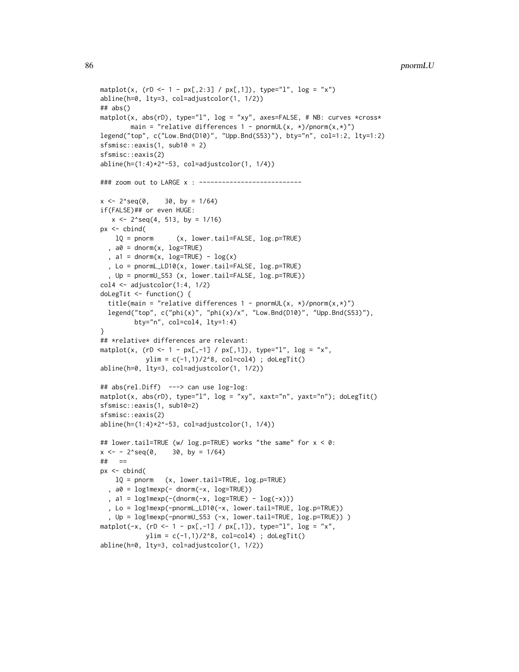```
86 pnormLU
```

```
matplot(x, (rD < -1 - px[, 2:3] / px[, 1]), type="1", log = "x")
abline(h=0, lty=3, col=adjustcolor(1, 1/2))
## abs()
matplot(x, abs(rD), type="l", log = "xy", axes=FALSE, # NB: curves *cross*
        main = "relative differences 1 - pnormUL(x, *)/pnorm(x,*)")
legend("top", c("Low.Bnd(D10)", "Upp.Bnd(S53)"), bty="n", col=1:2, lty=1:2)
sfsmisc::eaxis(1, sub10 = 2)sfsmisc::eaxis(2)
abline(h=(1:4)*2^* - 53, col=adjustcolor(1, 1/4))### zoom out to LARGE x : --------------------------
x \le -2^seq(0, 30, by = 1/64)
if(FALSE)## or even HUGE:
   x \le -2<sup>o</sup>seq(4, 513, by = 1/16)
px <- cbind(
    lQ = pnorm (x, lower.tail=FALSE, log.p=TRUE)
  , a0 = \text{dnorm}(x, \text{log=TRUE}), a1 = dnorm(x, \text{log=TRUE}) - \log(x), Lo = pnormL_LD10(x, lower.tail=FALSE, log.p=TRUE)
  , Up = pnormU_S53 (x, lower.tail=FALSE, log.p=TRUE))
col4 \leftarrow adjustcolor(1:4, 1/2)doLegTit <- function() {
  title(main = "relative differences 1 - pnormUL(x, *)/pnorm(x,*)")
  legend("top", c("phi(x)", "phi(x)/x", "Low.Bnd(D10)", "Upp.Bnd(S53)"),bty="n", col=col4, lty=1:4)
}
## *relative* differences are relevant:
matplot(x, (rD <- 1 - px[,-1] / px[,1]), type="l", log = "x",
            ylim = c(-1,1)/2^8, col=col4); doLegTit()
abline(h=0, lty=3, col=adjustcolor(1, 1/2))
## abs(rel.Diff) ---> can use log-log:
matplot(x, abs(rD), type="1", log = "xy", xaxt="n", yaxt="n"); doLegTit()
sfsmisc::eaxis(1, sub10=2)
sfsmisc::eaxis(2)
abline(h=(1:4)*2^-53, col=adjustcolor(1, 1/4))
## lower.tail=TRUE (w/ log.p=TRUE) works "the same" for x < 0:
x \le -2^seq(0, 30, by = 1/64)
## ==
px <- cbind(
    lQ = pnorm (x, lower.tail=TRUE, log.p=TRUE)
  , a0 = log1mexp(- dnorm(-x, log=TRUE))
  , a1 = \text{log1mexp}(-(\text{dnorm}(-x, \text{log=TRUE}) - \text{log}(-x))), Lo = log1mexp(-pnormL_LD10(-x, lower.tail=TRUE, log.p=TRUE))
  , Up = log1mexp(-pnormU_S53 (-x, lower.tail=TRUE, log.p=TRUE)) )
matplot(-x, ( rD < -1 - px[, -1] / px[, 1]), type="l", log = "x",
            ylim = c(-1,1)/2^8, col=col4) ; doLegTit()
abline(h=0, lty=3, col=adjustcolor(1, 1/2))
```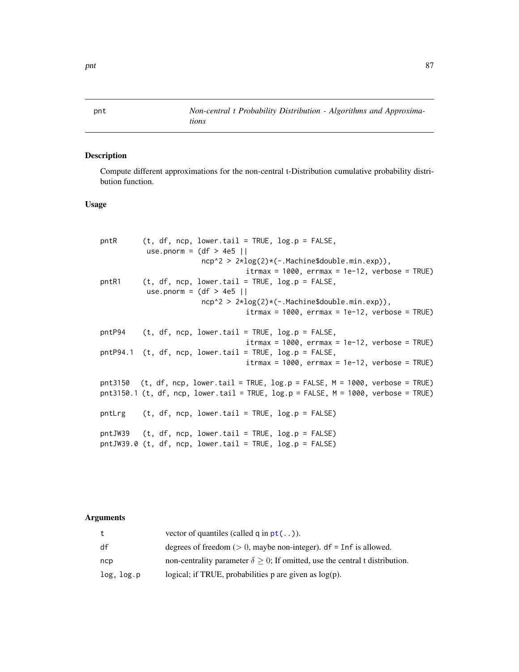pnt *Non-central t Probability Distribution - Algorithms and Approximations*

# Description

Compute different approximations for the non-central t-Distribution cumulative probability distribution function.

# Usage

| pntR  | $(t, df, ncp, lower.tail = TRUE, log.p = FALSE,$<br>use.pnorm = $(df > 4e5$   <br>$ncp^2 > 2 * log(2) * (-. Machine \$ {double.min.exp)},<br>$it$ rmax = 1000, errmax = 1e-12, verbose = TRUE) |
|-------|------------------------------------------------------------------------------------------------------------------------------------------------------------------------------------------------|
| pntR1 | $(t, df, ncp, lower.tail = TRUE, log.p = FALSE,$<br>use.pnorm = $(df > 4e5$                                                                                                                    |
|       | $ncp^2 > 2 \star log(2) \star (-. Machine \text{6} double.min.exp)),$                                                                                                                          |
|       | $it$ rmax = 1000, errmax = 1e-12, verbose = TRUE)                                                                                                                                              |
|       | $\text{ptP94}$ (t, df, ncp, lower.tail = TRUE, log.p = FALSE,<br>$it$ rmax = 1000, errmax = 1e-12, verbose = TRUE)                                                                             |
|       | $\text{ptP94.1}$ (t, df, ncp, lower.tail = TRUE, log.p = FALSE,                                                                                                                                |
|       | $it$ rmax = 1000, errmax = 1e-12, verbose = TRUE)                                                                                                                                              |
|       | $pt3150$ (t, df, ncp, lower.tail = TRUE, log.p = FALSE, M = 1000, verbose = TRUE)<br>pnt3150.1 (t, df, ncp, lower.tail = TRUE, $log.p = FALSE, M = 1000$ , verbose = TRUE)                     |
|       | pntLrg $(t, df, ncp, lower.tail = TRUE, log.p = FALSE)$                                                                                                                                        |
|       | pntJW39 $(t, df, ncp, lower.tail = TRUE, log.p = FALSE)$                                                                                                                                       |
|       | pntJW39.0 (t, df, ncp, lower.tail = TRUE, $log.p = FALSE$ )                                                                                                                                    |

|            | vector of quantiles (called q in $pt($ )).                                             |
|------------|----------------------------------------------------------------------------------------|
| df         | degrees of freedom ( $> 0$ , maybe non-integer). df = Inf is allowed.                  |
| ncp        | non-centrality parameter $\delta \geq 0$ ; If omitted, use the central t distribution. |
| log, log.p | logical; if TRUE, probabilities $p$ are given as $log(p)$ .                            |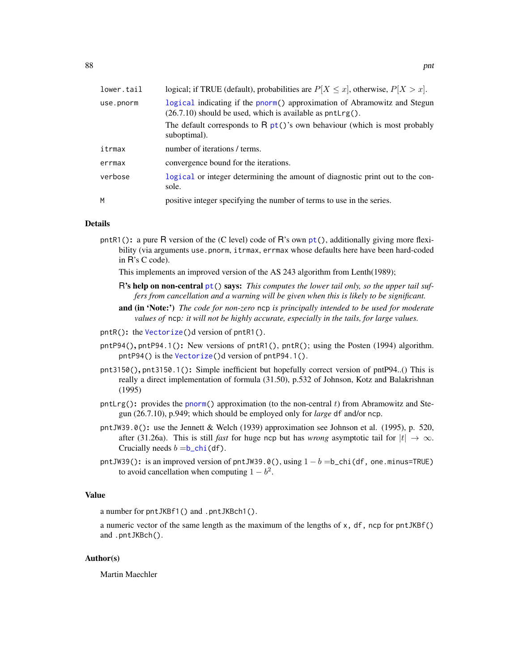| lower.tail | logical; if TRUE (default), probabilities are $P[X \le x]$ , otherwise, $P[X > x]$ .                                                             |
|------------|--------------------------------------------------------------------------------------------------------------------------------------------------|
| use.pnorm  | logical indicating if the pnorm() approximation of Abramowitz and Stegun<br>$(26.7.10)$ should be used, which is available as ${\rm pntLrg}()$ . |
|            | The default corresponds to $R pt()$ 's own behaviour (which is most probably<br>suboptimal).                                                     |
| itrmax     | number of iterations / terms.                                                                                                                    |
| errmax     | convergence bound for the iterations.                                                                                                            |
| verbose    | logical or integer determining the amount of diagnostic print out to the con-<br>sole.                                                           |
| M          | positive integer specifying the number of terms to use in the series.                                                                            |

## Details

pntR1(): a pure R version of the (C level) code of R's own  $pt$ ), additionally giving more flexibility (via arguments use.pnorm, itrmax, errmax whose defaults here have been hard-coded in R's C code).

This implements an improved version of the AS 243 algorithm from Lenth(1989);

- R's help on non-central [pt\(](#page-0-0)) says: *This computes the lower tail only, so the upper tail suffers from cancellation and a warning will be given when this is likely to be significant.*
- and (in 'Note:') *The code for non-zero* ncp *is principally intended to be used for moderate values of* ncp*: it will not be highly accurate, especially in the tails, for large values.*
- pntR(): the [Vectorize\(](#page-0-0))d version of pntR1().
- pntP94(), pntP94.1(): New versions of pntR1(), pntR(); using the Posten (1994) algorithm. pntP94() is the [Vectorize\(](#page-0-0))d version of pntP94.1().
- pnt3150(), pnt3150.1(): Simple inefficient but hopefully correct version of pntP94..() This is really a direct implementation of formula (31.50), p.532 of Johnson, Kotz and Balakrishnan (1995)
- pntLrg(): provides the [pnorm\(](#page-0-0)) approximation (to the non-central  $t$ ) from Abramowitz and Stegun (26.7.10), p.949; which should be employed only for *large* df and/or ncp.
- pntJW39.0(): use the Jennett & Welch (1939) approximation see Johnson et al. (1995), p. 520, after (31.26a). This is still *fast* for huge ncp but has *wrong* asymptotic tail for  $|t| \to \infty$ . Crucially needs  $b = b_{\text{c}}$ chi(df).
- pntJW39(): is an improved version of pntJW39.0(), using  $1 b = b$ \_chi(df, one.minus=TRUE) to avoid cancellation when computing  $1 - b^2$ .

### Value

a number for pntJKBf1() and .pntJKBch1().

a numeric vector of the same length as the maximum of the lengths of x, df, ncp for pntJKBf() and .pntJKBch().

## Author(s)

Martin Maechler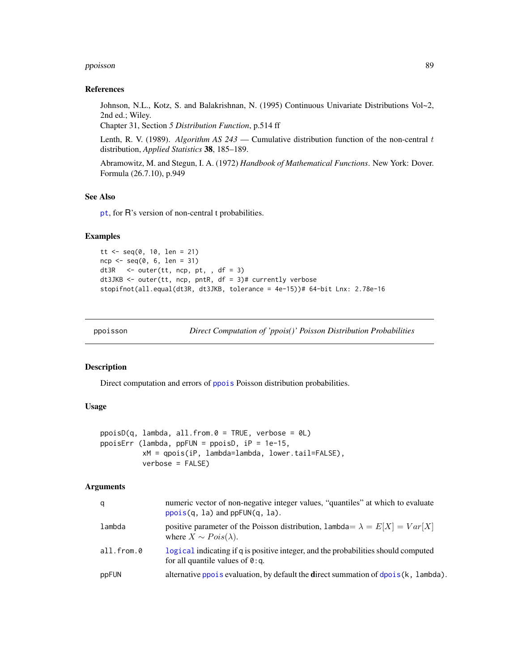### ppoisson 89 and 2012 and 2012 and 2012 and 2012 and 2012 and 2012 and 2012 and 2012 and 2012 and 201

### References

Johnson, N.L., Kotz, S. and Balakrishnan, N. (1995) Continuous Univariate Distributions Vol~2, 2nd ed.; Wiley.

Chapter 31, Section *5 Distribution Function*, p.514 ff

Lenth, R. V. (1989). *Algorithm AS 243* — Cumulative distribution function of the non-central t distribution, *Applied Statistics* 38, 185–189.

Abramowitz, M. and Stegun, I. A. (1972) *Handbook of Mathematical Functions*. New York: Dover. Formula (26.7.10), p.949

### See Also

[pt](#page-0-0), for R's version of non-central t probabilities.

### Examples

```
tt <- seq(0, 10, len = 21)
ncp < -seq(0, 6, len = 31)dt3R \le outer(tt, ncp, pt, , df = 3)
dt3JKB <- outer(tt, ncp, pntR, df = 3)# currently verbose
stopifnot(all.equal(dt3R, dt3JKB, tolerance = 4e-15))# 64-bit Lnx: 2.78e-16
```
ppoisson *Direct Computation of 'ppois()' Poisson Distribution Probabilities*

### **Description**

Direct computation and errors of [ppois](#page-0-0) Poisson distribution probabilities.

## Usage

```
ppoisD(q, lambda, all-from.0 = TRUE, verbose = 0L)ppoisErr (lambda, ppFUN = ppoisD, iP = 1e-15,
         xM = qpois(iP, lambda=lambda, lower.tail=FALSE),
         verbose = FALSE)
```

| q                | numeric vector of non-negative integer values, "quantiles" at which to evaluate<br>$pois(q, la)$ and $ppFUN(q, la)$ .          |
|------------------|--------------------------------------------------------------------------------------------------------------------------------|
| lambda           | positive parameter of the Poisson distribution, $lambda = E[X] = Var[X]$<br>where $X \sim Pois(\lambda)$ .                     |
| $all.$ from. $0$ | logical indicating if q is positive integer, and the probabilities should computed<br>for all quantile values of $\theta$ : q. |
| ppFUN            | alternative pools evaluation, by default the direct summation of $\phi$ ols (k, lambda).                                       |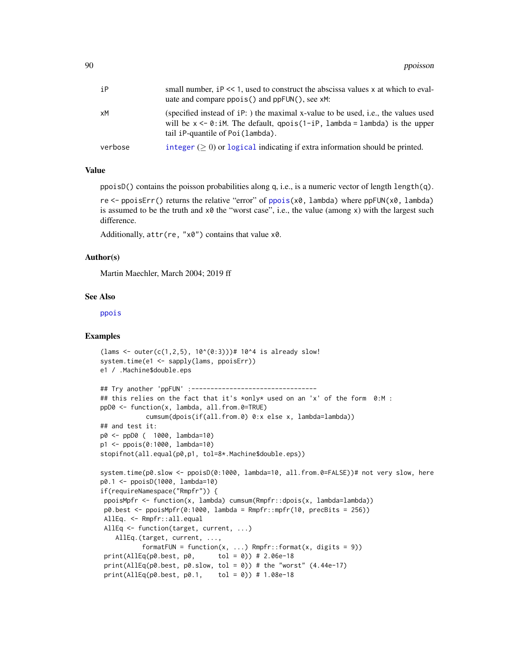| iР      | small number, iP << 1, used to construct the abscissa values x at which to eval-<br>uate and compare $ppois()$ and $ppFUN()$ , see $xM$ :                                                                            |
|---------|----------------------------------------------------------------------------------------------------------------------------------------------------------------------------------------------------------------------|
| xМ      | (specified instead of iP: ) the maximal x-value to be used, i.e., the values used<br>will be $x \le -0$ : iM. The default, $qpois(1-iP, \lambda)$ lambda = lambda) is the upper<br>tail iP-quantile of Poi (lambda). |
| verbose | integer $( \geq 0)$ or logical indicating if extra information should be printed.                                                                                                                                    |

## Value

ppoisD() contains the poisson probabilities along q, i.e., is a numeric vector of length length(q).

re <- ppoisErr() returns the relative "error" of [ppois\(](#page-0-0)x0, lambda) where ppFUN(x0, lambda) is assumed to be the truth and  $x\varnothing$  the "worst case", i.e., the value (among x) with the largest such difference.

Additionally, attr(re, "x0") contains that value x0.

## Author(s)

Martin Maechler, March 2004; 2019 ff

### See Also

[ppois](#page-0-0)

```
(lams < - outer(c(1, 2, 5), 10^*(0:3)))# 10^4 is already slow!
system.time(e1 <- sapply(lams, ppoisErr))
e1 / .Machine$double.eps
## Try another 'ppFUN' :---------------------------------
## this relies on the fact that it's *only* used on an 'x' of the form 0:M :
ppD0 <- function(x, lambda, all.from.0=TRUE)
           cumsum(dpois(if(all.from.0) 0:x else x, lambda=lambda))
## and test it:
p0 <- ppD0 ( 1000, lambda=10)
p1 <- ppois(0:1000, lambda=10)
stopifnot(all.equal(p0,p1, tol=8*.Machine$double.eps))
system.time(p0.slow <- ppoisD(0:1000, lambda=10, all.from.0=FALSE))# not very slow, here
p0.1 <- ppoisD(1000, lambda=10)
if(requireNamespace("Rmpfr")) {
ppoisMpfr <- function(x, lambda) cumsum(Rmpfr::dpois(x, lambda=lambda))
p0.best <- ppoisMpfr(0:1000, lambda = Rmpfr::mpfr(10, precBits = 256)AllEq. <- Rmpfr::all.equal
AllEq <- function(target, current, ...)
   AllEq.(target, current, ...,
          formatFUN = function(x, ...) Rmpfr::format(x, digits = 9))
 print(AllEq(p0.best, p0, tol = 0)) # 2.06e-18
 print(AllEq(p0.best, p0.slow, tol = 0)) # the "worst" (4.44e-17)print(AllEq(p0.best, p0.1, tol = 0)) # 1.08e-18
```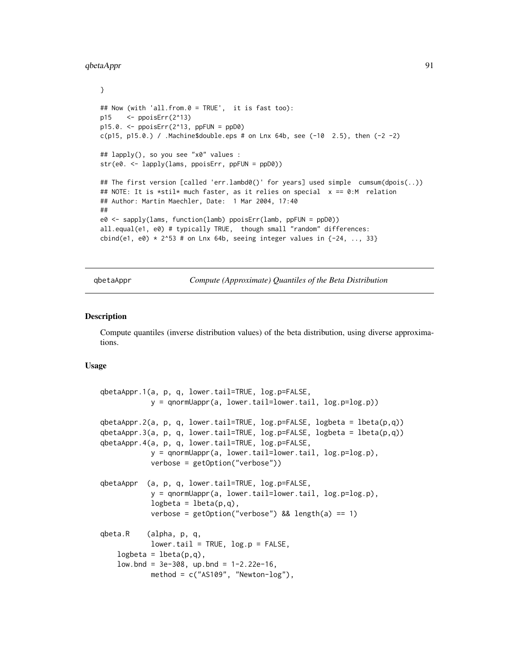### qbetaAppr 91

```
}
## Now (with 'all.from.0 = TRUE', it is fast too):
p15 <- ppoisErr(2^13)
p15.0. <- ppoisErr(2^13, ppFUN = ppD0)
c(p15, p15.0.) / .Machine$double.eps # on Lnx 64b, see (-10 2.5), then (-2 -2)
## lapply(), so you see "x0" values :
str(e0. <- lapply(lams, ppoisErr, ppFUN = ppD0))
## The first version [called 'err.lambd0()' for years] used simple cumsum(dpois(..))
## NOTE: It is *stil* much faster, as it relies on special x == 0:M relation
## Author: Martin Maechler, Date: 1 Mar 2004, 17:40
##
e0 <- sapply(lams, function(lamb) ppoisErr(lamb, ppFUN = ppD0))
all.equal(e1, e0) # typically TRUE, though small "random" differences:
cbind(e1, e0) * 2^53 # on Lnx 64b, seeing integer values in \{-24, ..., 33\}
```
qbetaAppr *Compute (Approximate) Quantiles of the Beta Distribution*

### <span id="page-90-0"></span>**Description**

Compute quantiles (inverse distribution values) of the beta distribution, using diverse approximations.

## Usage

```
qbetaAppr.1(a, p, q, lower.tail=TRUE, log.p=FALSE,
           y = qnormUappr(a, lower.tail=lower.tail, log.p = log(p))
qbetaAppr.2(a, p, q, lower.tail=TRUE, log.p=FALSE, logbeta = lbeta(p,q))
qbetaAppr.3(a, p, q, lower.tail=TRUE, log.p=FALSE, logbeta = lbeta(p,q))
qbetaAppr.4(a, p, q, lower.tail=TRUE, log.p=FALSE,
           y = qnormUappr(a, lower.tail=lower.tail, log.p=log.p),
           verbose = getOption("verbose"))
qbetaAppr (a, p, q, lower.tail=TRUE, log.p=FALSE,
           y = qnormUappr(a, lower.tail=lower.tail, log.p=log.p),
           logbeta = 1beta(p,q),
           verbose = getOption("verbose") && length(a) == 1)
qbeta.R (alpha, p, q,
           lower.tail = TRUE, log.p = FALSE,logbeta = 1beta(p,q),
   low.bnd = 3e-308, up.bnd = 1-2.22e-16,
           method = c("AS109", "Newton-log"),
```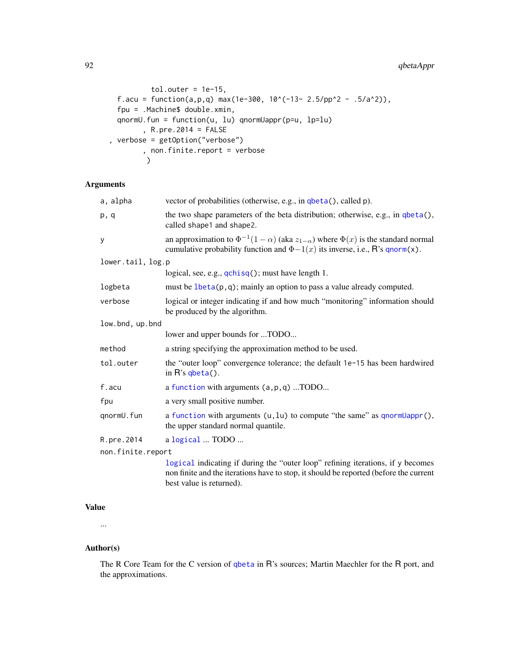```
tol.outer = 1e-15,
 f.acu = function(a,p,q) max(1e-300, 10^{\circ}(-13- 2.5/pp^2 - .5/a^2)),
 fpu = .Machine$ double.xmin,
 qnormU.fun = function(u, lu) qnormUappr(p=u, lp=lu)
        , R.pre.2014 = FALSE
, verbose = getOption("verbose")
        , non.finite.report = verbose
        )
```
# Arguments

| a, alpha          | vector of probabilities (otherwise, e.g., in qbeta(), called p).                                                                                                                           |
|-------------------|--------------------------------------------------------------------------------------------------------------------------------------------------------------------------------------------|
| p, q              | the two shape parameters of the beta distribution; otherwise, e.g., in qbeta(),<br>called shape1 and shape2.                                                                               |
| y                 | an approximation to $\Phi^{-1}(1-\alpha)$ (aka $z_{1-\alpha}$ ) where $\Phi(x)$ is the standard normal<br>cumulative probability function and $\Phi-1(x)$ its inverse, i.e., R's qnorm(x). |
| lower.tail, log.p |                                                                                                                                                                                            |
|                   | logical, see, e.g., qchisq(); must have length 1.                                                                                                                                          |
| logbeta           | must be $lbeta(p,q)$ ; mainly an option to pass a value already computed.                                                                                                                  |
| verbose           | logical or integer indicating if and how much "monitoring" information should<br>be produced by the algorithm.                                                                             |
| low.bnd, up.bnd   |                                                                                                                                                                                            |
|                   | lower and upper bounds for TODO                                                                                                                                                            |
| method            | a string specifying the approximation method to be used.                                                                                                                                   |
| tol.outer         | the "outer loop" convergence tolerance; the default 1e-15 has been hardwired<br>in $R$ 's qbeta $()$ .                                                                                     |
| f.acu             | a function with arguments (a, p, q) TODO                                                                                                                                                   |
| fpu               | a very small positive number.                                                                                                                                                              |
| qnormU.fun        | a function with arguments $(u, lu)$ to compute "the same" as qnormUappr $(),$<br>the upper standard normal quantile.                                                                       |
| R.pre.2014        | a logical  TODO                                                                                                                                                                            |
| non.finite.report |                                                                                                                                                                                            |
|                   | logical indicating if during the "outer loop" refining iterations if y becomes                                                                                                             |

[logical](#page-0-0) indicating if during the "outer loop" refining iterations, if y becomes non finite and the iterations have to stop, it should be reported (before the current best value is returned).

# Value

...

## Author(s)

The R Core Team for the C version of [qbeta](#page-0-0) in R's sources; Martin Maechler for the R port, and the approximations.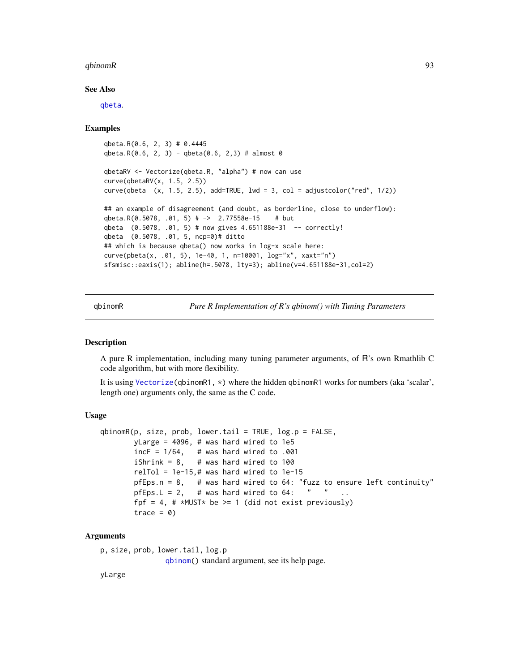### $qbinom R$  93

### See Also

[qbeta](#page-0-0).

### Examples

```
qbeta.R(0.6, 2, 3) # 0.4445
qbeta.R(0.6, 2, 3) - qbeta(0.6, 2,3) # almost 0
qbetaRV <- Vectorize(qbeta.R, "alpha") # now can use
curve(qbetaRV(x, 1.5, 2.5))
curve(qbeta (x, 1.5, 2.5), add=True, 1wd = 3, col = adjustment("red", 1/2))## an example of disagreement (and doubt, as borderline, close to underflow):
qbeta.R(0.5078, .01, 5) # -> 2.77558e-15 # but
qbeta (0.5078, .01, 5) # now gives 4.651188e-31 -- correctly!
qbeta (0.5078, .01, 5, ncp=0)# ditto
## which is because qbeta() now works in log-x scale here:
curve(pbeta(x, .01, 5), 1e-40, 1, n=10001, log="x", xaxt="n")
sfsmisc::eaxis(1); abline(h=.5078, lty=3); abline(v=4.651188e-31,col=2)
```
qbinomR *Pure R Implementation of R's qbinom() with Tuning Parameters*

### Description

A pure R implementation, including many tuning parameter arguments, of R's own Rmathlib C code algorithm, but with more flexibility.

It is using [Vectorize\(](#page-0-0)qbinomR1, \*) where the hidden qbinomR1 works for numbers (aka 'scalar', length one) arguments only, the same as the C code.

## Usage

```
qbinomR(p, size, prob, lower.tail = TRUE, log.p = FALSE,
       vLarge = 4096, # was hard wired to 1e5
       incF = 1/64, # was hard wired to .001
       iShrink = 8, # was hard wired to 100
       relTol = 1e-15,# was hard wired to 1e-15pfEps.n = 8, # was hard wired to 64: "fuzz to ensure left continuity"
       pfEps. L = 2, # was hard wired to 64: " "
       fpf = 4, # *MUST* be >= 1 (did not exist previously)
       trace = 0)
```
### Arguments

```
p, size, prob, lower.tail, log.p
```
[qbinom\(](#page-0-0)) standard argument, see its help page.

yLarge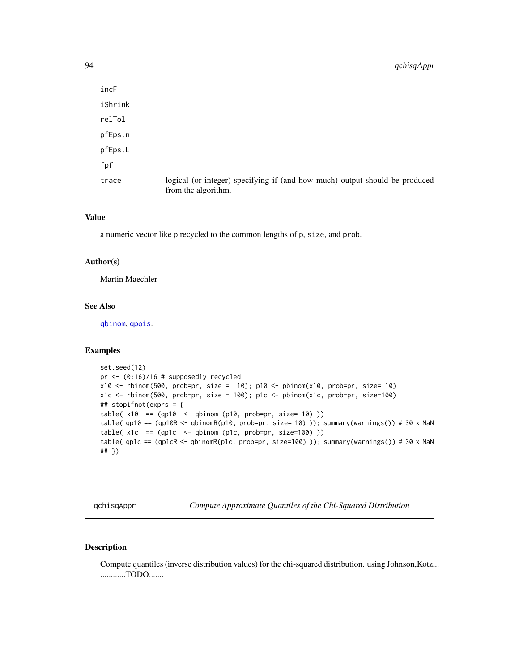| incF    |                                                                                                    |
|---------|----------------------------------------------------------------------------------------------------|
| iShrink |                                                                                                    |
| relTol  |                                                                                                    |
| pfEps.n |                                                                                                    |
| pfEps.L |                                                                                                    |
| fpf     |                                                                                                    |
| trace   | logical (or integer) specifying if (and how much) output should be produced<br>from the algorithm. |

### Value

a numeric vector like p recycled to the common lengths of p, size, and prob.

### Author(s)

Martin Maechler

# See Also

[qbinom](#page-0-0), [qpois](#page-0-0).

# Examples

```
set.seed(12)
pr <- (0:16)/16 # supposedly recycled
x10 \le- rbinom(500, prob=pr, size = 10); p10 <- pbinom(x10, prob=pr, size= 10)
x1c <- rbinom(500, prob=pr, size = 100); p1c <- pbinom(x1c, prob=pr, size=100)
## stopifnot(exprs = {
table(x10 == (qp10 <- qbinom(p10, prob=pr, size= 10))table( qp10 == (qp10R <- qbinomR(p10, prob=pr, size= 10) )); summary(warnings()) # 30 x NaN
table(x1c == (qp1c <- qbinom (p1c, prob=pr, size=100))table( qp1c == (qp1cR <- qbinomR(p1c, prob=pr, size=100) )); summary(warnings()) # 30 x NaN
## })
```
qchisqAppr *Compute Approximate Quantiles of the Chi-Squared Distribution*

## Description

Compute quantiles (inverse distribution values) for the chi-squared distribution. using Johnson,Kotz,.. ............TODO.......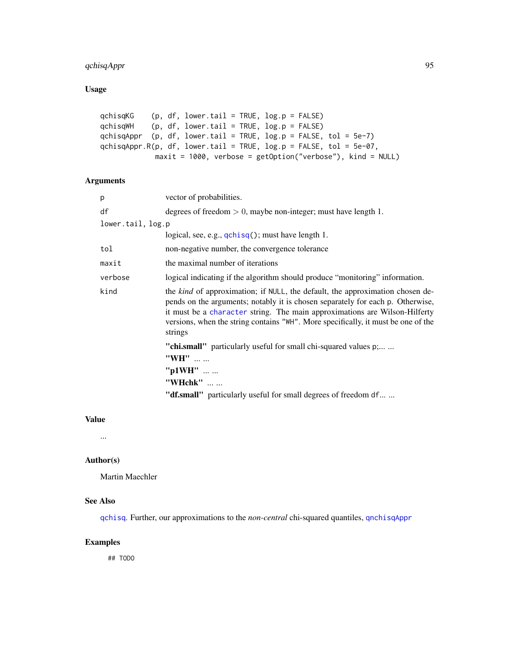# qchisqAppr 95

# Usage

```
qchisqKG (p, df, lower.tail = TRUE, log.p = FALSE)
qchisqWH (p, df, lower.tail = TRUE, log.p = FALSE)
qchisqAppr (p, df, lower.tail = TRUE, log.p = FALSE, tol = 5e-7)
qchisqAppr.R(p, df, lower.tail = TRUE, log.p = FALSE, tol = 5e-07,
            maxit = 1000, verbose = getOption("verbose"), kind = NULL)
```
# Arguments

| p                 | vector of probabilities.                                                                                                                                                                                                                                                                                                                             |
|-------------------|------------------------------------------------------------------------------------------------------------------------------------------------------------------------------------------------------------------------------------------------------------------------------------------------------------------------------------------------------|
| df                | degrees of freedom $> 0$ , maybe non-integer; must have length 1.                                                                                                                                                                                                                                                                                    |
| lower.tail, log.p |                                                                                                                                                                                                                                                                                                                                                      |
|                   | logical, see, e.g., $qchisq()$ ; must have length 1.                                                                                                                                                                                                                                                                                                 |
| tol               | non-negative number, the convergence tolerance                                                                                                                                                                                                                                                                                                       |
| maxit             | the maximal number of iterations                                                                                                                                                                                                                                                                                                                     |
| verbose           | logical indicating if the algorithm should produce "monitoring" information.                                                                                                                                                                                                                                                                         |
| kind              | the <i>kind</i> of approximation; if NULL, the default, the approximation chosen de-<br>pends on the arguments; notably it is chosen separately for each p. Otherwise,<br>it must be a character string. The main approximations are Wilson-Hilferty<br>versions, when the string contains "WH". More specifically, it must be one of the<br>strings |
|                   | " <b>chi.small</b> " particularly useful for small chi-squared values p;                                                                                                                                                                                                                                                                             |
|                   | "WH"                                                                                                                                                                                                                                                                                                                                                 |
|                   | " $p1WH$ "                                                                                                                                                                                                                                                                                                                                           |
|                   | "WHchk"                                                                                                                                                                                                                                                                                                                                              |
|                   | " <b>df.small</b> " particularly useful for small degrees of freedom df                                                                                                                                                                                                                                                                              |

# Value

...

## Author(s)

Martin Maechler

## See Also

[qchisq](#page-0-0). Further, our approximations to the *non-central* chi-squared quantiles, [qnchisqAppr](#page-98-0)

# Examples

## TODO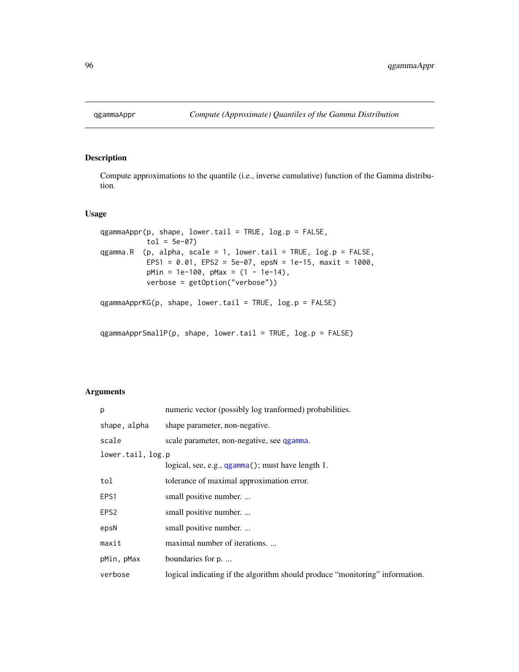# Description

Compute approximations to the quantile (i.e., inverse cumulative) function of the Gamma distribution.

## Usage

```
qgammaAppr(p, shape, lower.tail = TRUE, log.p = FALSE,
          tol = 5e-07qgamma.R (p, alpha, scale = 1, lower.tail = TRUE, log.p = FALSE,
          EPS1 = 0.01, EPS2 = 5e-07, epsN = 1e-15, maxit = 1000,
          pMin = 1e-100, pMax = (1 - 1e-14),
          verbose = getOption("verbose"))
qgammaApprKG(p, shape, lower.tail = TRUE, log.p = FALSE)
```

```
qgammaApprSmallP(p, shape, lower.tail = TRUE, log.p = FALSE)
```

| p                 | numeric vector (possibly log tranformed) probabilities.                      |  |
|-------------------|------------------------------------------------------------------------------|--|
| shape, alpha      | shape parameter, non-negative.                                               |  |
| scale             | scale parameter, non-negative, see qgamma.                                   |  |
| lower.tail, log.p |                                                                              |  |
|                   | logical, see, e.g., qgamma(); must have length 1.                            |  |
| tol               | tolerance of maximal approximation error.                                    |  |
| EPS1              | small positive number                                                        |  |
| EPS <sub>2</sub>  | small positive number                                                        |  |
| epsN              | small positive number                                                        |  |
| maxit             | maximal number of iterations                                                 |  |
| pMin, pMax        | boundaries for p.                                                            |  |
| verbose           | logical indicating if the algorithm should produce "monitoring" information. |  |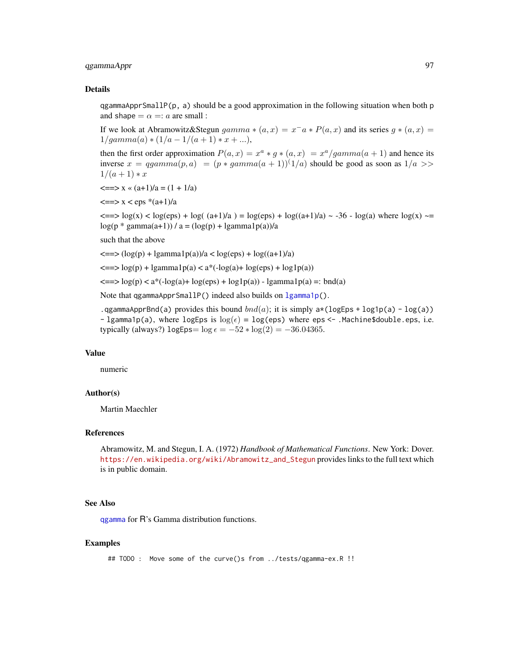# qgammaAppr 97

### Details

qgammaApprSmallP( $p$ , a) should be a good approximation in the following situation when both  $p$ and shape  $= \alpha =: a$  are small :

If we look at Abramowitz&Stegun  $gamma * (a, x) = x^- a * P(a, x)$  and its series  $g * (a, x) = x^- a * P(a, x)$  $1/gamma(a) * (1/a - 1/(a + 1) * x + ...)$ 

then the first order approximation  $P(a, x) = x^a * g * (a, x) = x^a/gamma(a + 1)$  and hence its inverse  $x = qgamma(p, a) = (p * gamma(a + 1))^{1}/a$  should be good as soon as  $1/a$  $1/(a+1)*x$ 

 $\langle == \rangle$  x «  $(a+1)/a = (1 + 1/a)$ 

 $\langle == \rangle$  x  $\langle$  eps  $*(a+1)/a$ 

 $\langle == \rangle \log(x)$  < log(eps) + log( (a+1)/a) = log(eps) + log((a+1)/a) ~ -36 - log(a) where log(x) ~=  $log(p * gamma(a+1)) / a = (log(p) + lgamma1p(a))/a$ 

such that the above

 $\langle \equiv \rangle (\log(p) + \text{lgamma1p}(a))/a < \log(\text{eps}) + \log((a+1)/a)$ 

 $\leq$  =  $>$  log(p) + lgamma1p(a)  $<$  a<sup>\*</sup>(-log(a)+ log(eps) + log1p(a))

 $\langle = \rangle \log(p) \langle a^*(-\log(a)) + \log(\log(a)) + \log(\log(a)) - \log(\log(a)) =: \text{bnd}(a)$ 

Note that ggammaApprSmallP() indeed also builds on [lgamma1p\(](#page-35-0)).

.qgammaApprBnd(a) provides this bound  $bnd(a)$ ; it is simply  $a*(logEps + log1p(a) - log(a))$ - lgamma1p(a), where logEps is  $log(\epsilon) = log(eps)$  where eps <- .Machine\$double.eps, i.e. typically (always?) logEps=  $\log \epsilon = -52 * \log(2) = -36.04365$ .

## Value

numeric

## Author(s)

Martin Maechler

## References

Abramowitz, M. and Stegun, I. A. (1972) *Handbook of Mathematical Functions*. New York: Dover. [https://en.wikipedia.org/wiki/Abramowitz\\_and\\_Stegun](https://en.wikipedia.org/wiki/Abramowitz_and_Stegun) provides links to the full text which is in public domain.

### See Also

[qgamma](#page-0-0) for R's Gamma distribution functions.

### Examples

## TODO : Move some of the curve()s from ../tests/qgamma-ex.R !!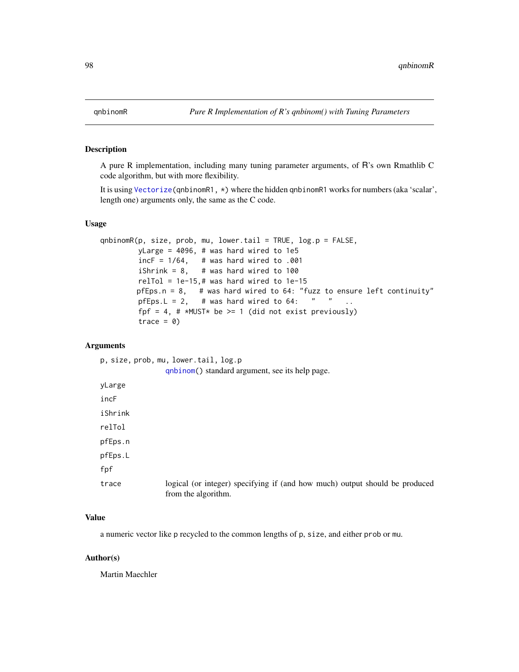# Description

A pure R implementation, including many tuning parameter arguments, of R's own Rmathlib C code algorithm, but with more flexibility.

It is using [Vectorize\(](#page-0-0)qnbinomR1, \*) where the hidden qnbinomR1 works for numbers (aka 'scalar', length one) arguments only, the same as the C code.

## Usage

```
qnbinomR(p, size, prob, mu, lower.tail = TRUE, log.p = FALSE,
        yLarge = 4096, # was hard wired to 1e5
         incF = 1/64, # was hard wired to .001
        iShrink = 8, # was hard wired to 100
        relTol = 1e-15,# was hard wired to 1e-15
        pfEps.n = 8, # was hard wired to 64: "fuzz to ensure left continuity"
        pfEps. L = 2, # was hard wired to 64: " " ..
        fpf = 4, \# *MUST* be >= 1 (did not exist previously)
        trace = \theta)
```
# Arguments

|         | p, size, prob, mu, lower.tail, log.p                                                               |
|---------|----------------------------------------------------------------------------------------------------|
|         | qnbinom() standard argument, see its help page.                                                    |
| yLarge  |                                                                                                    |
| incF    |                                                                                                    |
| iShrink |                                                                                                    |
| relTol  |                                                                                                    |
| pfEps.n |                                                                                                    |
| pfEps.L |                                                                                                    |
| fpf     |                                                                                                    |
| trace   | logical (or integer) specifying if (and how much) output should be produced<br>from the algorithm. |

# Value

a numeric vector like p recycled to the common lengths of p, size, and either prob or mu.

### Author(s)

Martin Maechler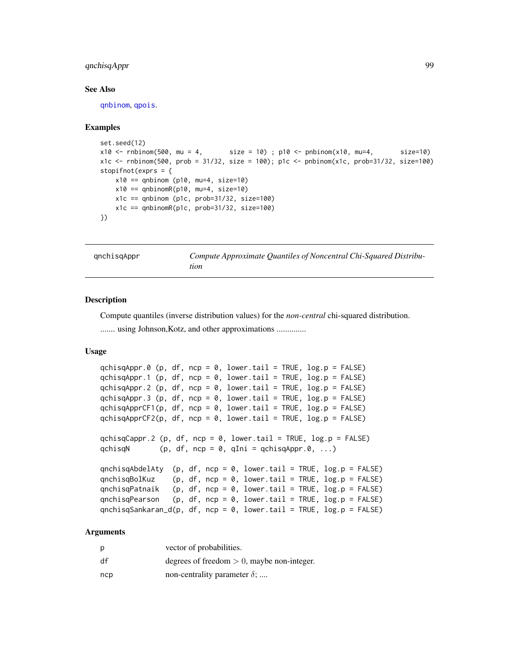# qnchisqAppr 99

### See Also

[qnbinom](#page-0-0), [qpois](#page-0-0).

### Examples

```
set.seed(12)
x10 \le rnbinom(500, mu = 4, size = 10); p10 <- pnbinom(x10, mu=4, size=10)
x1c <- rnbinom(500, prob = 31/32, size = 100); p1c <- pnbinom(x1c, prob=31/32, size=100)
stopifnot(exprs = {
   x10 == qnbinom (p10, mu=4, size=10)
   x10 == qnbinomR(p10, mu=4, size=10)
   x1c == qnbinom (p1c, prob=31/32, size=100)x1c == qnbinomR(p1c, prob=31/32, size=100)
})
```
<span id="page-98-0"></span>qnchisqAppr *Compute Approximate Quantiles of Noncentral Chi-Squared Distribution*

### **Description**

Compute quantiles (inverse distribution values) for the *non-central* chi-squared distribution.

........ using Johnson, Kotz, and other approximations ..............

## Usage

```
qchisqAppr.0 (p, df, ncp = 0, lower.tail = TRUE, log.p = FALSE)
qchisqAppr.1 (p, df, ncp = 0, lower.tail = TRUE, log.p = FALSE)
qchisqAppr.2 (p, df, ncp = 0, lower.tail = TRUE, log.p = FALSE)
qchisqAppr.3 (p, df, ncp = 0, lower.tail = TRUE, log.p = FALSE)
qchisqApprCF1(p, df, ncp = 0, lower.tail = TRUE, log.p = FALSE)
qchisqApprCF2(p, df, ncp = 0, lower.tail = TRUE, log.p = FALSE)
qchisqCappr.2 (p, df, ncp = 0, lower.tail = TRUE, log.p = FALSE)
qchisqN (p, df, ncp = 0, qIni = qchisqAppr.0, ...)qnchisqAbdelAty (p, df, ncp = 0, lower.tail = TRUE, log.p = FALSE)
qnchisqBolKuz (p, df, ncp = 0, lower.tail = TRUE, log.p = FALSE)
qnchisqPatnaik (p, df, ncp = 0, lower.tail = TRUE, log.p = FALSE)
qnchisqPearson (p, df, ncp = 0, lower.tail = TRUE, log.p = FALSE)
qnchisqSankaran_d(p, df, ncp = 0, lower.tail = TRUE, log.p = FALSE)
```

| Ŋ   | vector of probabilities.                      |
|-----|-----------------------------------------------|
| df  | degrees of freedom $> 0$ , maybe non-integer. |
| ncp | non-centrality parameter $\delta$ ;           |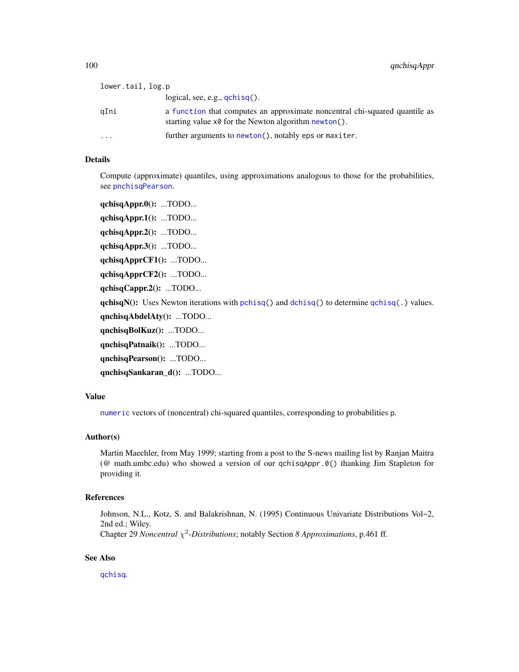100 qnchisqAppr

| logical, see, e.g., $qchisq()$ .<br>a function that computes an approximate noncentral chi-squared quantile as<br>aIni |  |
|------------------------------------------------------------------------------------------------------------------------|--|
|                                                                                                                        |  |
| starting value $x\theta$ for the Newton algorithm newton().                                                            |  |
| further arguments to newton(), notably eps or maxiter.<br>$\ddotsc$                                                    |  |

# Details

Compute (approximate) quantiles, using approximations analogous to those for the probabilities, see [pnchisqPearson](#page-75-0).

qchisqAppr.0(): ...TODO... qchisqAppr.1(): ...TODO... qchisqAppr.2(): ...TODO... qchisqAppr.3(): ...TODO... qchisqApprCF1(): ...TODO... qchisqApprCF2(): ...TODO... qchisqCappr.2(): ...TODO...  $qchisqN()$ : Uses Newton iterations with [pchisq\(](#page-0-0)) and [dchisq\(](#page-0-0)) to determine  $qchisq()$  $qchisq()$  values. qnchisqAbdelAty(): ...TODO... qnchisqBolKuz(): ...TODO... qnchisqPatnaik(): ...TODO... qnchisqPearson(): ...TODO...

qnchisqSankaran\_d(): ...TODO...

# Value

[numeric](#page-0-0) vectors of (noncentral) chi-squared quantiles, corresponding to probabilities p.

## Author(s)

Martin Maechler, from May 1999; starting from a post to the S-news mailing list by Ranjan Maitra (@ math.umbc.edu) who showed a version of our qchisqAppr.0() thanking Jim Stapleton for providing it.

### References

Johnson, N.L., Kotz, S. and Balakrishnan, N. (1995) Continuous Univariate Distributions Vol~2, 2nd ed.; Wiley.

Chapter 29 *Noncentral* χ 2 *-Distributions*; notably Section *8 Approximations*, p.461 ff.

## See Also

[qchisq](#page-0-0).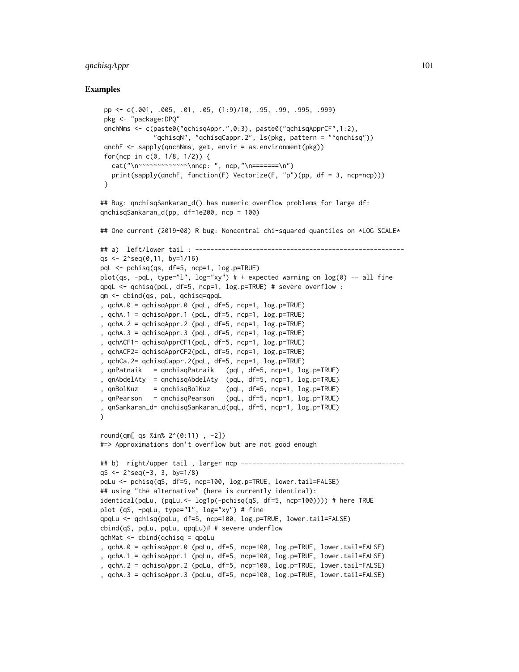## qnchisqAppr 101

```
pp <- c(.001, .005, .01, .05, (1:9)/10, .95, .99, .995, .999)
 pkg <- "package:DPQ"
 qnchNms <- c(paste0("qchisqAppr.",0:3), paste0("qchisqApprCF",1:2),
              "qchisqN", "qchisqCappr.2", ls(pkg, pattern = "^qnchisq"))
 qnchF <- sapply(qnchNms, get, envir = as.environment(pkg))
 for(ncp in c(0, 1/8, 1/2)) {
  cat("\n~~~~~~~~~~~~\nncp: ", ncp,"\n=======\n")
  print(sapply(qnchF, function(F) Vectorize(F, "p")(pp, df = 3, ncp=ncp)))
 }
## Bug: qnchisqSankaran_d() has numeric overflow problems for large df:
qnchisqSankaran_d(pp, df=1e200, ncp = 100)
## One current (2019-08) R bug: Noncentral chi-squared quantiles on *LOG SCALE*
## a) left/lower tail : -------------------------------------------------------
qs \leq 2^seq(0,11, by=1/16)
pqL <- pchisq(qs, df=5, ncp=1, log.p=TRUE)
plot(qs, -pqL, type="l", log="xy") # + expected warning on log(0) -- all fine
qpqL <- qchisq(pqL, df=5, ncp=1, log.p=TRUE) # severe overflow :
qm <- cbind(qs, pqL, qchisq=qpqL
, qchA.0 = qchisqAppr.0 (pqL, df=5, ncp=1, log.p=TRUE)
, qchA.1 = qchisqAppr.1 (pqL, df=5, ncp=1, log.p=TRUE)
, qchA.2 = qchisqAppr.2 (pqL, df=5, ncp=1, log.p=TRUE)
, qchA.3 = qchisqAppr.3 (pqL, df=5, ncp=1, log.p=TRUE)
, qchACF1= qchisqApprCF1(pqL, df=5, ncp=1, log.p=TRUE)
, qchACF2= qchisqApprCF2(pqL, df=5, ncp=1, log.p=TRUE)
, qchCa.2= qchisqCappr.2(pqL, df=5, ncp=1, log.p=TRUE)
, qnPatnaik = qnchisqPatnaik (pqL, df=5, ncp=1, log.p=TRUE)
, qnAbdelAty = qnchisqAbdelAty (pqL, df=5, ncp=1, log.p=TRUE)
, qnBolKuz = qnchisqBolKuz (pqL, df=5, ncp=1, log.p=TRUE)
, qnPearson = qnchisqPearson (pqL, df=5, ncp=1, log.p=TRUE)
, qnSankaran_d= qnchisqSankaran_d(pqL, df=5, ncp=1, log.p=TRUE)
)
round(qm[ qs %in% 2^(0:11) , -2])
#=> Approximations don't overflow but are not good enough
## b) right/upper tail , larger ncp -------------------------------------------
qS <- 2^seq(-3, 3, by=1/8)
pqLu <- pchisq(qS, df=5, ncp=100, log.p=TRUE, lower.tail=FALSE)
## using "the alternative" (here is currently identical):
identical(pqLu, (pqLu.<- log1p(-pchisq(qS, df=5, ncp=100)))) # here TRUE
plot (qS, -pqLu, type="l", log="xy") # fine
qpqLu <- qchisq(pqLu, df=5, ncp=100, log.p=TRUE, lower.tail=FALSE)
cbind(qS, pqLu, pqLu, qpqLu)# # severe underflow
qchMat <- cbind(qchisq = qpqLu
, qchA.0 = qchisqAppr.0 (pqLu, df=5, ncp=100, log.p=TRUE, lower.tail=FALSE)
, qchA.1 = qchisqAppr.1 (pqLu, df=5, ncp=100, log.p=TRUE, lower.tail=FALSE)
, qchA.2 = qchisqAppr.2 (pqLu, df=5, ncp=100, log.p=TRUE, lower.tail=FALSE)
, qchA.3 = qchisqAppr.3 (pqLu, df=5, ncp=100, log.p=TRUE, lower.tail=FALSE)
```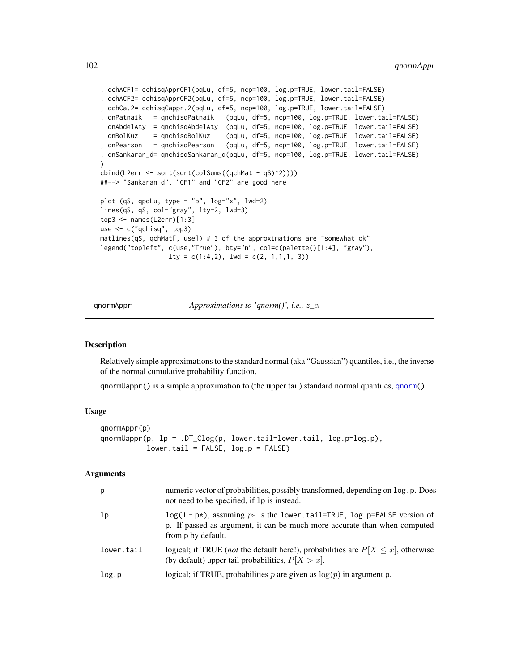```
, qchACF1= qchisqApprCF1(pqLu, df=5, ncp=100, log.p=TRUE, lower.tail=FALSE)
, qchACF2= qchisqApprCF2(pqLu, df=5, ncp=100, log.p=TRUE, lower.tail=FALSE)
, qchCa.2= qchisqCappr.2(pqLu, df=5, ncp=100, log.p=TRUE, lower.tail=FALSE)
, qnPatnaik = qnchisqPatnaik (pqLu, df=5, ncp=100, log.p=TRUE, lower.tail=FALSE)
, qnAbdelAty = qnchisqAbdelAty (pqLu, df=5, ncp=100, log.p=TRUE, lower.tail=FALSE)
, qnBolKuz = qnchisqBolKuz (pqLu, df=5, ncp=100, log.p=TRUE, lower.tail=FALSE)
, qnPearson = qnchisqPearson (pqLu, df=5, ncp=100, log.p=TRUE, lower.tail=FALSE)
, qnSankaran_d= qnchisqSankaran_d(pqLu, df=5, ncp=100, log.p=TRUE, lower.tail=FALSE)
\lambdacbind(L2err <- sort(sqrt(colSums((qchMat - qS)^2))))
##--> "Sankaran_d", "CF1" and "CF2" are good here
plot (qS, qpqLu, type = "b", log="x", lwd=2)
lines(qS, qS, col="gray", lty=2, lwd=3)
top3 <- names(L2err)[1:3]
use <- c("qchisq", top3)
matlines(qS, qchMat[, use]) # 3 of the approximations are "somewhat ok"
legend("topleft", c(use,"True"), bty="n", col=c(palette()[1:4], "gray"),
                 lty = c(1:4,2), lwd = c(2, 1,1,1, 3))
```
qnormAppr *Approximations to 'qnorm()', i.e.,* z*\_*α

## <span id="page-101-0"></span>**Description**

Relatively simple approximations to the standard normal (aka "Gaussian") quantiles, i.e., the inverse of the normal cumulative probability function.

qnormUappr() is a simple approximation to (the upper tail) standard normal quantiles, [qnorm\(](#page-0-0)).

### Usage

```
qnormAppr(p)
qnormUappr(p, lp = .DT_Clog(p, lower.tail=lower.tail, log.p=log.p),
           lower.tail = FALSE, log.p = FALSE)
```

| р          | numeric vector of probabilities, possibly transformed, depending on log. p. Does<br>not need to be specified, if 1p is instead.                                                  |
|------------|----------------------------------------------------------------------------------------------------------------------------------------------------------------------------------|
| 1p         | $\log(1 - p*)$ , assuming $p*$ is the lower tail=TRUE, log p=FALSE version of<br>p. If passed as argument, it can be much more accurate than when computed<br>from p by default. |
| lower.tail | logical; if TRUE ( <i>not</i> the default here!), probabilities are $P[X \le x]$ , otherwise<br>(by default) upper tail probabilities, $P[X > x]$ .                              |
| log.p      | logical; if TRUE, probabilities p are given as $log(p)$ in argument p.                                                                                                           |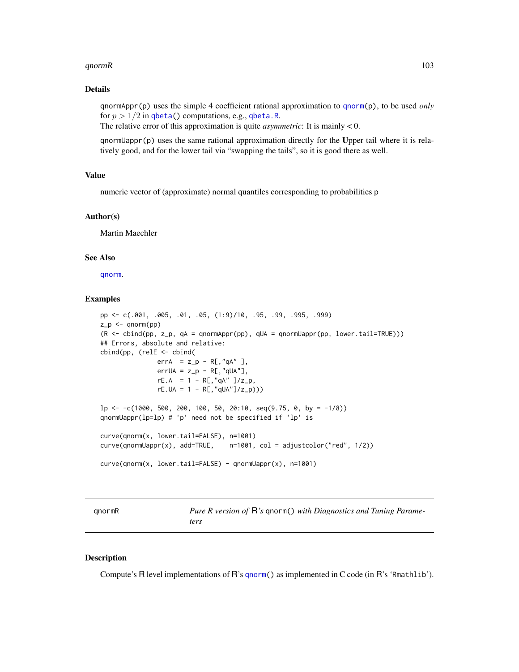### qnormR and the set of the set of the set of the set of the set of the set of the set of the set of the set of the set of the set of the set of the set of the set of the set of the set of the set of the set of the set of th

### Details

qnormAppr(p) uses the simple 4 coefficient rational approximation to [qnorm\(](#page-0-0)p), to be used *only* for  $p > 1/2$  in [qbeta\(](#page-0-0)) computations, e.g., [qbeta.R](#page-90-0).

The relative error of this approximation is quite *asymmetric*: It is mainly < 0.

qnormUappr(p) uses the same rational approximation directly for the Upper tail where it is relatively good, and for the lower tail via "swapping the tails", so it is good there as well.

### Value

numeric vector of (approximate) normal quantiles corresponding to probabilities p

#### Author(s)

Martin Maechler

## See Also

[qnorm](#page-0-0).

## Examples

```
pp <- c(.001, .005, .01, .05, (1:9)/10, .95, .99, .995, .999)
z_p < - qnorm(pp)
(R \le - \text{cbind(pp, z_p, qA = qnormAppr(pp), qUA = qnormUappr(pp, lower.\tauail=TRUE))})## Errors, absolute and relative:
cbind(pp, (relE <- cbind(
               errA = z_p - R[, "qA" ],errUA = z_p - R[, "qUA"],
               rE.A = 1 - R[, "qA" ]/z_p,rE.UA = 1 - R[, "qUA"]/z_p))lp \leftarrow -c(1000, 500, 200, 100, 50, 20:10, seq(9.75, 0, by = -1/8))qnormUappr(lp=lp) # 'p' need not be specified if 'lp' is
curve(qnorm(x, lower.tail=FALSE), n=1001)
curve(qnormUappr(x), add=TRUE, n=1001, col = adjustcolor("red", 1/2))
curve(qnorm(x, lower.tail=FALSE) - qnormUappr(x), n=1001)
```
qnormR *Pure R version of* R*'s* qnorm() *with Diagnostics and Tuning Parameters*

### Description

Compute's R level implementations of R's [qnorm\(](#page-0-0)) as implemented in C code (in R's 'Rmathlib').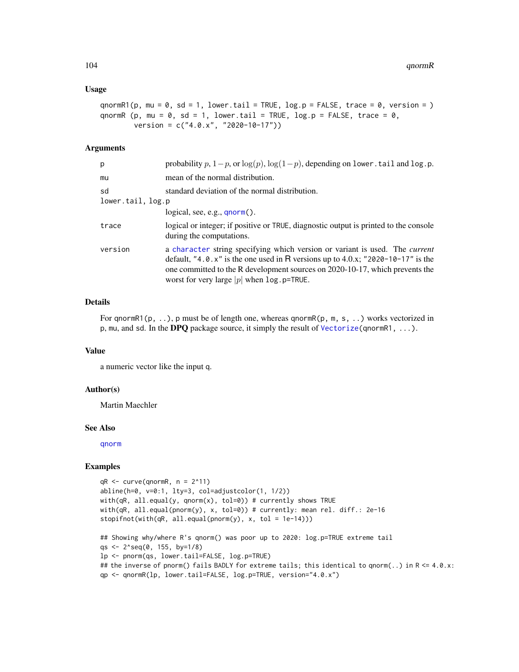### Usage

```
qnormR1(p, mu = 0, sd = 1, lower.tail = TRUE, log.p = FALSE, trace = 0, version = )
qnormR (p, mu = 0, sd = 1, lower.tail = TRUE, log.p = FALSE, trace = 0,
        version = c("4.0.x", "2020-10-17"))
```
### Arguments

| p                       | probability p, $1-p$ , or $log(p)$ , $log(1-p)$ , depending on lower. tail and log.p.                                                                                                                                                                                                                    |
|-------------------------|----------------------------------------------------------------------------------------------------------------------------------------------------------------------------------------------------------------------------------------------------------------------------------------------------------|
| mu                      | mean of the normal distribution.                                                                                                                                                                                                                                                                         |
| sd<br>lower.tail, log.p | standard deviation of the normal distribution.                                                                                                                                                                                                                                                           |
|                         | logical, see, e.g., $qnorm()$ .                                                                                                                                                                                                                                                                          |
| trace                   | logical or integer; if positive or TRUE, diagnostic output is printed to the console<br>during the computations.                                                                                                                                                                                         |
| version                 | a character string specifying which version or variant is used. The <i>current</i><br>default, "4.0.x" is the one used in R versions up to 4.0.x; "2020-10-17" is the<br>one committed to the R development sources on 2020-10-17, which prevents the<br>worst for very large $ p $ when $\log p$ =TRUE. |

### Details

For qnormR1(p, ..), p must be of length one, whereas qnormR(p, m, s, ..) works vectorized in p, mu, and sd. In the DPQ package source, it simply the result of [Vectorize\(](#page-0-0)qnormR1, ...).

### Value

a numeric vector like the input q.

#### Author(s)

Martin Maechler

#### See Also

[qnorm](#page-0-0)

```
qR \leq curve(qnormR, n = 2^11)
abline(h=0, v=0:1, lty=3, col=adjustcolor(1, 1/2))
with(qR, all.equal(y, qnorm(x), tol=0)) # currently shows TRUE
with(qR, all.equal(pnorm(y), x, tol=0)) # currently: mean rel. diff.: 2e-16
stopifnot(with(qR, all.equals(pnorm(y), x, tol = 1e-14)))## Showing why/where R's qnorm() was poor up to 2020: log.p=TRUE extreme tail
qs <- 2^seq(0, 155, by=1/8)
lp <- pnorm(qs, lower.tail=FALSE, log.p=TRUE)
```

```
## the inverse of pnorm() fails BADLY for extreme tails; this identical to qnorm(..) in R <= 4.0.x:
```

```
qp <- qnormR(lp, lower.tail=FALSE, log.p=TRUE, version="4.0.x")
```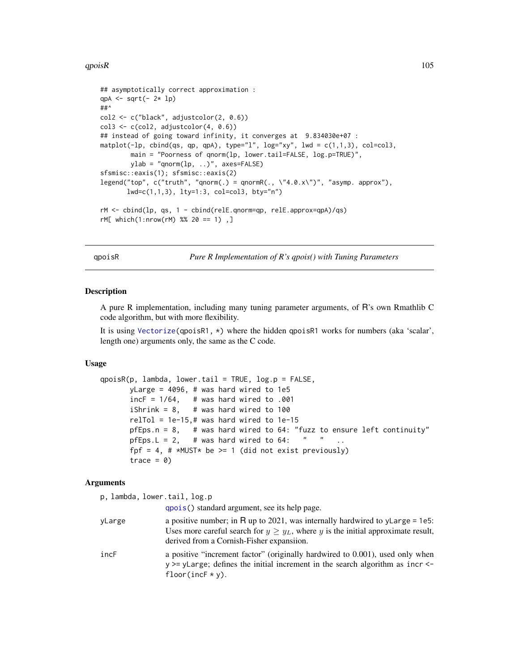### $qpoisR$  and  $qpoisR$  and  $qpoisR$  and  $qpoisR$  and  $qpoisR$  and  $qpoisR$  and  $qpoisR$  and  $qpoisR$  and  $qpoisR$  and  $qpoisR$  and  $qpoisR$  and  $qpoisR$  and  $qpoisR$  and  $qpoisR$  and  $qpoisR$  and  $qpoisR$  and  $qpoisR$  and  $qpoisR$  and  $qpoisR$  and  $qpoisR$  and

```
## asymptotically correct approximation :
qpA \leq sqrt(-2 \times 1)##^
col2 <- c("black", adjustcolor(2, 0.6))
col3 \leftarrow c(col2, adjustment(4, 0.6))## instead of going toward infinity, it converges at 9.834030e+07 :
matplot(-lp, cbind(qs, qp, qpA), type="l", log="xy", lwd = c(1,1,3), col=col3,
        main = "Poorness of qnorm(lp, lower.tail=FALSE, log.p=TRUE)",
        ylab = "qnorm(1p, ...)", axes=FALSE)
sfsmisc::eaxis(1); sfsmisc::eaxis(2)
legend("top", c("truth", "qnorm(.) = qnormR(.,' "4.0.x\\"); "asymp. approx"),lwd=c(1,1,3), lty=1:3, col=col3, bty="n")
rM <- cbind(lp, qs, 1 - cbind(relE.qnorm=qp, relE.approx=qpA)/qs)
rM[ which(1:nrow(rM) %% 20 == 1) ,]
```
qpoisR *Pure R Implementation of R's qpois() with Tuning Parameters*

### **Description**

A pure R implementation, including many tuning parameter arguments, of R's own Rmathlib C code algorithm, but with more flexibility.

It is using [Vectorize\(](#page-0-0)qpoisR1,  $\star$ ) where the hidden qpoisR1 works for numbers (aka 'scalar', length one) arguments only, the same as the C code.

### Usage

```
qpoisR(p, lambda, lower.tail = TRUE, log.p = FALSE,yLarge = 4096, # was hard wired to 1e5
      incF = 1/64, # was hard wired to .001
      iShrink = 8, # was hard wired to 100
      relTol = 1e-15,# was hard wired to 1e-15pfEps.n = 8, # was hard wired to 64: "fuzz to ensure left continuity"
      pfEps. L = 2, # was hard wired to 64: " " ..
      fpf = 4, # *MUST* be >= 1 (did not exist previously)
      trace = 0
```
#### Arguments

p, lambda, lower[.tail,](#page-0-0) log.p

qpois() standard argument, see its help page.

- yLarge a positive number; in R up to 2021, was internally hardwired to yLarge = 1e5: Uses more careful search for  $y \geq y_L$ , where y is the initial approximate result, derived from a Cornish-Fisher expansiion.
- incF a positive "increment factor" (originally hardwired to 0.001), used only when y >= yLarge; defines the initial increment in the search algorithm as incr < floor(incF  $*$  y).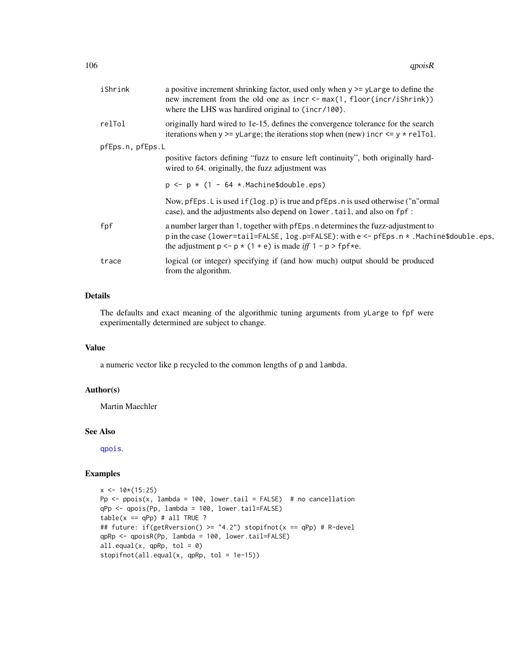| iShrink          | a positive increment shrinking factor, used only when $y \ge y$ Large to define the<br>new increment from the old one as incr <- max(1, floor(incr/iShrink))<br>where the LHS was hardired original to (incr/100).                                          |
|------------------|-------------------------------------------------------------------------------------------------------------------------------------------------------------------------------------------------------------------------------------------------------------|
| relTol           | originally hard wired to 1e-15, defines the convergence tolerance for the search<br>iterations when $y \ge y$ Large; the iterations stop when (new) incr $\le y \cdot \text{relTol}$ .                                                                      |
| pfEps.n, pfEps.L |                                                                                                                                                                                                                                                             |
|                  | positive factors defining "fuzz to ensure left continuity", both originally hard-<br>wired to 64. originally, the fuzz adjustment was                                                                                                                       |
|                  | $p \le p * (1 - 64 * .$ Machine\$double.eps)                                                                                                                                                                                                                |
|                  | Now, pfEps. L is used if $(\log p)$ is true and pfEps. n is used otherwise ("n"ormal<br>case), and the adjustments also depend on lower.tail, and also on fpf:                                                                                              |
| fpf              | a number larger than 1, together with pfEps. n determines the fuzz-adjustment to<br>p in the case (lower=tail=FALSE, log.p=FALSE): with e <- pfEps.n *. Machine\$double.eps,<br>the adjustment $p \leq -p * (1 + e)$ is made iff $1 - p > \text{fpf} * e$ . |
| trace            | logical (or integer) specifying if (and how much) output should be produced<br>from the algorithm.                                                                                                                                                          |

## Details

The defaults and exact meaning of the algorithmic tuning arguments from yLarge to fpf were experimentally determined are subject to change.

## Value

a numeric vector like p recycled to the common lengths of p and lambda.

## Author(s)

Martin Maechler

## See Also

[qpois](#page-0-0).

```
x \le -10*(15:25)Pp \leq- ppois(x, lambda = 100, lower.tail = FALSE) # no cancellation
qPp <- qpois(Pp, lambda = 100, lower.tail=FALSE)
table(x == qPp) # all TRUE ?## future: if(getRversion() >= "4.2") stopifnot(x == qPp) # R-devel
qpRp <- qpoisR(Pp, lambda = 100, lower.tail=FALSE)
all.equals(x, qpRp, tol = 0)stopifnot(all.equal(x, qpRp, tol = 1e-15))
```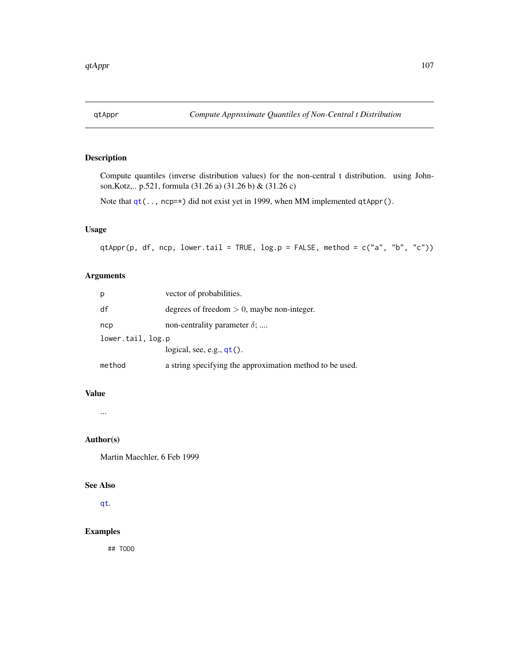# Description

Compute quantiles (inverse distribution values) for the non-central t distribution. using Johnson,Kotz,.. p.521, formula (31.26 a) (31.26 b) & (31.26 c)

Note that  $qt(..., nep=\star)$  $qt(..., nep=\star)$  did not exist yet in 1999, when MM implemented qtAppr().

# Usage

qtAppr(p, df, ncp, lower.tail = TRUE, log.p = FALSE, method =  $c("a", "b", "c")$ )

# Arguments

| р                 | vector of probabilities.                                 |
|-------------------|----------------------------------------------------------|
| df                | degrees of freedom $> 0$ , maybe non-integer.            |
| ncp               | non-centrality parameter $\delta$ ;                      |
| lower.tail, log.p |                                                          |
|                   | logical, see, e.g., $qt()$ .                             |
| method            | a string specifying the approximation method to be used. |

## Value

...

# Author(s)

Martin Maechler, 6 Feb 1999

## See Also

[qt](#page-0-0).

# Examples

## TODO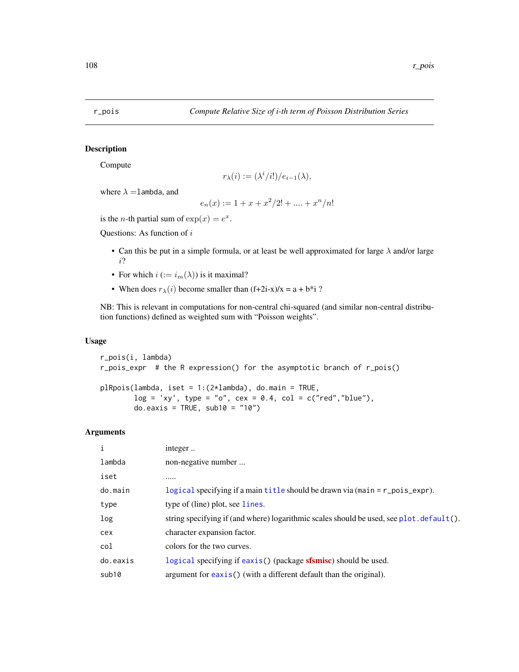<span id="page-107-0"></span>

# Description

Compute

$$
r_{\lambda}(i) := (\lambda^i/i!) / e_{i-1}(\lambda),
$$

where  $\lambda =$ lambda, and

$$
e_n(x) := 1 + x + x^2/2! + \dots + x^n/n!
$$

is the *n*-th partial sum of  $exp(x) = e^x$ .

Questions: As function of i

- Can this be put in a simple formula, or at least be well approximated for large  $\lambda$  and/or large i?
- For which  $i := i_m(\lambda)$  is it maximal?
- When does  $r_{\lambda}(i)$  become smaller than  $(f+2i-x)/x = a + b *i$ ?

NB: This is relevant in computations for non-central chi-squared (and similar non-central distribution functions) defined as weighted sum with "Poisson weights".

## Usage

```
r_pois(i, lambda)
r_pois_expr # the R expression() for the asymptotic branch of r_pois()
plRpois(lambda, iset = 1:(2*lambda), do.main = TRUE,
       log = 'xy', type = "o", cex = 0.4, col = c("red","blue"),
       do.eaxis = TRUE, sub10 = "10")
```

| i        | integer                                                                                     |
|----------|---------------------------------------------------------------------------------------------|
| lambda   | non-negative number                                                                         |
| iset     |                                                                                             |
| do.main  | logical specifying if a main title should be drawn via (main = r_pois_expr).                |
| type     | type of (line) plot, see lines.                                                             |
| log      | string specifying if (and where) logarithmic scales should be used, see plot. $default()$ . |
| cex      | character expansion factor.                                                                 |
| col      | colors for the two curves.                                                                  |
| do.eaxis | logical specifying if eaxis() (package <b>sfsmisc</b> ) should be used.                     |
| sub10    | argument for $\angle$ axis() (with a different default than the original).                  |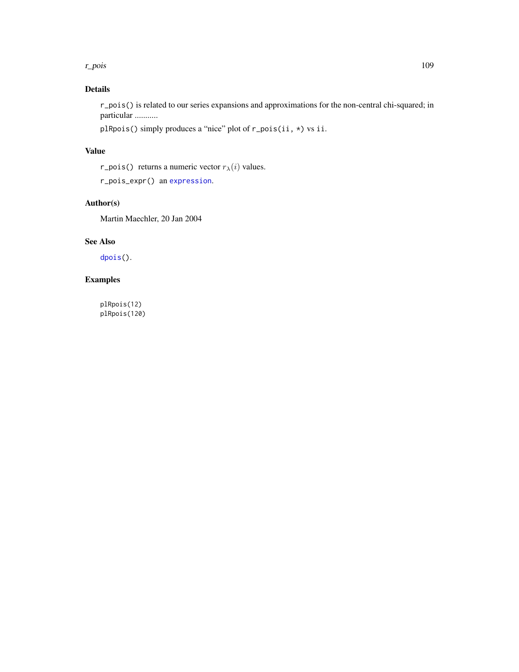### <span id="page-108-0"></span>r\_pois and the contract of the contract of the contract of the contract of the contract of the contract of the contract of the contract of the contract of the contract of the contract of the contract of the contract of the

# Details

r\_pois() is related to our series expansions and approximations for the non-central chi-squared; in particular ...........

plRpois() simply produces a "nice" plot of r\_pois(ii, \*) vs ii.

## Value

r\_pois() returns a numeric vector  $r_{\lambda}(i)$  values.

r\_pois\_expr() an [expression](#page-0-0).

# Author(s)

Martin Maechler, 20 Jan 2004

## See Also

[dpois\(](#page-0-0)).

# Examples

plRpois(12) plRpois(120)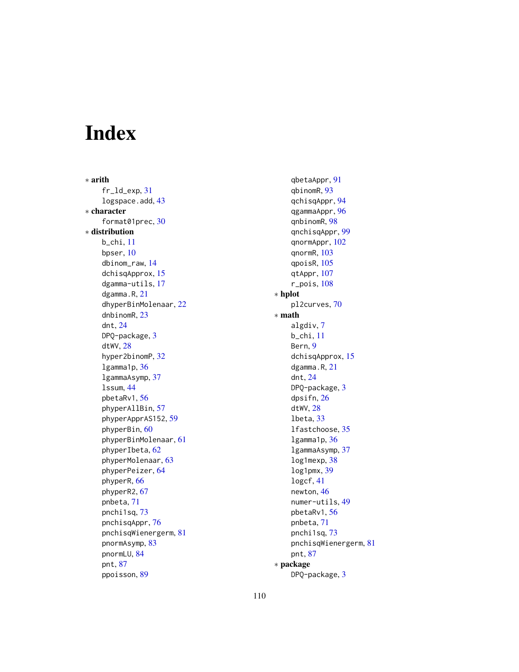# Index

∗ arith fr\_ld\_exp, [31](#page-30-0) logspace.add, [43](#page-42-0) ∗ character format01prec, [30](#page-29-0) ∗ distribution b\_chi, [11](#page-10-0) bpser, [10](#page-9-0) dbinom\_raw, [14](#page-13-0) dchisqApprox, [15](#page-14-0) dgamma-utils, [17](#page-16-0) dgamma.R, [21](#page-20-0) dhyperBinMolenaar, [22](#page-21-0) dnbinomR, [23](#page-22-0) dnt, [24](#page-23-0) DPQ-package, [3](#page-2-0) dtWV, [28](#page-27-0) hyper2binomP, [32](#page-31-0) lgamma1p, [36](#page-35-0) lgammaAsymp, [37](#page-36-0) lssum, [44](#page-43-0) pbetaRv1, [56](#page-55-0) phyperAllBin, [57](#page-56-0) phyperApprAS152, [59](#page-58-0) phyperBin, [60](#page-59-0) phyperBinMolenaar, [61](#page-60-0) phyperIbeta, [62](#page-61-0) phyperMolenaar, [63](#page-62-0) phyperPeizer, [64](#page-63-0) phyperR, [66](#page-65-0) phyperR2, [67](#page-66-0) pnbeta, [71](#page-70-0) pnchi1sq, [73](#page-72-0) pnchisqAppr, [76](#page-75-0) pnchisqWienergerm, [81](#page-80-0) pnormAsymp, [83](#page-82-0) pnormLU, [84](#page-83-0) pnt, [87](#page-86-0) ppoisson, [89](#page-88-0)

qbetaAppr, [91](#page-90-0) qbinomR, [93](#page-92-0) qchisqAppr, [94](#page-93-0) qgammaAppr, [96](#page-95-0) qnbinomR, [98](#page-97-0) qnchisqAppr, [99](#page-98-0) qnormAppr, [102](#page-101-0) qnormR, [103](#page-102-0) qpoisR, [105](#page-104-0) qtAppr, [107](#page-106-0) r\_pois, [108](#page-107-0) ∗ hplot pl2curves, [70](#page-69-0) ∗ math algdiv, [7](#page-6-0) b\_chi, [11](#page-10-0) Bern, [9](#page-8-0) dchisqApprox, [15](#page-14-0) dgamma.R, [21](#page-20-0) dnt, [24](#page-23-0) DPQ-package, [3](#page-2-0) dpsifn, [26](#page-25-0) dtWV, [28](#page-27-0) lbeta, [33](#page-32-0) lfastchoose, [35](#page-34-0) lgamma1p, [36](#page-35-0) lgammaAsymp, [37](#page-36-0) log1mexp, [38](#page-37-0) log1pmx, [39](#page-38-0) logcf, [41](#page-40-0) newton, [46](#page-45-0) numer-utils, [49](#page-48-0) pbetaRv1, [56](#page-55-0) pnbeta, [71](#page-70-0) pnchi1sq, [73](#page-72-0) pnchisqWienergerm, [81](#page-80-0) pnt, [87](#page-86-0) ∗ package DPQ-package, [3](#page-2-0)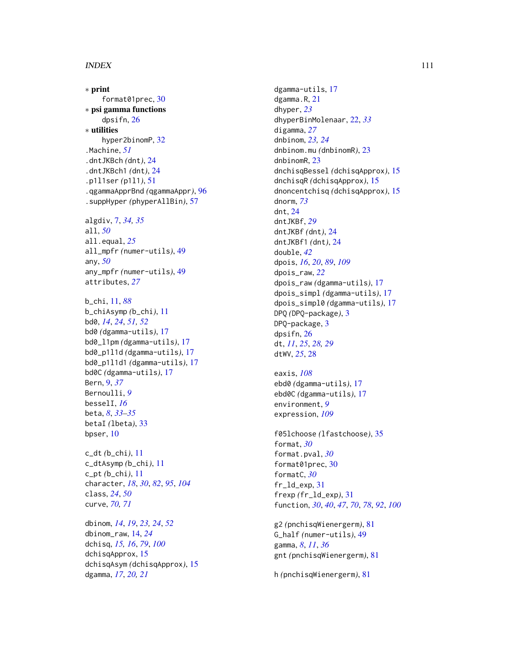## INDEX 111

∗ print format01prec , [30](#page-29-0) ∗ psi gamma functions dpsifn , [26](#page-25-0) ∗ utilities hyper2binomP, [32](#page-31-0) .Machine , *[51](#page-50-0)* .dntJKBch *(*dnt *)* , [24](#page-23-0) .dntJKBch1 *(*dnt *)* , [24](#page-23-0) .p1l1ser *(*p1l1 *)* , [51](#page-50-0) .qgammaApprBnd *(*qgammaAppr *)* , [96](#page-95-0) .suppHyper *(*phyperAllBin *)* , [57](#page-56-0)

algdiv, [7](#page-6-0), [34](#page-33-0), [35](#page-34-0) all , *[50](#page-49-0)* all.equal , *[25](#page-24-0)* all\_mpfr *(*numer-utils *)* , [49](#page-48-0) any , *[50](#page-49-0)* any\_mpfr *(*numer-utils *)* , [49](#page-48-0) attributes , *[27](#page-26-0)*

```
b_chi
, 11
, 88
b_chiAsymp
(b_chi
)
, 11
bd0
, 14
, 24
, 51
, 52
bd0
(dgamma-utils
)
, 17
bd0_l1pm
(dgamma-utils
)
, 17
bd0_p1l1d
(dgamma-utils
)
, 17
bd0_p1l1d1
(dgamma-utils
)
, 17
bd0C
(dgamma-utils
)
, 17
Bern
,
9
, 37
Bernoulli
,
9
besselI
, 16
beta
,
8
, 33
–35
betaI
(lbeta
)
, 33
10
```
c\_dt *(*b\_chi *)* , [11](#page-10-0) c\_dtAsymp *(*b\_chi *)* , [11](#page-10-0) c\_pt *(*b\_chi *)* , [11](#page-10-0) character , *[18](#page-17-0)* , *[30](#page-29-0)* , *[82](#page-81-0)* , *[95](#page-94-0)* , *[104](#page-103-0)* class , *[24](#page-23-0)* , *[50](#page-49-0)* curve , *[70](#page-69-0) , [71](#page-70-0)*

dbinom , *[14](#page-13-0)* , *[19](#page-18-0)* , *[23](#page-22-0) , [24](#page-23-0)* , *[52](#page-51-0)* dbinom\_raw , [14](#page-13-0) , *[24](#page-23-0)* dchisq , *[15](#page-14-0) , [16](#page-15-0)* , *[79](#page-78-0)* , *[100](#page-99-0)* dchisqApprox , [15](#page-14-0) dchisqAsym *(*dchisqApprox *)* , [15](#page-14-0) dgamma , *[17](#page-16-0)* , *[20](#page-19-0) , [21](#page-20-0)*

dgamma-utils , [17](#page-16-0) dgamma.R, [21](#page-20-0) dhyper , *[23](#page-22-0)* dhyperBinMolenaar , [22](#page-21-0) , *[33](#page-32-0)* digamma , *[27](#page-26-0)* dnbinom , *[23](#page-22-0) , [24](#page-23-0)* dnbinom.mu *(*dnbinomR *)* , [23](#page-22-0) dnbinomR , [23](#page-22-0) dnchisqBessel *(*dchisqApprox *)* , [15](#page-14-0) dnchisqR *(*dchisqApprox *)* , [15](#page-14-0) dnoncentchisq *(*dchisqApprox *)* , [15](#page-14-0) dnorm , *[73](#page-72-0)* dnt , [24](#page-23-0) dntJKBf , *[29](#page-28-0)* dntJKBf *(*dnt *)* , [24](#page-23-0) dntJKBf1 *(*dnt *)* , [24](#page-23-0) double , *[42](#page-41-0)* dpois , *[16](#page-15-0)* , *[20](#page-19-0)* , *[89](#page-88-0)* , *[109](#page-108-0)* dpois\_raw , *[22](#page-21-0)* dpois\_raw *(*dgamma-utils *)* , [17](#page-16-0) dpois\_simpl *(*dgamma-utils *)* , [17](#page-16-0) dpois\_simpl0 *(*dgamma-utils *)* , [17](#page-16-0) DPQ *(*DPQ-package *)* , [3](#page-2-0) DPQ-package, [3](#page-2-0) dpsifn , [26](#page-25-0) dt , *[11](#page-10-0)* , *[25](#page-24-0)* , *[28](#page-27-0) , [29](#page-28-0)* dtWV , *[25](#page-24-0)* , [28](#page-27-0)

eaxis , *[108](#page-107-0)* ebd0 *(*dgamma-utils *)* , [17](#page-16-0) ebd0C *(*dgamma-utils *)* , [17](#page-16-0) environment , *[9](#page-8-0)* expression , *[109](#page-108-0)*

f05lchoose *(*lfastchoose *)* , [35](#page-34-0) format , *[30](#page-29-0)* format.pval , *[30](#page-29-0)* format01prec, [30](#page-29-0) formatC , *[30](#page-29-0)* fr\_ld\_exp , [31](#page-30-0) frexp *(*fr\_ld\_exp *)* , [31](#page-30-0) function , *[30](#page-29-0)* , *[40](#page-39-0)* , *[47](#page-46-0)* , *[70](#page-69-0)* , *[78](#page-77-0)* , *[92](#page-91-0)* , *[100](#page-99-0)*

g2 *(*pnchisqWienergerm *)* , [81](#page-80-0) G\_half *(*numer-utils *)* , [49](#page-48-0) gamma , *[8](#page-7-0)* , *[11](#page-10-0)* , *[36](#page-35-0)* gnt *(*pnchisqWienergerm *)* , [81](#page-80-0)

h *(*pnchisqWienergerm *)* , [81](#page-80-0)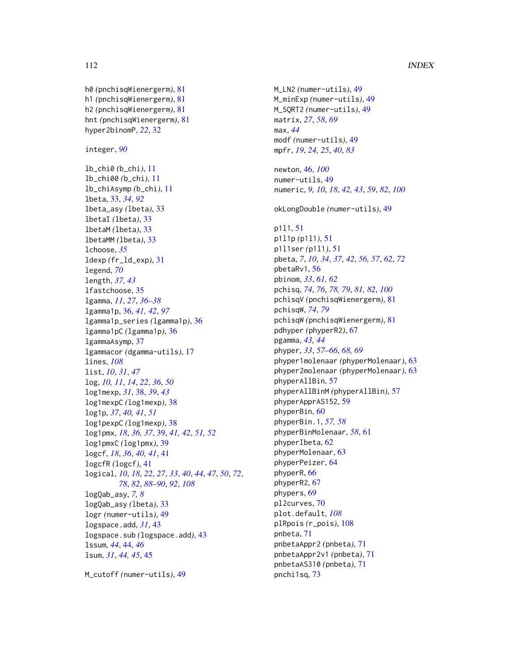```
112 INDEX
h0 (pnchisqWienergerm), 81
h1 (pnchisqWienergerm), 81
h2 (pnchisqWienergerm), 81
hnt (pnchisqWienergerm), 81
hyper2binomP, 22, 32
integer, 90
lb_chi0 (b_chi), 11
lb_chi00 (b_chi), 11
lb_chiAsymp (b_chi), 11
lbeta, 33, 34, 92
lbeta_asy (lbeta), 33
lbetaI (lbeta), 33
lbetaM (lbeta), 33
lbetaMM (lbeta), 33
lchoose, 35
ldexp (fr_ld_exp), 31
legend, 70
length, 37, 43
lfastchoose, 35
lgamma, 11, 27, 36–38
```
lgamma1p, [36,](#page-35-0) *[41,](#page-40-0) [42](#page-41-0)*, *[97](#page-96-0)*

log, *[10,](#page-9-0) [11](#page-10-0)*, *[14](#page-13-0)*, *[22](#page-21-0)*, *[36](#page-35-0)*, *[50](#page-49-0)* log1mexp, *[31](#page-30-0)*, [38,](#page-37-0) *[39](#page-38-0)*, *[43](#page-42-0)* log1mexpC *(*log1mexp*)*, [38](#page-37-0) log1p, *[37](#page-36-0)*, *[40,](#page-39-0) [41](#page-40-0)*, *[51](#page-50-0)* log1pexpC *(*log1mexp*)*, [38](#page-37-0)

log1pmxC *(*log1pmx*)*, [39](#page-38-0) logcf, *[18](#page-17-0)*, *[36](#page-35-0)*, *[40,](#page-39-0) [41](#page-40-0)*, [41](#page-40-0) logcfR *(*logcf*)*, [41](#page-40-0)

logQab\_asy, *[7,](#page-6-0) [8](#page-7-0)* logQab\_asy *(*lbeta*)*, [33](#page-32-0) logr *(*numer-utils*)*, [49](#page-48-0) logspace.add, *[31](#page-30-0)*, [43](#page-42-0)

lssum, *[44](#page-43-0)*, [44,](#page-43-0) *[46](#page-45-0)* lsum, *[31](#page-30-0)*, *[44,](#page-43-0) [45](#page-44-0)*, [45](#page-44-0)

lgammaAsymp, [37](#page-36-0)

lines, *[108](#page-107-0)* list, *[10](#page-9-0)*, *[31](#page-30-0)*, *[47](#page-46-0)*

lgamma1p\_series *(*lgamma1p*)*, [36](#page-35-0) lgamma1pC *(*lgamma1p*)*, [36](#page-35-0)

lgammacor *(*dgamma-utils*)*, [17](#page-16-0)

log1pmx, *[18](#page-17-0)*, *[36,](#page-35-0) [37](#page-36-0)*, [39,](#page-38-0) *[41,](#page-40-0) [42](#page-41-0)*, *[51,](#page-50-0) [52](#page-51-0)*

logspace.sub *(*logspace.add*)*, [43](#page-42-0)

M\_cutoff *(*numer-utils*)*, [49](#page-48-0)

logical, *[10](#page-9-0)*, *[18](#page-17-0)*, *[22](#page-21-0)*, *[27](#page-26-0)*, *[33](#page-32-0)*, *[40](#page-39-0)*, *[44](#page-43-0)*, *[47](#page-46-0)*, *[50](#page-49-0)*, *[72](#page-71-0)*, *[78](#page-77-0)*, *[82](#page-81-0)*, *[88](#page-87-0)[–90](#page-89-0)*, *[92](#page-91-0)*, *[108](#page-107-0)*

```
M_LN2 (numer-utils), 49
M_minExp (numer-utils), 49
M_SQRT2 (numer-utils), 49
matrix, 27, 58, 69
max, 44
modf (numer-utils), 49
mpfr, 19, 24, 25, 40, 83
newton, 46, 100
numer-utils, 49
numeric, 9, 10, 18, 42, 43, 59, 82, 100
okLongDouble (numer-utils), 49
p1l1, 51
p1l1p (p1l1), 51
p1l1ser (p1l1), 51
pbeta, 7, 10, 34, 37, 42, 56, 57, 62, 72
pbetaRv1, 56
pbinom, 33, 61, 62
pchisq, 74, 76, 78, 79, 81, 82, 100
pchisqV (pnchisqWienergerm), 81
pchisqW, 74, 79
pchisqW (pnchisqWienergerm), 81
pdhyper (phyperR2), 67
pgamma, 43, 44
phyper, 33, 57–66, 68, 69
phyper1molenaar (phyperMolenaar), 63
phyper2molenaar (phyperMolenaar), 63
phyperAllBin, 57
phyperAllBinM (phyperAllBin), 57
phyperApprAS152, 59
phyperBin, 60
phyperBin.1, 57, 58
phyperBinMolenaar, 58, 61
phyperIbeta, 62
phyperMolenaar, 63
phyperPeizer, 64
phyperR, 66
phyperR2, 67
phypers, 69
pl2curves, 70
plot.default, 108
plRpois (r_pois), 108
pnbeta, 71
pnbetaAppr2 (pnbeta), 71
pnbetaAppr2v1 (pnbeta), 71
pnbetaAS310 (pnbeta), 71
pnchi1sq, 73
```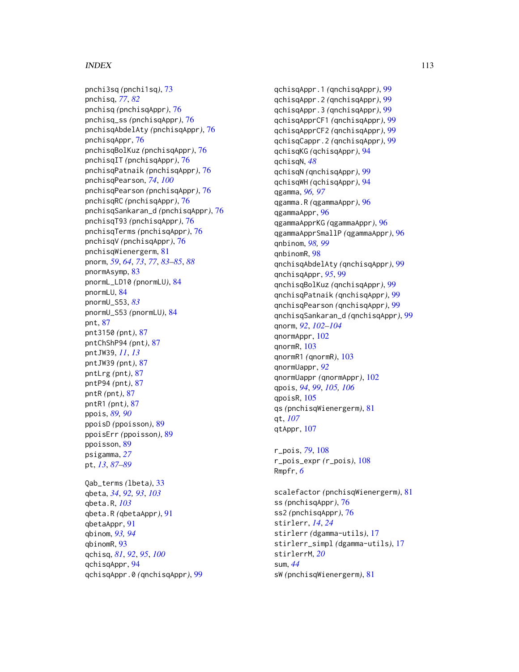## INDEX 113

pnchi3sq *(*pnchi1sq*)*, [73](#page-72-0) pnchisq, *[77](#page-76-0)*, *[82](#page-81-0)* pnchisq *(*pnchisqAppr*)*, [76](#page-75-0) pnchisq\_ss *(*pnchisqAppr*)*, [76](#page-75-0) pnchisqAbdelAty *(*pnchisqAppr*)*, [76](#page-75-0) pnchisqAppr, [76](#page-75-0) pnchisqBolKuz *(*pnchisqAppr*)*, [76](#page-75-0) pnchisqIT *(*pnchisqAppr*)*, [76](#page-75-0) pnchisqPatnaik *(*pnchisqAppr*)*, [76](#page-75-0) pnchisqPearson, *[74](#page-73-0)*, *[100](#page-99-0)* pnchisqPearson *(*pnchisqAppr*)*, [76](#page-75-0) pnchisqRC *(*pnchisqAppr*)*, [76](#page-75-0) pnchisqSankaran\_d *(*pnchisqAppr*)*, [76](#page-75-0) pnchisqT93 *(*pnchisqAppr*)*, [76](#page-75-0) pnchisqTerms *(*pnchisqAppr*)*, [76](#page-75-0) pnchisqV *(*pnchisqAppr*)*, [76](#page-75-0) pnchisqWienergerm, [81](#page-80-0) pnorm, *[59](#page-58-0)*, *[64](#page-63-0)*, *[73](#page-72-0)*, *[77](#page-76-0)*, *[83–](#page-82-0)[85](#page-84-0)*, *[88](#page-87-0)* pnormAsymp, [83](#page-82-0) pnormL\_LD10 *(*pnormLU*)*, [84](#page-83-0) pnormLU, [84](#page-83-0) pnormU\_S53, *[83](#page-82-0)* pnormU\_S53 *(*pnormLU*)*, [84](#page-83-0) pnt, [87](#page-86-0) pnt3150 *(*pnt*)*, [87](#page-86-0) pntChShP94 *(*pnt*)*, [87](#page-86-0) pntJW39, *[11](#page-10-0)*, *[13](#page-12-0)* pntJW39 *(*pnt*)*, [87](#page-86-0) pntLrg *(*pnt*)*, [87](#page-86-0) pntP94 *(*pnt*)*, [87](#page-86-0) pntR *(*pnt*)*, [87](#page-86-0) pntR1 *(*pnt*)*, [87](#page-86-0) ppois, *[89,](#page-88-0) [90](#page-89-0)* ppoisD *(*ppoisson*)*, [89](#page-88-0) ppoisErr *(*ppoisson*)*, [89](#page-88-0) ppoisson, [89](#page-88-0) psigamma, *[27](#page-26-0)* pt, *[13](#page-12-0)*, *[87](#page-86-0)[–89](#page-88-0)* Qab\_terms *(*lbeta*)*, [33](#page-32-0) qbeta, *[34](#page-33-0)*, *[92,](#page-91-0) [93](#page-92-0)*, *[103](#page-102-0)* qbeta.R, *[103](#page-102-0)*

qbeta.R *(*qbetaAppr*)*, [91](#page-90-0) qbetaAppr, [91](#page-90-0) qbinom, *[93,](#page-92-0) [94](#page-93-0)* qbinomR, [93](#page-92-0) qchisq, *[81](#page-80-0)*, *[92](#page-91-0)*, *[95](#page-94-0)*, *[100](#page-99-0)* qchisqAppr, [94](#page-93-0) qchisqAppr.0 *(*qnchisqAppr*)*, [99](#page-98-0) qchisqAppr.1 *(*qnchisqAppr*)*, [99](#page-98-0) qchisqAppr.2 *(*qnchisqAppr*)*, [99](#page-98-0) qchisqAppr.3 *(*qnchisqAppr*)*, [99](#page-98-0) qchisqApprCF1 *(*qnchisqAppr*)*, [99](#page-98-0) qchisqApprCF2 *(*qnchisqAppr*)*, [99](#page-98-0) qchisqCappr.2 *(*qnchisqAppr*)*, [99](#page-98-0) qchisqKG *(*qchisqAppr*)*, [94](#page-93-0) qchisqN, *[48](#page-47-0)* qchisqN *(*qnchisqAppr*)*, [99](#page-98-0) qchisqWH *(*qchisqAppr*)*, [94](#page-93-0) qgamma, *[96,](#page-95-0) [97](#page-96-0)* qgamma.R *(*qgammaAppr*)*, [96](#page-95-0) qgammaAppr, [96](#page-95-0) qgammaApprKG *(*qgammaAppr*)*, [96](#page-95-0) qgammaApprSmallP *(*qgammaAppr*)*, [96](#page-95-0) qnbinom, *[98,](#page-97-0) [99](#page-98-0)* qnbinomR, [98](#page-97-0) qnchisqAbdelAty *(*qnchisqAppr*)*, [99](#page-98-0) qnchisqAppr, *[95](#page-94-0)*, [99](#page-98-0) qnchisqBolKuz *(*qnchisqAppr*)*, [99](#page-98-0) qnchisqPatnaik *(*qnchisqAppr*)*, [99](#page-98-0) qnchisqPearson *(*qnchisqAppr*)*, [99](#page-98-0) qnchisqSankaran\_d *(*qnchisqAppr*)*, [99](#page-98-0) qnorm, *[92](#page-91-0)*, *[102](#page-101-0)[–104](#page-103-0)* qnormAppr, [102](#page-101-0) qnormR, [103](#page-102-0) qnormR1 *(*qnormR*)*, [103](#page-102-0) qnormUappr, *[92](#page-91-0)* qnormUappr *(*qnormAppr*)*, [102](#page-101-0) qpois, *[94](#page-93-0)*, *[99](#page-98-0)*, *[105,](#page-104-0) [106](#page-105-0)* qpoisR, [105](#page-104-0) qs *(*pnchisqWienergerm*)*, [81](#page-80-0) qt, *[107](#page-106-0)* qtAppr, [107](#page-106-0)

r\_pois, *[79](#page-78-0)*, [108](#page-107-0) r\_pois\_expr *(*r\_pois*)*, [108](#page-107-0) Rmpfr, *[6](#page-5-0)*

scalefactor *(*pnchisqWienergerm*)*, [81](#page-80-0) ss *(*pnchisqAppr*)*, [76](#page-75-0) ss2 *(*pnchisqAppr*)*, [76](#page-75-0) stirlerr, *[14](#page-13-0)*, *[24](#page-23-0)* stirlerr *(*dgamma-utils*)*, [17](#page-16-0) stirlerr\_simpl *(*dgamma-utils*)*, [17](#page-16-0) stirlerrM, *[20](#page-19-0)* sum, *[44](#page-43-0)* sW *(*pnchisqWienergerm*)*, [81](#page-80-0)